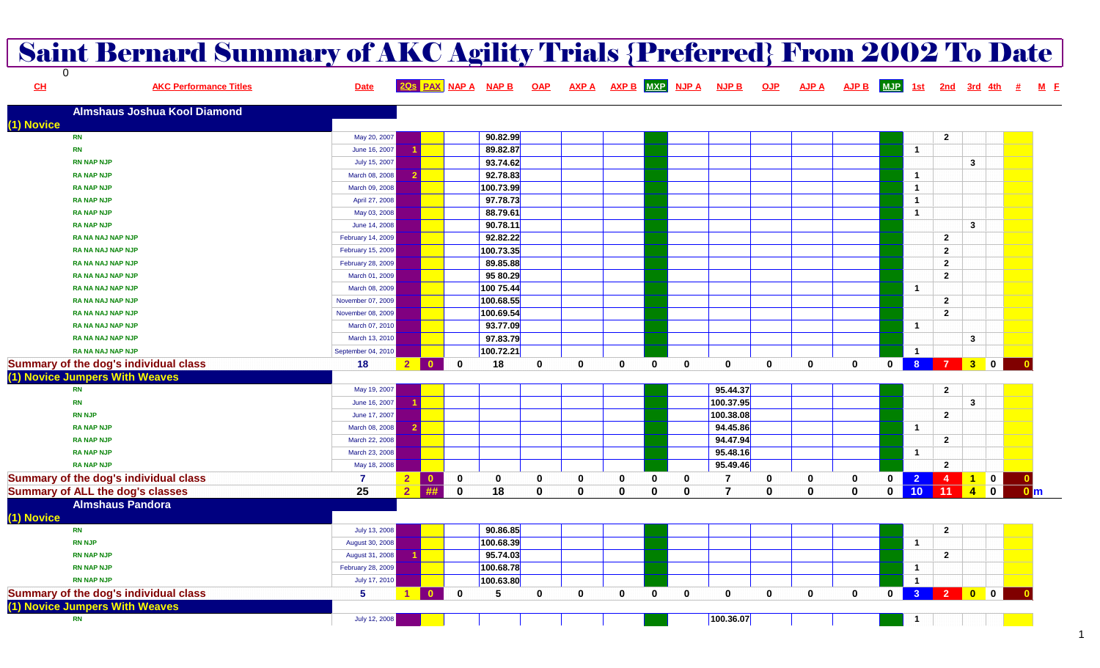|                | <b>Saint Bernard Summary of AKC Agility Trials {Preferred} From 2002 To Date</b> |                    |                |                                         |                     |              |              |          |             |                 |                |              |              |              |              |                 |                |                                                                                               |                  |
|----------------|----------------------------------------------------------------------------------|--------------------|----------------|-----------------------------------------|---------------------|--------------|--------------|----------|-------------|-----------------|----------------|--------------|--------------|--------------|--------------|-----------------|----------------|-----------------------------------------------------------------------------------------------|------------------|
| $\Omega$<br>CL | <b>AKC Performance Titles</b>                                                    | <b>Date</b>        |                |                                         | 20s PAX NAP A NAP B | <b>OAP</b>   | <b>AXP A</b> |          |             | AXP B MXP NJP A | <b>NJP B</b>   | <b>OJP</b>   | <b>AJP A</b> | <b>AJP B</b> | <b>MJP</b>   | <u>1st</u>      | 2nd 3rd 4th    |                                                                                               |                  |
|                | <b>Almshaus Joshua Kool Diamond</b>                                              |                    |                |                                         |                     |              |              |          |             |                 |                |              |              |              |              |                 |                |                                                                                               |                  |
| (1) Novice     |                                                                                  |                    |                |                                         |                     |              |              |          |             |                 |                |              |              |              |              |                 |                |                                                                                               |                  |
| <b>RN</b>      |                                                                                  | May 20, 2007       |                |                                         | 90.82.99            |              |              |          |             |                 |                |              |              |              |              |                 | $\mathbf{2}$   |                                                                                               |                  |
| <b>RN</b>      |                                                                                  | June 16, 2007      |                |                                         | 89.82.87            |              |              |          |             |                 |                |              |              |              |              | $\overline{1}$  |                |                                                                                               |                  |
|                | <b>RN NAP NJP</b>                                                                | July 15, 2007      |                |                                         | 93.74.62            |              |              |          |             |                 |                |              |              |              |              |                 |                | $\mathbf{3}$                                                                                  |                  |
|                | <b>RA NAP NJP</b>                                                                | March 08, 2008     |                |                                         | 92.78.83            |              |              |          |             |                 |                |              |              |              |              | $\mathbf{1}$    |                |                                                                                               |                  |
|                | <b>RA NAP NJP</b>                                                                | March 09, 2008     |                |                                         | 100.73.99           |              |              |          |             |                 |                |              |              |              |              | $\mathbf{1}$    |                |                                                                                               |                  |
|                | <b>RA NAP NJP</b>                                                                | April 27, 2008     |                |                                         | 97.78.73            |              |              |          |             |                 |                |              |              |              |              | $\mathbf{1}$    |                |                                                                                               |                  |
|                | <b>RA NAP NJP</b>                                                                | May 03, 2008       |                |                                         | 88.79.61            |              |              |          |             |                 |                |              |              |              |              | $\mathbf{1}$    |                |                                                                                               |                  |
|                | <b>RA NAP NJP</b>                                                                | June 14, 2008      |                |                                         | 90.78.11            |              |              |          |             |                 |                |              |              |              |              |                 |                | $\mathbf{3}$                                                                                  |                  |
|                | <b>RA NA NAJ NAP NJP</b>                                                         | February 14, 2009  |                |                                         | 92.82.22            |              |              |          |             |                 |                |              |              |              |              |                 | $\mathbf{2}$   |                                                                                               |                  |
|                | <b>RA NA NAJ NAP NJP</b>                                                         | February 15, 2009  |                |                                         | 100.73.35           |              |              |          |             |                 |                |              |              |              |              |                 | $\mathbf{2}$   |                                                                                               |                  |
|                | <b>RA NA NAJ NAP NJP</b>                                                         | February 28, 2009  |                |                                         | 89.85.88            |              |              |          |             |                 |                |              |              |              |              |                 | $\overline{2}$ |                                                                                               |                  |
|                | <b>RA NA NAJ NAP NJP</b>                                                         | March 01, 2009     |                |                                         | 95 80.29            |              |              |          |             |                 |                |              |              |              |              |                 | $\overline{2}$ |                                                                                               |                  |
|                | RA NA NAJ NAP NJP                                                                | March 08, 2009     |                |                                         | 100 75.44           |              |              |          |             |                 |                |              |              |              |              | $\overline{1}$  |                |                                                                                               |                  |
|                | <b>RA NA NAJ NAP NJP</b>                                                         | November 07, 2009  |                |                                         | 100.68.55           |              |              |          |             |                 |                |              |              |              |              |                 | $\overline{2}$ |                                                                                               |                  |
|                | <b>RA NA NAJ NAP NJP</b>                                                         | November 08, 2009  |                |                                         | 100.69.54           |              |              |          |             |                 |                |              |              |              |              |                 | $\overline{2}$ |                                                                                               |                  |
|                | RA NA NAJ NAP NJP                                                                | March 07, 2010     |                |                                         | 93.77.09            |              |              |          |             |                 |                |              |              |              |              | $\overline{1}$  |                |                                                                                               |                  |
|                | RA NA NAJ NAP NJP                                                                | March 13, 2010     |                |                                         | 97.83.79            |              |              |          |             |                 |                |              |              |              |              |                 |                | $\mathbf{3}$                                                                                  |                  |
|                | <b>RA NA NAJ NAP NJP</b>                                                         | September 04, 2010 |                |                                         | 100.72.21           |              |              |          |             |                 |                |              |              |              |              | $\overline{1}$  |                |                                                                                               |                  |
|                | Summary of the dog's individual class                                            | 18                 | 2 <sup>1</sup> | <u>∣ ੦</u><br>$\mathbf{0}$              | 18                  | $\mathbf{0}$ | $\mathbf 0$  | 0        | $\mathbf 0$ | $\mathbf 0$     | $\mathbf 0$    | 0            | $\mathbf 0$  | $\mathbf 0$  | $\mathbf{0}$ | 8 <sup>8</sup>  | $\overline{7}$ | 300                                                                                           |                  |
|                | (1) Novice Jumpers With Weaves                                                   |                    |                |                                         |                     |              |              |          |             |                 |                |              |              |              |              |                 |                |                                                                                               |                  |
| <b>RN</b>      |                                                                                  | May 19, 2007       |                |                                         |                     |              |              |          |             |                 | 95.44.37       |              |              |              |              |                 | $\mathbf{2}$   |                                                                                               |                  |
| <b>RN</b>      |                                                                                  | June 16, 2007      |                |                                         |                     |              |              |          |             |                 | 100.37.95      |              |              |              |              |                 |                | $\mathbf{3}$                                                                                  |                  |
| <b>RN NJP</b>  |                                                                                  | June 17, 2007      |                |                                         |                     |              |              |          |             |                 | 100.38.08      |              |              |              |              |                 | $\mathbf{2}$   |                                                                                               |                  |
|                | <b>RA NAP NJP</b>                                                                | March 08, 2008     |                |                                         |                     |              |              |          |             |                 | 94.45.86       |              |              |              |              | $\overline{1}$  |                |                                                                                               |                  |
|                | <b>RA NAP NJP</b>                                                                | March 22, 2008     |                |                                         |                     |              |              |          |             |                 | 94.47.94       |              |              |              |              |                 | $\mathbf{2}$   |                                                                                               |                  |
|                | <b>RA NAP NJP</b>                                                                | March 23, 2008     |                |                                         |                     |              |              |          |             |                 | 95.48.16       |              |              |              |              | $\overline{1}$  |                |                                                                                               |                  |
|                | <b>RA NAP NJP</b>                                                                | May 18, 2008       |                |                                         |                     |              |              |          |             |                 | 95.49.46       |              |              |              |              |                 | $\mathbf{2}$   |                                                                                               |                  |
|                | Summary of the dog's individual class                                            | 7                  | $\mathbf{2}$   | $\overline{\phantom{a}}$<br>$\mathbf 0$ | 0                   | 0            | 0            | 0        | 0           | 0               | 7              | 0            | 0            | 0            | 0            | 2 <sup>2</sup>  | $\overline{4}$ | $\begin{array}{ c c c c c } \hline \textbf{1} & \textbf{0} & \textbf{0} \ \hline \end{array}$ | $\mathbf{0}$     |
|                | <b>Summary of ALL the dog's classes</b>                                          | 25                 | 2 <sup>1</sup> | ##<br>$\mathbf{0}$                      | 18                  | $\mathbf{0}$ | $\mathbf 0$  | $\Omega$ | $\bf{0}$    | $\mathbf{0}$    | $\overline{7}$ | $\mathbf{0}$ | $\bf{0}$     | $\mathbf{0}$ | 0            | 10 <sub>1</sub> | $-11$          | $\begin{array}{ c c c } \hline \end{array}$ 4 0                                               | $\overline{0}$ m |
|                | <b>Almshaus Pandora</b>                                                          |                    |                |                                         |                     |              |              |          |             |                 |                |              |              |              |              |                 |                |                                                                                               |                  |
| (1) Novice     |                                                                                  |                    |                |                                         |                     |              |              |          |             |                 |                |              |              |              |              |                 |                |                                                                                               |                  |
| <b>RN</b>      |                                                                                  | July 13, 2008      |                |                                         | 90.86.85            |              |              |          |             |                 |                |              |              |              |              |                 | $\mathbf{2}$   |                                                                                               |                  |
| <b>RN NJP</b>  |                                                                                  | August 30, 2008    |                |                                         | 100.68.39           |              |              |          |             |                 |                |              |              |              |              | $\mathbf{1}$    |                |                                                                                               |                  |
|                | <b>RN NAP NJP</b>                                                                | August 31, 2008    |                |                                         | 95.74.03            |              |              |          |             |                 |                |              |              |              |              |                 | $\mathbf{2}$   |                                                                                               |                  |
|                | <b>RN NAP NJP</b>                                                                | February 28, 2009  |                |                                         | 100.68.78           |              |              |          |             |                 |                |              |              |              |              | $\mathbf{1}$    |                |                                                                                               |                  |
|                | <b>RN NAP NJP</b>                                                                | July 17, 2010      |                |                                         | 100.63.80           |              |              |          |             |                 |                |              |              |              |              | $\overline{1}$  |                |                                                                                               |                  |
|                | Summary of the dog's individual class                                            | $5^{\circ}$        | $\blacksquare$ | $\mathbf{0}$<br>$\mathbf 0$             | 5                   | $\mathbf 0$  | $\mathbf 0$  | 0        | $\mathbf 0$ | 0               | 0              | 0            | $\mathbf 0$  | $\mathbf 0$  | $\mathbf{0}$ |                 | 3 2 0 0        |                                                                                               |                  |
|                | (1) Novice Jumpers With Weaves                                                   |                    |                |                                         |                     |              |              |          |             |                 |                |              |              |              |              |                 |                |                                                                                               |                  |
| <b>RN</b>      |                                                                                  | July 12, 2008      |                |                                         |                     |              |              |          |             |                 | 100.36.07      |              |              |              |              | $\overline{1}$  |                |                                                                                               |                  |

1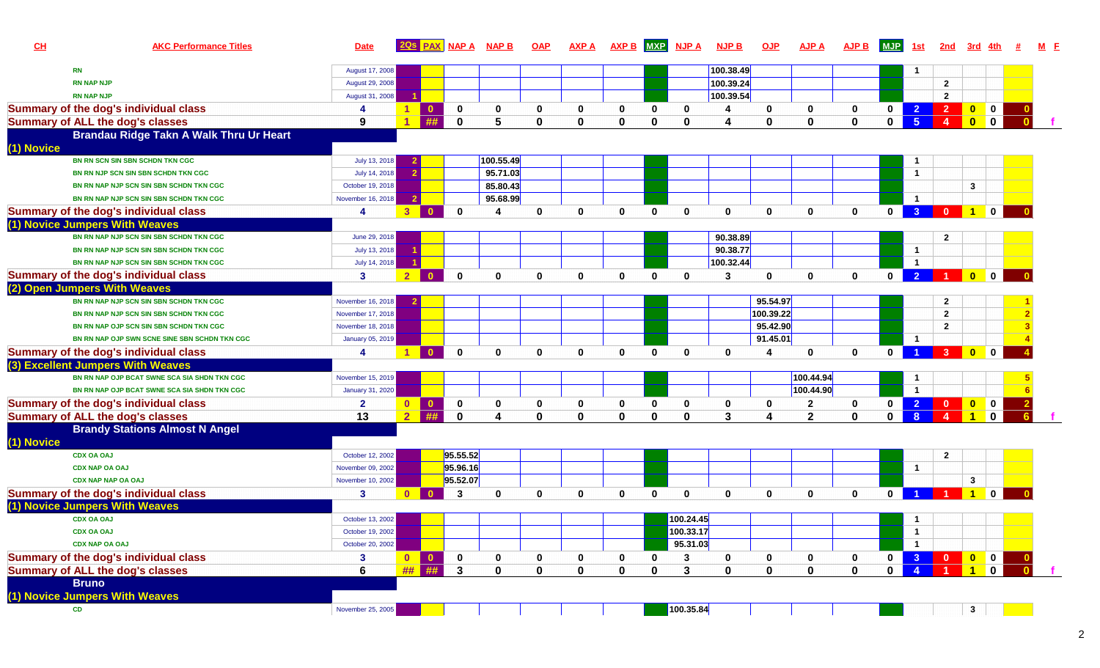| CL         | <b>AKC Performance Titles</b>                 | <b>Date</b>       |                      | <b>PAX</b>               | <b>NAP A</b>   | <b>NAPB</b>  | <b>OAP</b>   | <b>AXP A</b> | <b>AXP B</b> | <b>MXP</b>   | <b>NJP A</b> | <b>NJP B</b> | <b>OJP</b>              | <b>AJP A</b>            | <b>AJP B</b> | <b>MJP</b>   | 1st                     | 2nd                    |                                                                    |                         |  |
|------------|-----------------------------------------------|-------------------|----------------------|--------------------------|----------------|--------------|--------------|--------------|--------------|--------------|--------------|--------------|-------------------------|-------------------------|--------------|--------------|-------------------------|------------------------|--------------------------------------------------------------------|-------------------------|--|
|            | <b>RN</b>                                     | August 17, 2008   |                      |                          |                |              |              |              |              |              |              | 100.38.49    |                         |                         |              |              | $\mathbf{1}$            |                        |                                                                    |                         |  |
|            | <b>RN NAP NJP</b>                             | August 29, 2008   |                      |                          |                |              |              |              |              |              |              | 100.39.24    |                         |                         |              |              |                         | $\overline{2}$         |                                                                    |                         |  |
|            | <b>RN NAP NJP</b>                             | August 31, 2008   |                      |                          |                |              |              |              |              |              |              | 100.39.54    |                         |                         |              |              |                         | $\overline{2}$         |                                                                    |                         |  |
|            | Summary of the dog's individual class         | 4                 |                      | $\mathbf{0}$             | 0              | 0            | 0            | 0            | 0            | 0            | 0            |              | 0                       | 0                       | $\mathbf 0$  | $\mathbf 0$  | $\overline{2}$          | $\overline{2}$         | $\begin{array}{ c c c c c }\n\hline\n0 & 0 \\ \hline\n\end{array}$ |                         |  |
|            | <b>Summary of ALL the dog's classes</b>       | 9                 |                      | ##                       | $\Omega$       |              | $\Omega$     | 0            | $\Omega$     | ŋ            | O            |              | $\Omega$                | $\mathbf{0}$            | $\mathbf 0$  | $\mathbf{0}$ | 5 <sup>1</sup>          | $\boldsymbol{\Lambda}$ | $\mathbf{0}$                                                       | $\blacksquare$ 0        |  |
|            | Brandau Ridge Takn A Walk Thru Ur Heart       |                   |                      |                          |                |              |              |              |              |              |              |              |                         |                         |              |              |                         |                        |                                                                    |                         |  |
| (1) Novice |                                               |                   |                      |                          |                |              |              |              |              |              |              |              |                         |                         |              |              |                         |                        |                                                                    |                         |  |
|            | BN RN SCN SIN SBN SCHDN TKN CGC               | July 13, 2018     |                      |                          |                | 100.55.49    |              |              |              |              |              |              |                         |                         |              |              | $\mathbf{1}$            |                        |                                                                    |                         |  |
|            | BN RN NJP SCN SIN SBN SCHDN TKN CGC           | July 14, 2018     |                      |                          |                | 95.71.03     |              |              |              |              |              |              |                         |                         |              |              | $\overline{1}$          |                        |                                                                    |                         |  |
|            | BN RN NAP NJP SCN SIN SBN SCHDN TKN CGC       | October 19, 2018  |                      |                          |                | 85.80.43     |              |              |              |              |              |              |                         |                         |              |              |                         |                        | 3                                                                  |                         |  |
|            | BN RN NAP NJP SCN SIN SBN SCHDN TKN CGC       | November 16, 2018 |                      |                          |                | 95.68.99     |              |              |              |              |              |              |                         |                         |              |              | $\blacktriangleleft$    |                        |                                                                    |                         |  |
|            | Summary of the dog's individual class         | 4                 | 3 <sup>°</sup>       | $\overline{\phantom{a}}$ | $\mathbf{0}$   |              | $\mathbf{0}$ | $\mathbf{0}$ | $\mathbf{0}$ | $\mathbf{0}$ | 0            | $\mathbf{0}$ | $\bf{0}$                | $\mathbf{0}$            | $\mathbf{0}$ | $\mathbf{0}$ | $\overline{3}$          | $\Omega$               | $\overline{1}$                                                     | $\mathbf{0}$            |  |
|            | (1) Novice Jumpers With Weaves                |                   |                      |                          |                |              |              |              |              |              |              |              |                         |                         |              |              |                         |                        |                                                                    |                         |  |
|            | BN RN NAP NJP SCN SIN SBN SCHDN TKN CGC       | June 29, 2018     |                      |                          |                |              |              |              |              |              |              | 90.38.89     |                         |                         |              |              |                         | $\overline{2}$         |                                                                    |                         |  |
|            | BN RN NAP NJP SCN SIN SBN SCHDN TKN CGC       | July 13, 2018     |                      |                          |                |              |              |              |              |              |              | 90.38.77     |                         |                         |              |              | $\mathbf{1}$            |                        |                                                                    |                         |  |
|            | BN RN NAP NJP SCN SIN SBN SCHDN TKN CGC       | July 14, 2018     |                      |                          |                |              |              |              |              |              |              | 100.32.44    |                         |                         |              |              | $\overline{1}$          |                        |                                                                    |                         |  |
|            | Summary of the dog's individual class         | $\mathbf{3}$      | 2 <sup>1</sup>       | $\blacksquare$           | $\mathbf{0}$   | $\mathbf{0}$ | $\mathbf{0}$ | $\bf{0}$     | $\mathbf{0}$ | $\mathbf{0}$ | $\mathbf{0}$ | 3            | $\bf{0}$                | 0                       | $\mathbf 0$  | $\mathbf 0$  |                         | 2 1 0 0                |                                                                    |                         |  |
|            | (2) Open Jumpers With Weaves                  |                   |                      |                          |                |              |              |              |              |              |              |              |                         |                         |              |              |                         |                        |                                                                    |                         |  |
|            | BN RN NAP NJP SCN SIN SBN SCHDN TKN CGC       | November 16, 2018 |                      |                          |                |              |              |              |              |              |              |              | 95.54.97                |                         |              |              |                         | $\overline{2}$         |                                                                    |                         |  |
|            | BN RN NAP NJP SCN SIN SBN SCHDN TKN CGC       | November 17, 2018 |                      |                          |                |              |              |              |              |              |              |              | 100.39.22               |                         |              |              |                         | $\overline{2}$         |                                                                    |                         |  |
|            | BN RN NAP OJP SCN SIN SBN SCHDN TKN CGC       | November 18, 2018 |                      |                          |                |              |              |              |              |              |              |              | 95.42.90                |                         |              |              |                         | $\overline{2}$         |                                                                    |                         |  |
|            | BN RN NAP OJP SWN SCNE SINE SBN SCHDN TKN CGC | January 05, 2019  |                      |                          |                |              |              |              |              |              |              |              | 91.45.01                |                         |              |              | $\overline{\mathbf{1}}$ |                        |                                                                    |                         |  |
|            | Summary of the dog's individual class         | 4                 | $\blacktriangleleft$ | $\mathbf{0}$             | $\mathbf 0$    | $\bf{0}$     | $\bf{0}$     | $\bf{0}$     | $\mathbf{0}$ | $\mathbf{0}$ | 0            | $\mathbf 0$  | 4                       | $\mathbf{0}$            | $\mathbf{0}$ | $\mathbf{0}$ |                         | $\overline{3}$         | $\bullet$                                                          | $\mathbf 0$             |  |
|            | (3) Excellent Jumpers With Weaves             |                   |                      |                          |                |              |              |              |              |              |              |              |                         |                         |              |              |                         |                        |                                                                    |                         |  |
|            | BN RN NAP OJP BCAT SWNE SCA SIA SHDN TKN CGC  | November 15, 2019 |                      |                          |                |              |              |              |              |              |              |              |                         | 100.44.94               |              |              | -1                      |                        |                                                                    |                         |  |
|            | BN RN NAP OJP BCAT SWNE SCA SIA SHDN TKN CGC  | January 31, 2020  |                      |                          |                |              |              |              |              |              |              |              |                         | 100.44.90               |              |              | $\overline{1}$          |                        |                                                                    |                         |  |
|            | Summary of the dog's individual class         | $\overline{2}$    | $\mathbf{0}$         | $\mathbf{0}$             | 0              |              | 0            | 0            | 0            | 0            | 0            | 0            | 0                       | $\mathbf{2}$            | $\mathbf 0$  | $\mathbf 0$  | $\overline{2}$          | $\mathbf{0}$           |                                                                    |                         |  |
|            | <b>Summary of ALL the dog's classes</b>       | 13                | $\overline{2}$       | ##                       | $\mathbf 0$    |              | $\bf{0}$     | $\bf{0}$     | $\mathbf 0$  | $\bf{0}$     | $\Omega$     | $\mathbf{3}$ |                         | $\overline{\mathbf{2}}$ | $\mathbf 0$  | $\mathbf 0$  | 8 <sup>°</sup>          |                        | $\blacktriangleleft$                                               | $\mathbf 0$             |  |
|            | <b>Brandy Stations Almost N Angel</b>         |                   |                      |                          |                |              |              |              |              |              |              |              |                         |                         |              |              |                         |                        |                                                                    |                         |  |
| (1) Novice |                                               |                   |                      |                          |                |              |              |              |              |              |              |              |                         |                         |              |              |                         |                        |                                                                    |                         |  |
|            | <b>CDX OA OAJ</b>                             | October 12, 2002  |                      |                          | 95.55.52       |              |              |              |              |              |              |              |                         |                         |              |              |                         | $\overline{2}$         |                                                                    |                         |  |
|            | <b>CDX NAP OA OAJ</b>                         | November 09, 2002 |                      |                          | 95.96.16       |              |              |              |              |              |              |              |                         |                         |              |              | $\mathbf{1}$            |                        |                                                                    |                         |  |
|            | <b>CDX NAP NAP OA OAJ</b>                     | November 10, 2002 |                      |                          | 95.52.07       |              |              |              |              |              |              |              |                         |                         |              |              |                         |                        | $\mathbf{3}$                                                       |                         |  |
|            | Summary of the dog's individual class         | 3                 | $\mathbf{0}$         |                          | 3              | $\bf{0}$     | $\mathbf{0}$ | $\bf{0}$     | $\mathbf{0}$ | 0            | $\bf{0}$     | $\mathbf 0$  | $\bf{0}$                | $\mathbf{0}$            | $\mathbf{0}$ | $\bf{0}$     |                         |                        |                                                                    |                         |  |
|            | (1) Novice Jumpers With Weaves                |                   |                      |                          |                |              |              |              |              |              |              |              |                         |                         |              |              |                         |                        |                                                                    |                         |  |
|            | <b>CDX OA OAJ</b>                             | October 13, 2002  |                      |                          |                |              |              |              |              |              | 100.24.45    |              |                         |                         |              |              |                         |                        |                                                                    |                         |  |
|            | <b>CDX OA OAJ</b>                             | October 19, 2002  |                      |                          |                |              |              |              |              |              | 100.33.17    |              |                         |                         |              |              | $\mathbf{1}$            |                        |                                                                    |                         |  |
|            | <b>CDX NAP OA OAJ</b>                         | October 20, 2002  |                      |                          |                |              |              |              |              |              | 95.31.03     |              |                         |                         |              |              | $\mathbf{1}$            |                        |                                                                    |                         |  |
|            | Summary of the dog's individual class         | 3                 | $\bullet$            | $\vert 0 \vert$          | $\mathbf 0$    | 0            | 0            | 0            | 0            | 0            | 3            | 0            | $\mathbf 0$             | 0                       | $\bf{0}$     | $\mathbf 0$  |                         | 3 0 0 0                |                                                                    |                         |  |
|            | <b>Summary of ALL the dog's classes</b>       | 6                 | ##                   | ##                       | $\overline{3}$ | $\mathbf 0$  | $\mathbf 0$  | $\mathbf 0$  | $\pmb{0}$    | 0            | $\mathbf{3}$ | $\mathbf 0$  | $\overline{\mathbf{0}}$ | $\mathbf 0$             | $\pmb{0}$    | $\mathbf 0$  | $\overline{4}$          |                        | $\overline{1}$                                                     | $\overline{\mathbf{0}}$ |  |
|            | <b>Bruno</b>                                  |                   |                      |                          |                |              |              |              |              |              |              |              |                         |                         |              |              |                         |                        |                                                                    |                         |  |
|            | (1) Novice Jumpers With Weaves                |                   |                      |                          |                |              |              |              |              |              |              |              |                         |                         |              |              |                         |                        |                                                                    |                         |  |
|            | CD                                            | November 25, 2005 |                      |                          |                |              |              |              |              |              | 100.35.84    |              |                         |                         |              |              |                         |                        | 3 <sup>1</sup>                                                     |                         |  |
|            |                                               |                   |                      |                          |                |              |              |              |              |              |              |              |                         |                         |              |              |                         |                        |                                                                    |                         |  |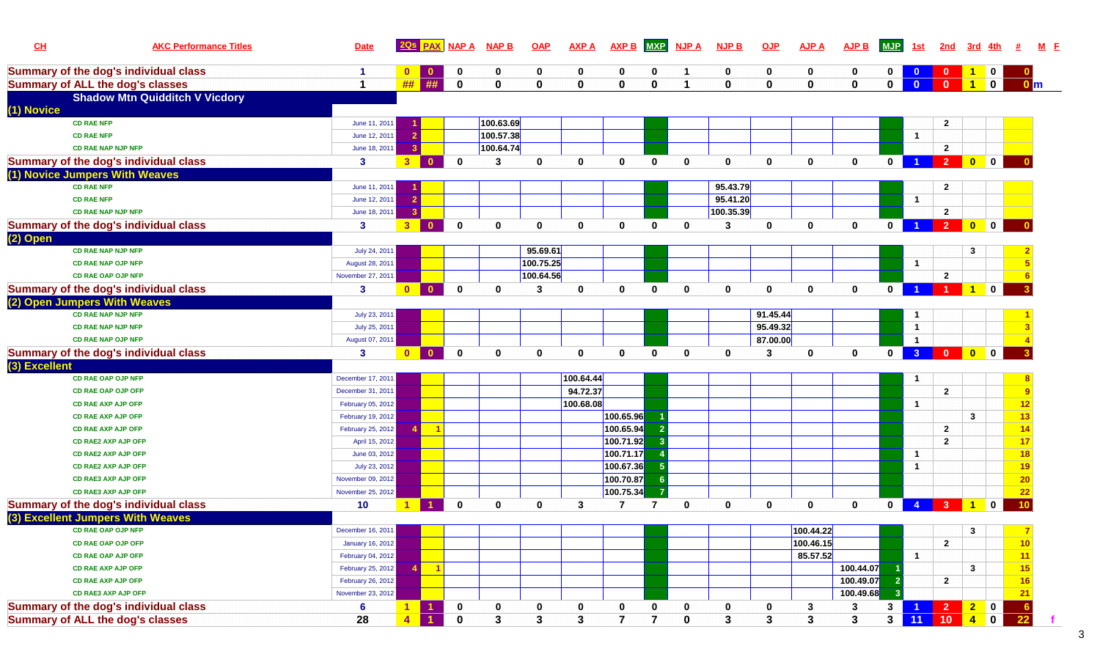| CL            | <b>AKC Performance Titles</b>                | <b>Date</b>       |                | <b>PAX</b>   | <b>NAP A</b> | <b>NAP B</b> | <b>OAP</b>   | <b>AXP A</b> | <b>AXP B</b>   | <b>MXP</b>     | <b>NJPA</b>    | <b>NJP B</b> | QJP          | <b>AJP A</b> | <b>AJP B</b> | <b>MJP</b>   | 1st            | 2nd            | 3rd                                                                             |              |                 |  |
|---------------|----------------------------------------------|-------------------|----------------|--------------|--------------|--------------|--------------|--------------|----------------|----------------|----------------|--------------|--------------|--------------|--------------|--------------|----------------|----------------|---------------------------------------------------------------------------------|--------------|-----------------|--|
|               | <b>Summary of the dog's individual class</b> | -1                | $\mathbf{0}$   | $\mathbf{0}$ | 0            | $\mathbf{0}$ | 0            | $\mathbf{0}$ | 0              | 0              | ി              | $\mathbf 0$  | 0            | 0            | $\mathbf 0$  | $\mathbf 0$  | $\mathbf{0}$   | $\mathbf{0}$   | $\mathbf{1}$                                                                    | $\mathbf 0$  |                 |  |
|               | <b>Summary of ALL the dog's classes</b>      |                   | ##             | ##           | $\mathbf 0$  | $\bf{0}$     | $\bf{0}$     | $\mathbf{0}$ | $\mathbf 0$    | $\mathbf{0}$   | $\overline{ }$ | $\mathbf{0}$ | $\mathbf 0$  | $\mathbf 0$  | $\mathbf 0$  | $\mathbf 0$  | $\mathbf{0}$   | $\Omega$       | $\blacksquare$ 1                                                                | $\mathbf 0$  | $\mathbf{0}$ m  |  |
|               | <b>Shadow Mtn Quidditch V Vicdory</b>        |                   |                |              |              |              |              |              |                |                |                |              |              |              |              |              |                |                |                                                                                 |              |                 |  |
| (1) Novice    |                                              |                   |                |              |              |              |              |              |                |                |                |              |              |              |              |              |                |                |                                                                                 |              |                 |  |
|               | <b>CD RAE NFP</b>                            | June 11, 2011     |                |              |              | 100.63.69    |              |              |                |                |                |              |              |              |              |              |                | $\mathbf{2}$   |                                                                                 |              |                 |  |
|               | <b>CD RAE NFP</b>                            | June 12, 2011     |                |              |              | 100.57.38    |              |              |                |                |                |              |              |              |              |              | $\overline{1}$ |                |                                                                                 |              |                 |  |
|               | <b>CD RAE NAP NJP NFP</b>                    | June 18, 2011     |                |              |              | 100.64.74    |              |              |                |                |                |              |              |              |              |              |                | $\mathbf{2}$   |                                                                                 |              |                 |  |
|               | <b>Summary of the dog's individual class</b> | 3                 | 3 <sup>1</sup> |              | $\mathbf{0}$ | 3            | 0            | $\mathbf 0$  | $\mathbf{0}$   | $\mathbf{0}$   | $\mathbf 0$    | $\mathbf 0$  | $\mathbf 0$  | $\mathbf 0$  | $\mathbf 0$  | $\mathbf 0$  | $\overline{1}$ | $\overline{2}$ | $\bullet$                                                                       | $\mathbf 0$  |                 |  |
|               | (1) Novice Jumpers With Weaves               |                   |                |              |              |              |              |              |                |                |                |              |              |              |              |              |                |                |                                                                                 |              |                 |  |
|               | <b>CD RAE NFP</b>                            | June 11, 2011     |                |              |              |              |              |              |                |                |                | 95.43.79     |              |              |              |              |                | $\mathbf{2}$   |                                                                                 |              |                 |  |
|               | <b>CD RAE NFP</b>                            | June 12, 2011     |                |              |              |              |              |              |                |                |                | 95.41.20     |              |              |              |              | $\overline{1}$ |                |                                                                                 |              |                 |  |
|               | <b>CD RAE NAP NJP NFP</b>                    | June 18, 2011     |                |              |              |              |              |              |                |                |                | 100.35.39    |              |              |              |              |                | $\overline{2}$ |                                                                                 |              |                 |  |
|               | <b>Summary of the dog's individual class</b> | $\mathbf{3}$      | 3 <sup>°</sup> | $\Omega$     | $\mathbf 0$  | $\mathbf{0}$ | $\mathbf{0}$ | $\mathbf{0}$ | $\mathbf{0}$   | $\mathbf{0}$   | $\mathbf{0}$   | 3            | $\mathbf 0$  | $\mathbf{0}$ | $\mathbf{0}$ | $\bf{0}$     |                | $\overline{2}$ | $\begin{array}{ c c c c c }\hline \textbf{0} & \textbf{0} & \hline \end{array}$ |              |                 |  |
| (2) Open      |                                              |                   |                |              |              |              |              |              |                |                |                |              |              |              |              |              |                |                |                                                                                 |              |                 |  |
|               | <b>CD RAE NAP NJP NFP</b>                    | July 24, 2011     |                |              |              |              | 95.69.61     |              |                |                |                |              |              |              |              |              |                |                | 3                                                                               |              |                 |  |
|               | <b>CD RAE NAP OJP NFP</b>                    | August 28, 2011   |                |              |              |              | 100.75.25    |              |                |                |                |              |              |              |              |              | $\mathbf{1}$   |                |                                                                                 |              |                 |  |
|               | <b>CD RAE OAP OJP NFP</b>                    | November 27, 2011 |                |              |              |              | 100.64.56    |              |                |                |                |              |              |              |              |              |                | $\mathbf{2}$   |                                                                                 |              |                 |  |
|               | <b>Summary of the dog's individual class</b> | $\mathbf{3}$      | $\mathbf{0}$   | $\mathbf{0}$ | $\mathbf 0$  | $\bf{0}$     | 3            | $\mathbf{0}$ | $\mathbf{0}$   | $\mathbf{0}$   | $\mathbf{0}$   | $\mathbf{0}$ | $\mathbf{0}$ | $\mathbf{0}$ | $\mathbf{0}$ | $\mathbf{0}$ |                |                | $\overline{1}$                                                                  | $\mathbf{0}$ |                 |  |
|               | (2) Open Jumpers With Weaves                 |                   |                |              |              |              |              |              |                |                |                |              |              |              |              |              |                |                |                                                                                 |              |                 |  |
|               | <b>CD RAE NAP NJP NFP</b>                    | July 23, 2011     |                |              |              |              |              |              |                |                |                |              | 91.45.44     |              |              |              | $\overline{1}$ |                |                                                                                 |              |                 |  |
|               | <b>CD RAE NAP NJP NFP</b>                    | July 25, 2011     |                |              |              |              |              |              |                |                |                |              | 95.49.32     |              |              |              | $\mathbf{1}$   |                |                                                                                 |              |                 |  |
|               | <b>CD RAE NAP OJP NFP</b>                    | August 07, 2011   |                |              |              |              |              |              |                |                |                |              | 87.00.00     |              |              |              | $\overline{1}$ |                |                                                                                 |              |                 |  |
|               | <b>Summary of the dog's individual class</b> | $\mathbf{3}$      | $\overline{0}$ | $\mathbf{0}$ | $\mathbf 0$  | $\mathbf{0}$ | 0            | $\mathbf 0$  | $\mathbf{0}$   | $\mathbf{0}$   | $\mathbf 0$    | $\mathbf 0$  | 3            | $\mathbf{0}$ | $\mathbf{0}$ | $\mathbf{0}$ | 3 <sup>1</sup> | <b>O</b> OO    |                                                                                 |              |                 |  |
| (3) Excellent |                                              |                   |                |              |              |              |              |              |                |                |                |              |              |              |              |              |                |                |                                                                                 |              |                 |  |
|               | CD RAE OAP OJP NFP                           | December 17, 2011 |                |              |              |              |              | 100.64.44    |                |                |                |              |              |              |              |              | -1             |                |                                                                                 |              |                 |  |
|               | <b>CD RAE OAP OJP OFP</b>                    | December 31, 2011 |                |              |              |              |              | 94.72.37     |                |                |                |              |              |              |              |              |                | $\mathbf{2}$   |                                                                                 |              | 9               |  |
|               | <b>CD RAE AXP AJP OFP</b>                    | February 05, 2012 |                |              |              |              |              | 100.68.08    |                |                |                |              |              |              |              |              | $\mathbf{1}$   |                |                                                                                 |              | 12              |  |
|               | <b>CD RAE AXP AJP OFP</b>                    | February 19, 2012 |                |              |              |              |              |              | 100.65.96      |                |                |              |              |              |              |              |                |                | $\mathbf{3}$                                                                    |              | 13              |  |
|               | <b>CD RAE AXP AJP OFP</b>                    | February 25, 2012 |                | - 1          |              |              |              |              | 100.65.94      |                |                |              |              |              |              |              |                | $\mathbf{2}$   |                                                                                 |              | 14              |  |
|               | <b>CD RAE2 AXP AJP OFP</b>                   | April 15, 2012    |                |              |              |              |              |              | 100.71.92      |                |                |              |              |              |              |              |                | $\overline{2}$ |                                                                                 |              | 17              |  |
|               | <b>CD RAE2 AXP AJP OFP</b>                   | June 03, 2012     |                |              |              |              |              |              | 100.71.17      |                |                |              |              |              |              |              | $\mathbf{1}$   |                |                                                                                 |              | 18              |  |
|               | <b>CD RAE2 AXP AJP OFP</b>                   | July 23, 2012     |                |              |              |              |              |              | 100.67.36      | -5             |                |              |              |              |              |              | $\overline{1}$ |                |                                                                                 |              | 19              |  |
|               | <b>CD RAE3 AXP AJP OFP</b>                   | November 09, 2012 |                |              |              |              |              |              | 100.70.87      | - 6            |                |              |              |              |              |              |                |                |                                                                                 |              | 20              |  |
|               | <b>CD RAE3 AXP AJP OFP</b>                   | November 25, 2012 |                |              |              |              |              |              | 100.75.34      | $\overline{7}$ |                |              |              |              |              |              |                |                |                                                                                 |              | 22              |  |
|               | <b>Summary of the dog's individual class</b> | 10                | 1              |              | $\mathbf{0}$ | $\mathbf 0$  | 0            | 3            | 7              | 7              | $\mathbf 0$    | $\mathbf 0$  | $\mathbf 0$  | $\mathbf{0}$ | 0            | $\mathbf{0}$ |                | $4$ 3 1        |                                                                                 | $\mathbf 0$  | 10              |  |
|               | (3) Excellent Jumpers With Weaves            |                   |                |              |              |              |              |              |                |                |                |              |              |              |              |              |                |                |                                                                                 |              |                 |  |
|               | <b>CD RAE OAP OJP NFP</b>                    | December 16, 2011 |                |              |              |              |              |              |                |                |                |              |              | 100.44.22    |              |              |                |                | 3                                                                               |              | $\mathbf{7}$    |  |
|               | CD RAE OAP OJP OFP                           | January 16, 2012  |                |              |              |              |              |              |                |                |                |              |              | 100.46.15    |              |              |                | $\mathbf{2}$   |                                                                                 |              | 10 <sub>1</sub> |  |
|               | <b>CD RAE OAP AJP OFP</b>                    | February 04, 2012 |                |              |              |              |              |              |                |                |                |              |              | 85.57.52     |              |              | $\mathbf{1}$   |                |                                                                                 |              | 11              |  |
|               | <b>CD RAE AXP AJP OFP</b>                    | February 25, 2012 |                | $-1$         |              |              |              |              |                |                |                |              |              |              | 100.44.07    |              |                |                | $\mathbf{3}$                                                                    |              | 15              |  |
|               | <b>CD RAE AXP AJP OFP</b>                    | February 26, 2012 |                |              |              |              |              |              |                |                |                |              |              |              | 100.49.07    |              |                | $\mathbf{2}$   |                                                                                 |              | 16              |  |
|               | <b>CD RAE3 AXP AJP OFP</b>                   | November 23, 2012 |                |              |              |              |              |              |                |                |                |              |              |              | 100.49.68    |              |                |                |                                                                                 |              | 21              |  |
|               | <b>Summary of the dog's individual class</b> | 6                 | $\mathbf{1}$   |              | 0            | 0            | 0            | 0            | 0              | 0              | 0              | 0            | 0            | 3            | 3            | $\mathbf{3}$ |                | 1 2 2          |                                                                                 | $\mathbf 0$  | $\frac{6}{22}$  |  |
|               | <b>Summary of ALL the dog's classes</b>      | 28                | $\overline{4}$ |              | $\mathbf 0$  | $\mathbf{3}$ | 3            | $\mathbf{3}$ | $\overline{7}$ | $\overline{7}$ | $\mathbf 0$    | 3            | $\mathbf{3}$ | $\mathbf{3}$ | $\mathbf{3}$ |              | 3 11 10        |                | $\blacksquare$                                                                  | $\mathbf{0}$ |                 |  |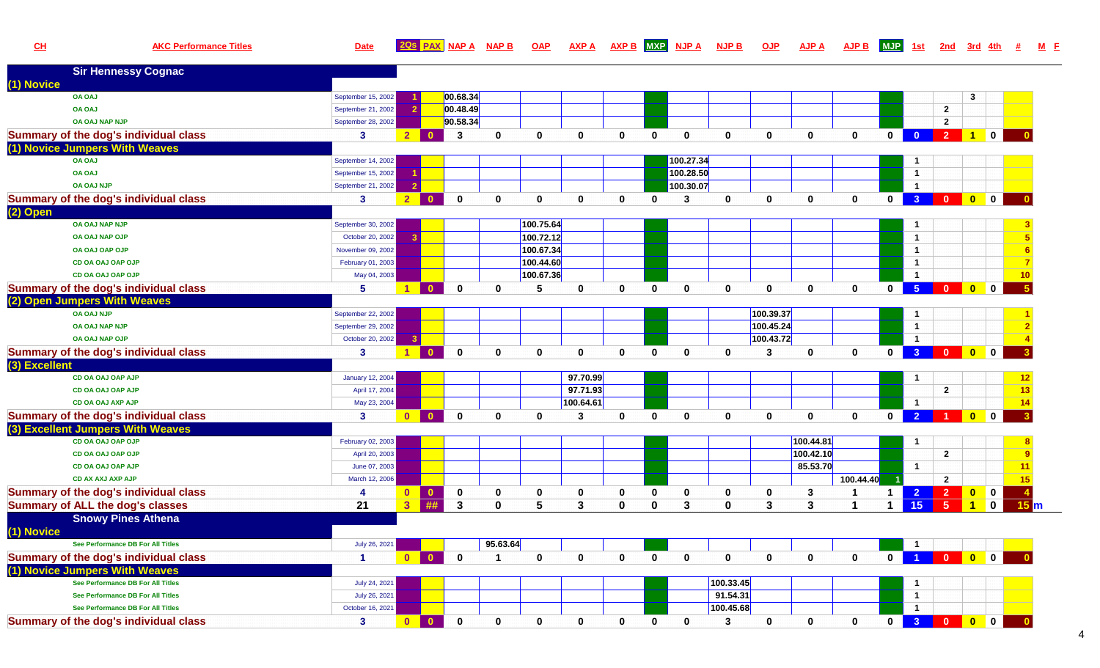**CH**

# **AKC Performance Titles Date 2Qs PAX NAP A NAP B OAP AXP A AXP B MXP NJP A NJP B OJP AJP A AJP B MJP 1st 2nd 3rd 4th # <sup>M</sup>M F**

|               | <b>Sir Hennessy Cognac</b>              |                         |                                       |                    |              |              |              |              |              |                |              |              |             |                |                |                |                         |                         |                |                         |
|---------------|-----------------------------------------|-------------------------|---------------------------------------|--------------------|--------------|--------------|--------------|--------------|--------------|----------------|--------------|--------------|-------------|----------------|----------------|----------------|-------------------------|-------------------------|----------------|-------------------------|
| (1) Novice    |                                         |                         |                                       |                    |              |              |              |              |              |                |              |              |             |                |                |                |                         |                         |                |                         |
|               | <b>OA OAJ</b>                           | September 15, 2002      |                                       | 00.68.34           |              |              |              |              |              |                |              |              |             |                |                |                |                         | $\mathbf{3}$            |                |                         |
|               | <b>OA OAJ</b>                           | September 21, 2002      |                                       | 00.48.49           |              |              |              |              |              |                |              |              |             |                |                |                | $\mathbf{2}$            |                         |                |                         |
|               | <b>OA OAJ NAP NJP</b>                   | September 28, 2002      |                                       | 90.58.34           |              |              |              |              |              |                |              |              |             |                |                |                | $\overline{2}$          |                         |                |                         |
|               | Summary of the dog's individual class   | 3                       | $2^{\circ}$<br>n                      | 3                  | $\mathbf 0$  | $\mathbf{0}$ | 0            | $\mathbf{0}$ | $\mathbf{0}$ | $\mathbf{0}$   | $\mathbf{0}$ | $\mathbf 0$  | $\mathbf 0$ | $\mathbf 0$    | $\mathbf{0}$   | $\bullet$      | $\overline{2}$          | $\overline{1}$          | $\mathbf 0$    |                         |
|               | (1) Novice Jumpers With Weaves          |                         |                                       |                    |              |              |              |              |              |                |              |              |             |                |                |                |                         |                         |                |                         |
|               | <b>OA OAJ</b>                           | September 14, 2002      |                                       |                    |              |              |              |              |              | 100.27.34      |              |              |             |                |                | $\mathbf{1}$   |                         |                         |                |                         |
|               | <b>OA OAJ</b>                           | September 15, 2002      |                                       |                    |              |              |              |              |              | 100.28.50      |              |              |             |                |                | $\mathbf{1}$   |                         |                         |                |                         |
|               | <b>OA OAJ NJP</b>                       | September 21, 2002      | -2                                    |                    |              |              |              |              |              | 100.30.07      |              |              |             |                |                | $\mathbf{1}$   |                         |                         |                |                         |
|               | Summary of the dog's individual class   | $\mathbf{3}$            | 2 <sup>7</sup><br>$\mathbf{r}$        | $\mathbf{0}$       | $\mathbf{0}$ | $\mathbf{0}$ | $\mathbf 0$  | $\mathbf{0}$ | $\bf{0}$     | 3              | $\mathbf 0$  | $\mathbf{0}$ | $\mathbf 0$ | $\mathbf{0}$   | $\mathbf 0$    | 3 <sup>°</sup> | $\overline{0}$          | $\bullet$               | $\blacksquare$ |                         |
| (2) Open      |                                         |                         |                                       |                    |              |              |              |              |              |                |              |              |             |                |                |                |                         |                         |                |                         |
|               | OA OAJ NAP NJP                          | September 30, 2002      |                                       |                    |              | 100.75.64    |              |              |              |                |              |              |             |                |                | $\mathbf{1}$   |                         |                         |                |                         |
|               | OA OAJ NAP OJP                          | October 20, 2002        |                                       |                    |              | 100.72.12    |              |              |              |                |              |              |             |                |                | $\overline{1}$ |                         |                         |                |                         |
|               | OA OAJ OAP OJP                          | November 09, 2002       |                                       |                    |              | 100.67.34    |              |              |              |                |              |              |             |                |                | $\mathbf{1}$   |                         |                         |                |                         |
|               | CD OA OAJ OAP OJP                       | February 01, 2003       |                                       |                    |              | 100.44.60    |              |              |              |                |              |              |             |                |                | $\mathbf{1}$   |                         |                         |                |                         |
|               | CD OA OAJ OAP OJP                       | May 04, 2003            |                                       |                    |              | 100.67.36    |              |              |              |                |              |              |             |                |                | $\mathbf{1}$   |                         |                         |                | 10                      |
|               | Summary of the dog's individual class   | 5                       | $\Omega$                              | $\mathbf{0}$       | $\mathbf{0}$ | 5            | $\mathbf 0$  | $\mathbf{0}$ | $\mathbf{0}$ | $\mathbf 0$    | $\mathbf 0$  | $\mathbf 0$  | $\mathbf 0$ | $\mathbf 0$    | $\mathbf 0$    | 5 <sub>1</sub> | $\overline{0}$          | $\bullet$               | $\mathbf 0$    | $\overline{5}$          |
|               | (2) Open Jumpers With Weaves            |                         |                                       |                    |              |              |              |              |              |                |              |              |             |                |                |                |                         |                         |                |                         |
|               | <b>OA OAJ NJP</b>                       | September 22, 2002      |                                       |                    |              |              |              |              |              |                |              | 100.39.37    |             |                |                | $\mathbf{1}$   |                         |                         |                |                         |
|               | <b>OA OAJ NAP NJP</b>                   | September 29, 2002      |                                       |                    |              |              |              |              |              |                |              | 100.45.24    |             |                |                | $\mathbf{1}$   |                         |                         |                |                         |
|               | <b>OA OAJ NAP OJP</b>                   | October 20, 2002        | $\mathbf{3}$                          |                    |              |              |              |              |              |                |              | 100.43.72    |             |                |                | $\overline{1}$ |                         |                         |                |                         |
|               | Summary of the dog's individual class   | $\mathbf{3}$            | $\Omega$                              | $\mathbf{0}$       | $\mathbf 0$  | $\mathbf 0$  | $\mathbf 0$  | $\mathbf{0}$ | $\Omega$     | $\mathbf{0}$   | $\mathbf{0}$ | $\mathbf{3}$ | $\mathbf 0$ | $\mathbf{0}$   | $\mathbf 0$    | 3 <sup>°</sup> | $\overline{0}$          | $\bullet$               | $\mathbf 0$    |                         |
| (3) Excellent |                                         |                         |                                       |                    |              |              |              |              |              |                |              |              |             |                |                |                |                         |                         |                |                         |
|               | CD OA OAJ OAP AJP                       | <b>January 12, 2004</b> |                                       |                    |              |              | 97.70.99     |              |              |                |              |              |             |                |                | $\mathbf{1}$   |                         |                         |                | 12                      |
|               | CD OA OAJ OAP AJP                       | April 17, 2004          |                                       |                    |              |              | 97.71.93     |              |              |                |              |              |             |                |                |                | $\mathbf{2}$            |                         |                | 13                      |
|               | CD OA OAJ AXP AJP                       | May 23, 2004            |                                       |                    |              |              | 100.64.61    |              |              |                |              |              |             |                |                | $\mathbf{1}$   |                         |                         |                | 14                      |
|               | Summary of the dog's individual class   | $\mathbf{3}$            | $\overline{\mathbf{0}}$<br>$\sqrt{2}$ | $\mathbf{0}$       | $\mathbf 0$  | $\mathbf 0$  | 3            | $\mathbf{0}$ | $\mathbf{0}$ | $\mathbf 0$    | $\bf{0}$     | $\mathbf 0$  | $\mathbf 0$ | $\mathbf{0}$   | $\mathbf 0$    | $\overline{2}$ | $\overline{1}$          | $\bullet$               | $\mathbf 0$    | $\overline{\mathbf{3}}$ |
|               | (3) Excellent Jumpers With Weaves       |                         |                                       |                    |              |              |              |              |              |                |              |              |             |                |                |                |                         |                         |                |                         |
|               | CD OA OAJ OAP OJP                       | February 02, 2003       |                                       |                    |              |              |              |              |              |                |              |              | 100.44.81   |                |                | $\mathbf{1}$   |                         |                         |                |                         |
|               | CD OA OAJ OAP OJP                       | April 20, 2003          |                                       |                    |              |              |              |              |              |                |              |              | 100.42.10   |                |                |                | $\overline{\mathbf{2}}$ |                         |                | <b>g</b>                |
|               | CD OA OAJ OAP AJP                       | June 07, 2003           |                                       |                    |              |              |              |              |              |                |              |              | 85.53.70    |                |                | $\mathbf 1$    |                         |                         |                | 11                      |
|               | <b>CD AX AXJ AXP AJP</b>                | March 12, 2006          |                                       |                    |              |              |              |              |              |                |              |              |             | 100.44.40      |                |                | $\mathbf{2}$            |                         |                | 15                      |
|               | Summary of the dog's individual class   | 4                       | $\bullet$<br>$\mathbf{0}$             | $\mathbf 0$        | $\mathbf 0$  | 0            | 0            | 0            | $\mathbf 0$  | $\bf{0}$       | $\bf{0}$     | 0            | 3           | -1             | $\mathbf{1}$   | $\overline{2}$ | $\overline{2}$          | $\overline{\mathbf{0}}$ | $\vert$ 0      |                         |
|               | <b>Summary of ALL the dog's classes</b> | 21                      | $\overline{\mathbf{3}}$               | 丑丑<br>$\mathbf{3}$ | $\Omega$     | 5            | $\mathbf{3}$ | 0            | $\mathbf{0}$ | $\overline{3}$ | $\mathbf{0}$ | $\mathbf{3}$ | 3           | $\overline{1}$ | $\overline{1}$ | 15             | 5                       | $\blacktriangleleft$    | $\mathbf 0$    | 15 <sub>m</sub>         |
|               | <b>Snowy Pines Athena</b>               |                         |                                       |                    |              |              |              |              |              |                |              |              |             |                |                |                |                         |                         |                |                         |
| (1) Novice    |                                         |                         |                                       |                    |              |              |              |              |              |                |              |              |             |                |                |                |                         |                         |                |                         |
|               | See Performance DB For All Titles       | July 26, 2021           |                                       |                    | 95.63.64     |              |              |              |              |                |              |              |             |                |                |                |                         |                         |                |                         |
|               | Summary of the dog's individual class   | $\overline{1}$          | $\overline{0}$<br>$\Omega$            | $\mathbf 0$        | -1           | $\mathbf 0$  | 0            | $\mathbf{0}$ | $\bf{0}$     | $\mathbf{0}$   | $\bf{0}$     | $\mathbf{0}$ | $\mathbf 0$ | $\mathbf{0}$   | $\mathbf{0}$   |                | $\Omega$                | $\overline{0}$          | $\mathbf{0}$   |                         |
|               | (1) Novice Jumpers With Weaves          |                         |                                       |                    |              |              |              |              |              |                |              |              |             |                |                |                |                         |                         |                |                         |
|               | See Performance DB For All Titles       | July 24, 2021           |                                       |                    |              |              |              |              |              |                | 100.33.45    |              |             |                |                | $\mathbf{1}$   |                         |                         |                |                         |
|               | See Performance DB For All Titles       | July 26, 2021           |                                       |                    |              |              |              |              |              |                | 91.54.31     |              |             |                |                | $\mathbf{1}$   |                         |                         |                |                         |
|               | See Performance DB For All Titles       | October 16, 2021        |                                       |                    |              |              |              |              |              |                | 100.45.68    |              |             |                |                | $\mathbf{1}$   |                         |                         |                |                         |
|               | Summary of the dog's individual class   | $\mathbf{3}$            | $\overline{0}$<br>$\Omega$            | $\mathbf{0}$       | $\mathbf{0}$ | $\bf{0}$     | $\mathbf{0}$ | $\mathbf{0}$ | $\bf{0}$     | $\mathbf{0}$   | 3            | $\mathbf 0$  | $\mathbf 0$ | $\Omega$       | 0              | 3 <sup>7</sup> | $\Omega$                | $\overline{\mathbf{0}}$ | $\mathbf 0$    |                         |
|               |                                         |                         |                                       |                    |              |              |              |              |              |                |              |              |             |                |                |                |                         |                         |                |                         |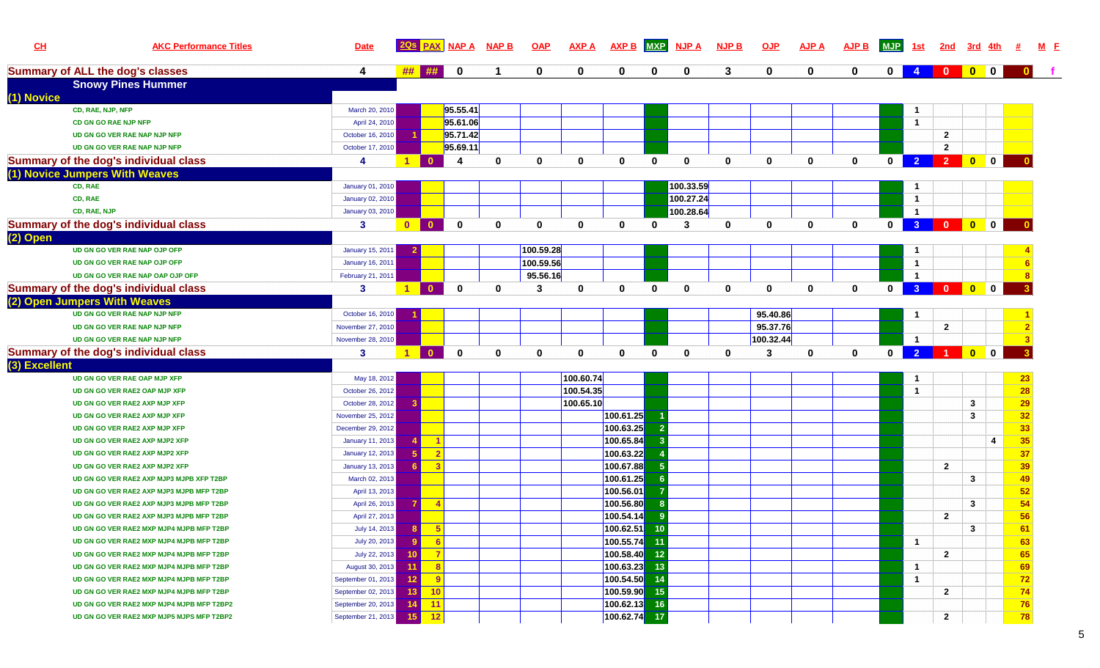| CL            | <b>AKC Performance Titles</b>                | <b>Date</b>             |                      | <b>PAX</b>                 | <b>NAP A</b> | <b>NAP B</b> | <b>OAP</b> | <b>AXP A</b> | <b>AXP B</b>   | <b>MXP</b>   | <b>NJP A</b> | <b>NJP B</b> | QJP          | <b>AJP A</b> | <b>AJP B</b> | <b>MJP</b>   | <u>1st</u>              | <u>2nd</u>                | 3rd                                                                    |                         |                 |
|---------------|----------------------------------------------|-------------------------|----------------------|----------------------------|--------------|--------------|------------|--------------|----------------|--------------|--------------|--------------|--------------|--------------|--------------|--------------|-------------------------|---------------------------|------------------------------------------------------------------------|-------------------------|-----------------|
|               | <b>Summary of ALL the dog's classes</b>      | 4                       | ##                   | ##                         | $\mathbf 0$  |              | 0          | $\mathbf 0$  | 0              | $\mathbf 0$  | $\mathbf 0$  | 3            | 0            | $\mathbf 0$  | 0            | $\mathbf{0}$ | $\overline{4}$          | $\mathbf{0}$ $\mathbf{I}$ | $\begin{array}{ c c c c c }\n\hline\n0 & 0 \\ \hline\n\end{array}$     |                         |                 |
|               | <b>Snowy Pines Hummer</b>                    |                         |                      |                            |              |              |            |              |                |              |              |              |              |              |              |              |                         |                           |                                                                        |                         |                 |
| (1) Novice    |                                              |                         |                      |                            |              |              |            |              |                |              |              |              |              |              |              |              |                         |                           |                                                                        |                         |                 |
|               | CD, RAE, NJP, NFP                            | March 20, 2010          |                      |                            | 95.55.41     |              |            |              |                |              |              |              |              |              |              |              | $\overline{1}$          |                           |                                                                        |                         |                 |
|               | <b>CD GN GO RAE NJP NFP</b>                  | April 24, 2010          |                      |                            | 95.61.06     |              |            |              |                |              |              |              |              |              |              |              | $\overline{1}$          |                           |                                                                        |                         |                 |
|               | UD GN GO VER RAE NAP NJP NFP                 | October 16, 2010        |                      |                            | 95.71.42     |              |            |              |                |              |              |              |              |              |              |              |                         | $\mathbf{2}$              |                                                                        |                         |                 |
|               | UD GN GO VER RAE NAP NJP NFP                 | October 17, 2010        |                      |                            | 95.69.11     |              |            |              |                |              |              |              |              |              |              |              |                         | $\mathbf{2}$              |                                                                        |                         |                 |
|               | <b>Summary of the dog's individual class</b> | 4                       | $\blacktriangleleft$ | $\mathbf{a}$               | 4            | $\mathbf{0}$ | 0          | $\mathbf 0$  | 0              | $\bf{0}$     | $\bf{0}$     | $\mathbf 0$  | $\mathbf 0$  | $\mathbf{0}$ | 0            | $\mathbf 0$  | $\overline{2}$          | $\overline{2}$            | $\bullet$                                                              | $\mathbf 0$             |                 |
|               | (1) Novice Jumpers With Weaves               |                         |                      |                            |              |              |            |              |                |              |              |              |              |              |              |              |                         |                           |                                                                        |                         |                 |
|               | CD, RAE                                      | January 01, 2010        |                      |                            |              |              |            |              |                |              | 100.33.59    |              |              |              |              |              | $\mathbf{1}$            |                           |                                                                        |                         |                 |
|               | CD, RAE                                      | January 02, 2010        |                      |                            |              |              |            |              |                |              | 100.27.24    |              |              |              |              |              | $\overline{1}$          |                           |                                                                        |                         |                 |
|               | CD, RAE, NJP                                 | January 03, 2010        |                      |                            |              |              |            |              |                |              | 100.28.64    |              |              |              |              |              | $\overline{\mathbf{1}}$ |                           |                                                                        |                         |                 |
|               | <b>Summary of the dog's individual class</b> | 3                       | $\mathbf{0}$         | $\mathbf{0}$               | $\mathbf 0$  | $\mathbf{0}$ | 0          | $\mathbf{0}$ | $\bf{0}$       | $\mathbf{0}$ | 3            | $\mathbf{0}$ | $\mathbf 0$  | $\mathbf{0}$ | $\mathbf{0}$ | $\bf{0}$     | $\overline{3}$          |                           | 0 0 0                                                                  |                         |                 |
| (2) Open      |                                              |                         |                      |                            |              |              |            |              |                |              |              |              |              |              |              |              |                         |                           |                                                                        |                         |                 |
|               | UD GN GO VER RAE NAP OJP OFP                 | January 15, 2011        |                      |                            |              |              | 100.59.28  |              |                |              |              |              |              |              |              |              | -1                      |                           |                                                                        |                         |                 |
|               | UD GN GO VER RAE NAP OJP OFP                 | <b>January 16, 2011</b> |                      |                            |              |              | 100.59.56  |              |                |              |              |              |              |              |              |              | $\mathbf{1}$            |                           |                                                                        |                         |                 |
|               | UD GN GO VER RAE NAP OAP OJP OFP             | February 21, 2011       |                      |                            |              |              | 95.56.16   |              |                |              |              |              |              |              |              |              | $\overline{1}$          |                           |                                                                        |                         |                 |
|               | <b>Summary of the dog's individual class</b> | $\mathbf{3}$            | $\overline{1}$       | $\Omega$                   | $\mathbf 0$  | $\bf{0}$     | 3          | $\mathbf 0$  | $\mathbf{0}$   | $\mathbf{0}$ | $\mathbf{0}$ | $\mathbf{0}$ | $\mathbf{0}$ | $\mathbf{0}$ | $\mathbf 0$  | $\mathbf{0}$ | 3 <sup>2</sup>          | $\mathbf{0}$              | $\bullet$                                                              | $\mathbf{0}$            |                 |
|               | (2) Open Jumpers With Weaves                 |                         |                      |                            |              |              |            |              |                |              |              |              |              |              |              |              |                         |                           |                                                                        |                         |                 |
|               | UD GN GO VER RAE NAP NJP NFP                 | October 16, 2010        |                      |                            |              |              |            |              |                |              |              |              | 95.40.86     |              |              |              | $\overline{1}$          |                           |                                                                        |                         |                 |
|               | UD GN GO VER RAE NAP NJP NFP                 | November 27, 2010       |                      |                            |              |              |            |              |                |              |              |              | 95.37.76     |              |              |              |                         | $\mathbf{2}$              |                                                                        |                         |                 |
|               | UD GN GO VER RAE NAP NJP NFP                 | November 28, 2010       |                      |                            |              |              |            |              |                |              |              |              | 100.32.44    |              |              |              | $\overline{1}$          |                           |                                                                        |                         |                 |
|               | <b>Summary of the dog's individual class</b> | $\mathbf{3}$            | $\blacktriangleleft$ | $\mathbf{0}$               | $\mathbf 0$  | $\mathbf{0}$ | 0          | $\mathbf 0$  | $\bf{0}$       | $\mathbf 0$  | $\mathbf 0$  | $\mathbf 0$  | 3            | 0            | 0            | $\mathbf{0}$ | 2 <sup>1</sup>          | $\blacksquare$ 1          | $\begin{array}{ c c c }\n\hline\n\textbf{0} & \textbf{0}\n\end{array}$ |                         |                 |
| (3) Excellent |                                              |                         |                      |                            |              |              |            |              |                |              |              |              |              |              |              |              |                         |                           |                                                                        |                         |                 |
|               | UD GN GO VER RAE OAP MJP XFP                 | May 18, 2012            |                      |                            |              |              |            | 100.60.74    |                |              |              |              |              |              |              |              | $\mathbf{1}$            |                           |                                                                        |                         | 23              |
|               | UD GN GO VER RAE2 OAP MJP XFP                | October 26, 2012        |                      |                            |              |              |            | 100.54.35    |                |              |              |              |              |              |              |              | $\overline{1}$          |                           |                                                                        |                         | 28              |
|               | UD GN GO VER RAE2 AXP MJP XFP                | October 28, 2012        |                      |                            |              |              |            | 100.65.10    |                |              |              |              |              |              |              |              |                         |                           | $\mathbf{3}$                                                           |                         | $\frac{29}{32}$ |
|               | UD GN GO VER RAE2 AXP MJP XFP                | November 25, 2012       |                      |                            |              |              |            |              | 100.61.25      |              |              |              |              |              |              |              |                         |                           | $\mathbf{3}$                                                           |                         |                 |
|               | UD GN GO VER RAE2 AXP MJP XFP                | December 29, 2012       |                      |                            |              |              |            |              | 100.63.25      |              |              |              |              |              |              |              |                         |                           |                                                                        |                         | 33              |
|               | UD GN GO VER RAE2 AXP MJP2 XFP               | January 11, 2013        |                      | $\overline{1}$             |              |              |            |              | 100.65.84      |              |              |              |              |              |              |              |                         |                           |                                                                        | $\overline{\mathbf{4}}$ | 35              |
|               | UD GN GO VER RAE2 AXP MJP2 XFP               | January 12, 2013        |                      | $\sqrt{2}$                 |              |              |            |              | 100.63.22      |              |              |              |              |              |              |              |                         |                           |                                                                        |                         | 37              |
|               | UD GN GO VER RAE2 AXP MJP2 XFP               | January 13, 2013        |                      | $\overline{\phantom{a}}$ 3 |              |              |            |              | 100.67.88      | 5            |              |              |              |              |              |              |                         | $\mathbf{2}$              |                                                                        |                         | 39              |
|               | UD GN GO VER RAE2 AXP MJP3 MJPB XFP T2BP     | March 02, 2013          |                      |                            |              |              |            |              | 100.61.25      |              |              |              |              |              |              |              |                         |                           | $\mathbf{3}$                                                           |                         | 49              |
|               | UD GN GO VER RAE2 AXP MJP3 MJPB MFP T2BP     | April 13, 2013          |                      |                            |              |              |            |              | 100.56.01      |              |              |              |              |              |              |              |                         |                           |                                                                        |                         | 52              |
|               | UD GN GO VER RAE2 AXP MJP3 MJPB MFP T2BP     | April 26, 2013          |                      | $\overline{4}$             |              |              |            |              | 100.56.80      |              |              |              |              |              |              |              |                         |                           | $\mathbf{3}$                                                           |                         | 54              |
|               | UD GN GO VER RAE2 AXP MJP3 MJPB MFP T2BP     | April 27, 2013          |                      |                            |              |              |            |              | 100.54.14      |              |              |              |              |              |              |              |                         | $\overline{2}$            |                                                                        |                         | 56              |
|               | UD GN GO VER RAE2 MXP MJP4 MJPB MFP T2BP     | July 14, 2013           | 8 <sup>1</sup>       | $-5$                       |              |              |            |              | 100.62.51      | $\sqrt{10}$  |              |              |              |              |              |              |                         |                           | 3                                                                      |                         | 61              |
|               | UD GN GO VER RAE2 MXP MJP4 MJPB MFP T2BP     | July 20, 2013           | $\mathbf{9}$         | $-6$                       |              |              |            |              | 100.55.74      | 11           |              |              |              |              |              |              | $\mathbf{1}$            |                           |                                                                        |                         | 63              |
|               | UD GN GO VER RAE2 MXP MJP4 MJPB MFP T2BP     | July 22, 2013           | <b>10</b> I          | $-7$                       |              |              |            |              | 100.58.40      | 12           |              |              |              |              |              |              |                         | $\mathbf{2}$              |                                                                        |                         | 65              |
|               | UD GN GO VER RAE2 MXP MJP4 MJPB MFP T2BP     | August 30, 2013         | $\sqrt{11}$          | $\overline{\phantom{0}}$ 8 |              |              |            |              | 100.63.23      | 13           |              |              |              |              |              |              | $\overline{1}$          |                           |                                                                        |                         | 69              |
|               | UD GN GO VER RAE2 MXP MJP4 MJPB MFP T2BP     | September 01, 2013      | 12                   | $^{\circ}$ 9               |              |              |            |              | 100.54.50      | 14           |              |              |              |              |              |              | $\overline{1}$          |                           |                                                                        |                         | 72              |
|               | UD GN GO VER RAE2 MXP MJP4 MJPB MFP T2BP     | September 02, 2013      | -13                  | $-10$                      |              |              |            |              | $100.59.90$ 15 |              |              |              |              |              |              |              |                         | $\mathbf{2}$              |                                                                        |                         | 74              |
|               | UD GN GO VER RAE2 MXP MJP4 MJPB MFP T2BP2    | September 20, 2013      | 14                   | $-11$                      |              |              |            |              | 100.62.13 16   |              |              |              |              |              |              |              |                         |                           |                                                                        |                         | 76              |
|               | UD GN GO VER RAE2 MXP MJP5 MJPS MFP T2BP2    | September 21, 2013      |                      | $15$ 12                    |              |              |            |              | 100.62.74 17   |              |              |              |              |              |              |              |                         | $\mathbf{2}$              |                                                                        |                         | 78              |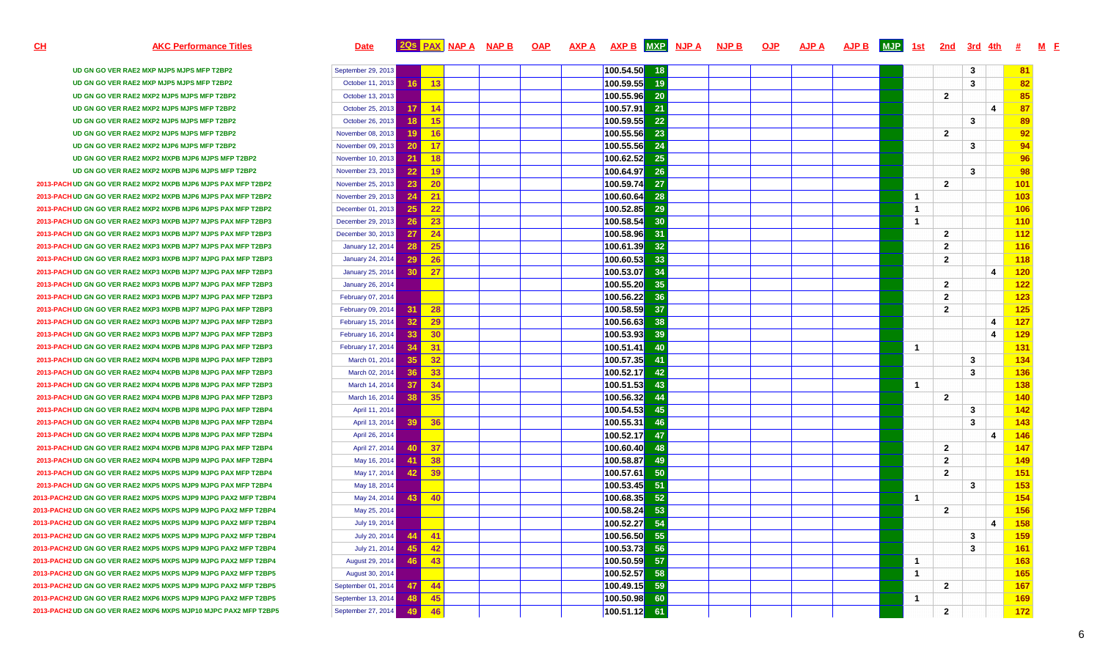## AKC Performance Titles **Date 20s** PAX NAP A NAP B OAP AXP A AXP B MXP NJP A NJP B OJP  $\overline{A}$ **JPA**  $\overline{A}$ **JPB**  $\overline{M}$ **JP**  $\overline{1}$  3t  $\overline{2}$  2nd  $\overline{3}$ rd  $\overline{4}$ th  $\overline{t}$   $\overline{M}$  F

**CH**

| UD GN GO VER RAE2 MXP MJP5 MJPS MFP T2BP2                        | September 29, 2013                   |                 | 100.54.50<br>18 |  |                | 3              |                         | 81  |
|------------------------------------------------------------------|--------------------------------------|-----------------|-----------------|--|----------------|----------------|-------------------------|-----|
| UD GN GO VER RAE2 MXP MJP5 MJPS MFP T2BP2                        | October 11, 2013<br>16               | 13              | 100.59.55<br>19 |  |                | 3              |                         | 82  |
| UD GN GO VER RAE2 MXP2 MJP5 MJPS MFP T2BP2                       | October 13, 2013                     |                 | 100.55.96<br>20 |  |                | $\overline{2}$ |                         | 85  |
| UD GN GO VER RAE2 MXP2 MJP5 MJPS MFP T2BP2                       | October 25, 2013<br>17 I             | $-14$           | 100.57.91<br>21 |  |                |                | 4                       | 87  |
| UD GN GO VER RAE2 MXP2 MJP5 MJPS MFP T2BP2                       | October 26, 2013<br>18               | 15              | 100.59.55<br>22 |  |                | 3              |                         | 89  |
| UD GN GO VER RAE2 MXP2 MJP5 MJPS MFP T2BP2                       | November 08, 2013<br>19              | 16              | 100.55.56<br>23 |  |                | $\mathbf{2}$   |                         | 92  |
| UD GN GO VER RAE2 MXP2 MJP6 MJPS MFP T2BP2                       | 20<br>November 09, 2013              | 17              | 100.55.56<br>24 |  |                | 3              |                         | 94  |
| UD GN GO VER RAE2 MXP2 MXPB MJP6 MJPS MFP T2BP2                  | 21<br>November 10, 2013              | 18              | 100.62.52<br>25 |  |                |                |                         | 96  |
| UD GN GO VER RAE2 MXP2 MXPB MJP6 MJPS MFP T2BP2                  | 22<br>November 23, 2013              | 19              | 100.64.97<br>26 |  |                | 3              |                         | 98  |
| 2013-PACH UD GN GO VER RAE2 MXP2 MXPB MJP6 MJPS PAX MFP T2BP2    | 23<br>November 25, 2013              | <b>20</b>       | 100.59.74<br>27 |  |                | $\mathbf{2}$   |                         | 101 |
| 2013-PACH UD GN GO VER RAE2 MXP2 MXPB MJP6 MJPS PAX MFP T2BP2    | November 29, 2013<br>24              | $\overline{21}$ | 100.60.64<br>28 |  | $\overline{1}$ |                |                         | 103 |
| 2013-PACH UD GN GO VER RAE2 MXP2 MXPB MJP6 MJPS PAX MFP T2BP2    | 25 <sub>2</sub><br>December 01, 2013 | 22              | 100.52.85<br>29 |  | $\overline{1}$ |                |                         | 106 |
| 2013-PACH UD GN GO VER RAE2 MXP3 MXPB MJP7 MJPS PAX MFP T2BP3    | 26<br>December 29, 2013              | 23              | 100.58.54<br>30 |  | $\overline{1}$ |                |                         | 110 |
| 2013-PACH UD GN GO VER RAE2 MXP3 MXPB MJP7 MJPS PAX MFP T2BP3    | December 30, 2013<br>27              | 24              | 100.58.96<br>31 |  |                | $\mathbf{2}$   |                         | 112 |
| 2013-PACH UD GN GO VER RAE2 MXP3 MXPB MJP7 MJPS PAX MFP T2BP3    | 28 <sup>1</sup><br>January 12, 2014  | 25              | 100.61.39<br>32 |  |                | $\overline{2}$ |                         | 116 |
| 2013-PACH UD GN GO VER RAE2 MXP3 MXPB MJP7 MJPG PAX MFP T2BP3    | <b>January 24, 2014</b><br>29        | 26              | 100.60.53<br>33 |  |                | $\overline{2}$ |                         | 118 |
| 2013-PACH UD GN GO VER RAE2 MXP3 MXPB MJP7 MJPG PAX MFP T2BP3    | 30 <sup>1</sup><br>January 25, 2014  | $\overline{27}$ | 100.53.07<br>34 |  |                |                | $\overline{\mathbf{4}}$ | 120 |
| 2013-PACH UD GN GO VER RAE2 MXP3 MXPB MJP7 MJPG PAX MFP T2BP3    | <b>January 26, 2014</b>              |                 | 100.55.20<br>35 |  |                | $\mathbf{2}$   |                         | 122 |
| 2013-PACH UD GN GO VER RAE2 MXP3 MXPB MJP7 MJPG PAX MFP T2BP3    | February 07, 2014                    |                 | 100.56.22<br>36 |  |                | $\overline{2}$ |                         | 123 |
| 2013-PACH UD GN GO VER RAE2 MXP3 MXPB MJP7 MJPG PAX MFP T2BP3    | 31<br>February 09, 2014              | 28              | 100.58.59<br>37 |  |                | $\overline{2}$ |                         | 125 |
| 2013-PACH UD GN GO VER RAE2 MXP3 MXPB MJP7 MJPG PAX MFP T2BP3    | 32 <sub>1</sub><br>February 15, 2014 | 29              | 100.56.63<br>38 |  |                |                | $\boldsymbol{\Lambda}$  | 127 |
| 2013-PACH UD GN GO VER RAE2 MXP3 MXPB MJP7 MJPG PAX MFP T2BP3    | February 16, 2014<br>33 <sup>1</sup> | 30              | 100.53.93<br>39 |  |                |                | $\boldsymbol{\Lambda}$  | 129 |
| 2013-PACH UD GN GO VER RAE2 MXP4 MXPB MJP8 MJPG PAX MFP T2BP3    | 34<br>February 17, 2014              | 31              | 100.51.41<br>40 |  | $\overline{1}$ |                |                         | 131 |
| 2013-PACH UD GN GO VER RAE2 MXP4 MXPB MJP8 MJPG PAX MFP T2BP3    | 35<br>March 01, 2014                 | 32              | 100.57.35<br>41 |  |                | 3              |                         | 134 |
| 2013-PACH UD GN GO VER RAE2 MXP4 MXPB MJP8 MJPG PAX MFP T2BP3    | 36 <sup>1</sup><br>March 02, 2014    | 33              | 100.52.17<br>42 |  |                | 3              |                         | 136 |
| 2013-PACH UD GN GO VER RAE2 MXP4 MXPB MJP8 MJPG PAX MFP T2BP3    | 37<br>March 14, 2014                 | 34              | 100.51.53<br>43 |  | $\mathbf{1}$   |                |                         | 138 |
| 2013-PACH UD GN GO VER RAE2 MXP4 MXPB MJP8 MJPG PAX MFP T2BP3    | March 16, 2014<br>38                 | 35              | 100.56.32<br>44 |  |                | $\overline{2}$ |                         | 140 |
| 2013-PACH UD GN GO VER RAE2 MXP4 MXPB MJP8 MJPG PAX MFP T2BP4    | April 11, 2014                       |                 | 100.54.53<br>45 |  |                | 3              |                         | 142 |
| 2013-PACH UD GN GO VER RAE2 MXP4 MXPB MJP8 MJPG PAX MFP T2BP4    | April 13, 2014<br>39 <sup>°</sup>    | 36              | 100.55.31<br>46 |  |                | 3              |                         | 143 |
| 2013-PACH UD GN GO VER RAE2 MXP4 MXPB MJP8 MJPG PAX MFP T2BP4    | April 26, 2014                       |                 | 100.52.17<br>47 |  |                |                | 4                       | 146 |
| 2013-PACH UD GN GO VER RAE2 MXP4 MXPB MJP8 MJPG PAX MFP T2BP4    | 40<br>April 27, 2014                 | 37              | 100.60.40<br>48 |  |                | $\overline{2}$ |                         | 147 |
| 2013-PACH UD GN GO VER RAE2 MXP4 MXPB MJP9 MJPG PAX MFP T2BP4    | May 16, 2014<br>41                   | 38              | 100.58.87<br>49 |  |                | $\overline{2}$ |                         | 149 |
| 2013-PACH UD GN GO VER RAE2 MXP5 MXPS MJP9 MJPG PAX MFP T2BP4    | 42 <br>May 17, 2014                  | 39              | 100.57.61<br>50 |  |                | $\overline{2}$ |                         | 151 |
| 2013-PACH UD GN GO VER RAE2 MXP5 MXPS MJP9 MJPG PAX MFP T2BP4    | May 18, 2014                         |                 | 100.53.45<br>51 |  |                | 3              |                         | 153 |
| 2013-PACH2 UD GN GO VER RAE2 MXP5 MXPS MJP9 MJPG PAX2 MFP T2BP4  | May 24, 2014<br>43                   | 40              | 100.68.35<br>52 |  | $\overline{1}$ |                |                         | 154 |
| 2013-PACH2 UD GN GO VER RAE2 MXP5 MXPS MJP9 MJPG PAX2 MFP T2BP4  | May 25, 2014                         |                 | 100.58.24<br>53 |  |                | $\overline{2}$ |                         | 156 |
| 2013-PACH2 UD GN GO VER RAE2 MXP5 MXPS MJP9 MJPG PAX2 MFP T2BP4  | July 19, 2014                        |                 | 54<br>100.52.27 |  |                |                | 4                       | 158 |
| 2013-PACH2 UD GN GO VER RAE2 MXP5 MXPS MJP9 MJPG PAX2 MFP T2BP4  | July 20, 2014<br>44                  | $-41$           | 55<br>100.56.50 |  |                | 3              |                         | 159 |
| 2013-PACH2 UD GN GO VER RAE2 MXP5 MXPS MJP9 MJPG PAX2 MFP T2BP4  | 45<br>July 21, 2014                  | 42              | 100.53.73<br>56 |  |                | 3              |                         | 161 |
| 2013-PACH2 UD GN GO VER RAE2 MXP5 MXPS MJP9 MJPG PAX2 MFP T2BP4  | 46<br>August 29, 2014                | 43              | 100.50.59<br>57 |  | $\overline{1}$ |                |                         | 163 |
| 2013-PACH2 UD GN GO VER RAE2 MXP5 MXPS MJP9 MJPG PAX2 MFP T2BP5  | August 30, 2014                      |                 | 100.52.57<br>58 |  | $\overline{1}$ |                |                         | 165 |
| 2013-PACH2 UD GN GO VER RAE2 MXP5 MXPS MJP9 MJPG PAX2 MFP T2BP5  | September 01, 2014<br>47             | -44             | 100.49.15<br>59 |  |                | $\mathbf{2}$   |                         | 167 |
| 2013-PACH2 UD GN GO VER RAE2 MXP6 MXPS MJP9 MJPG PAX2 MFP T2BP5  | September 13, 2014<br>48             | 45              | 100.50.98<br>60 |  | $\overline{1}$ |                |                         | 169 |
| 2013-PACH2 UD GN GO VER RAE2 MXP6 MXPS MJP10 MJPC PAX2 MFP T2BP5 | September 27, 2014<br>49             | 46              | 100.51.12<br>61 |  |                | $\overline{2}$ |                         | 172 |
|                                                                  |                                      |                 |                 |  |                |                |                         |     |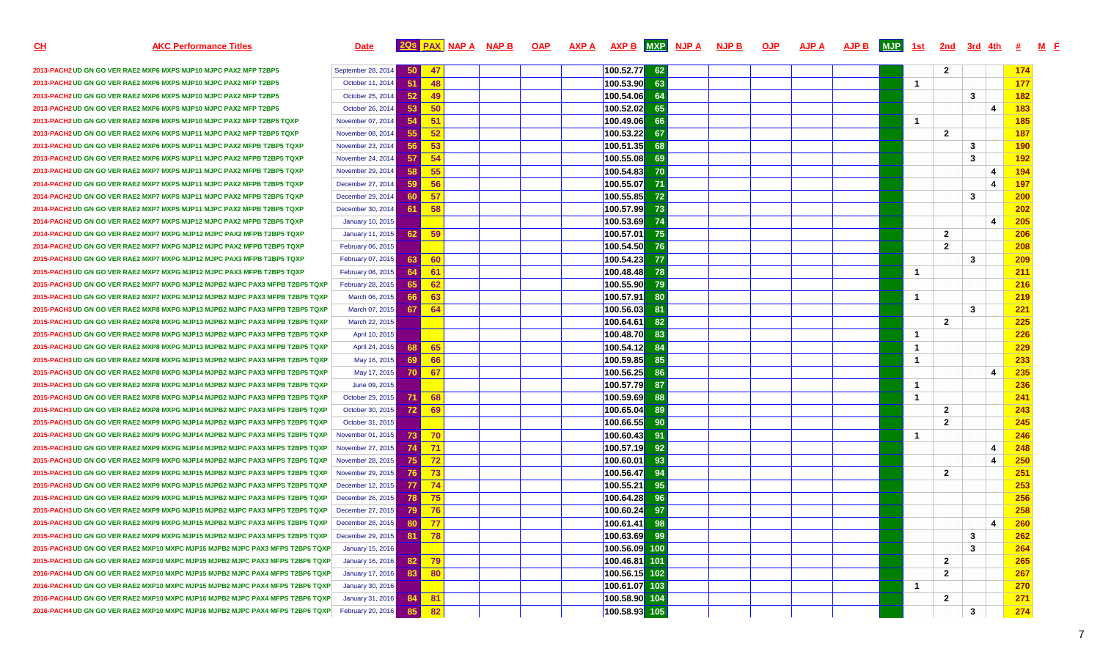**CH**

# <u>H</u> kan and a set of the set of the set of the set of the set of the set of the set of the set of the set of the s<br>H set of the set of the set of the set of the set of the set of the set of the set of the set of the set of **<sup>F</sup>**

**2013-PACH2 UD GN GO VER RAE2 MXP6 MXPS MJP10 MJPC PAX2 MFP T2BP5** September 28, 2014 **50 47 100.52.772013-PACH2 UD GN GO VER RAE2 MXP6 MXPS MJP10 MJPC PAX2 MFP T2BP5** October 11, 2014 **51 48 100.53.902013-PACH2 UD GN GO VER RAE2 MXP6 MXPS MJP10 MJPC PAX2 MFP T2BP5** October 25, 2014 **52 49 100.54.062013-PACH2 UD GN GO VER RAE2 MXP6 MXPS MJP10 MJPC PAX2 MFP T2BP5** October 26, 2014 **53 50 100.52.022013-PACH2 UD GN GO VER RAE2 MXP6 MXPS MJP10 MJPC PAX2 MFP T2BP5 TQXP2013-PACH2 UD GN GO VER RAE2 MXP6 MXPS MJP11 MJPC PAX2 MFP T2BP5 TQXP2013-PACH2 UD GN GO VER RAE2 MXP6 MXPS MJP11 MJPC PAX2 MFPB T2BP5 TQXP2013-PACH2 UD GN GO VER RAE2 MXP6 MXPS MJP11 MJPC PAX2 MFPB T2BP5 TQXP** November 24, 2014 **57 54 100.55.082013-PACH2 UD GN GO VER RAE2 MXP7 MXPS MJP11 MJPC PAX2 MFPB T2BP5 TQXP** November 29, 2014 **58 55 100.54.832014-PACH2 UD GN GO VER RAE2 MXP7 MXPS MJP11 MJPC PAX2 MFPB T2BP5 TQXP** December 27, 2014 **59 56 100.55.072014-PACH2 UD GN GO VER RAE2 MXP7 MXPS MJP11 MJPC PAX2 MFPB T2BP5 TQXP** December 29, 2014 **60 57 100.55.852014-PACH2 UD GN GO VER RAE2 MXP7 MXPS MJP11 MJPC PAX2 MFPB T2BP5 TQXP2014-PACH2 UD GN GO VER RAE2 MXP7 MXPS MJP12 MJPC PAX2 MFPB T2BP5 TQXP** January 10, 2015 **100.53.692014-PACH2 UD GN GO VER RAE2 MXP7 MXPG MJP12 MJPC PAX2 MFPB T2BP5 TQXP** January 11, 2015 **62 59 100.57.012014-PACH2 UD GN GO VER RAE2 MXP7 MXPG MJP12 MJPC PAX2 MFPB T2BP5 TQXP** February 06, 2015 **100.54.502015-PACH3 UD GN GO VER RAE2 MXP7 MXPG MJP12 MJPC PAX3 MFPB T2BP5 TQXP** February 07, 2015 **63 60 100.54.232015-PACH3 UD GN GO VER RAE2 MXP7 MXPG MJP12 MJPC PAX3 MFPB T2BP5 TQXP** February 08, 2015 **64 61 100.48.482015-PACH3 UD GN GO VER RAE2 MXP7 MXPG MJP12 MJPB2 MJPC PAX3 MFPB T2BP5 TQXP** February 28, 2015 **65 62 100.55.902015-PACH3 UD GN GO VER RAE2 MXP7 MXPG MJP12 MJPB2 MJPC PAX3 MFPB T2BP5 TQXP** March 06, 2015 **66 63 100.57.912015-PACH3 UD GN GO VER RAE2 MXP8 MXPG MJP13 MJPB2 MJPC PAX3 MFPB T2BP5 TQXP** March 07, 2015 **67 64 100.56.032015-PACH3 UD GN GO VER RAE2 MXP8 MXPG MJP13 MJPB2 MJPC PAX3 MFPB T2BP5 TQXP** March 22, 2015 **100.64.612015-PACH3 UD GN GO VER RAE2 MXP8 MXPG MJP13 MJPB2 MJPC PAX3 MFPB T2BP5 TQXP** April 10, 2015 **100.48.702015-PACH3 UD GN GO VER RAE2 MXP8 MXPG MJP13 MJPB2 MJPC PAX3 MFPB T2BP5 TQXP** April 24, 2015 **68 65 100.54.122015-PACH3 UD GN GO VER RAE2 MXP8 MXPG MJP13 MJPB2 MJPC PAX3 MFPB T2BP5 TQXP** May 16, 2015 **69 66 100.59.852015-PACH3 UD GN GO VER RAE2 MXP8 MXPG MJP14 MJPB2 MJPC PAX3 MFPB T2BP5 TQXP** May 17, 2015 **70 67 100.56.252015-PACH3 UD GN GO VER RAE2 MXP8 MXPG MJP14 MJPB2 MJPC PAX3 MFPB T2BP5 TQXP** June 09, 2015 **100.57.792015-PACH3 UD GN GO VER RAE2 MXP8 MXPG MJP14 MJPB2 MJPC PAX3 MFPB T2BP5 TQXP** October 29, 2015 **71 68 100.59.692015-PACH3 UD GN GO VER RAE2 MXP8 MXPG MJP14 MJPB2 MJPC PAX3 MFPS T2BP5 TQXP2015-PACH3 UD GN GO VER RAE2 MXP9 MXPG MJP14 MJPB2 MJPC PAX3 MFPS T2BP5 TQXP2015-PACH3 UD GN GO VER RAE2 MXP9 MXPG MJP14 MJPB2 MJPC PAX3 MFPS T2BP5 TQXP2015-PACH3 UD GN GO VER RAE2 MXP9 MXPG MJP14 MJPB2 MJPC PAX3 MFPS T2BP5 TQXP2015-PACH3 UD GN GO VER RAE2 MXP9 MXPG MJP14 MJPB2 MJPC PAX3 MFPS T2BP5 TQXP2015-PACH3 UD GN GO VER RAE2 MXP9 MXPG MJP15 MJPB2 MJPC PAX3 MFPS T2BP5 TQXP2015-PACH3 UD GN GO VER RAE2 MXP9 MXPG MJP15 MJPB2 MJPC PAX3 MFPS T2BP5 TQXP2015-PACH3 UD GN GO VER RAE2 MXP9 MXPG MJP15 MJPB2 MJPC PAX3 MFPS T2BP5 TQXP2015-PACH3 UD GN GO VER RAE2 MXP9 MXPG MJP15 MJPB2 MJPC PAX3 MFPS T2BP5 TQXP2015-PACH3 UD GN GO VER RAE2 MXP9 MXPG MJP15 MJPB2 MJPC PAX3 MFPS T2BP5 TQXP2015-PACH3 UD GN GO VER RAE2 MXP9 MXPG MJP15 MJPB2 MJPC PAX3 MFPS T2BP5 TQXP2015-PACH3 UD GN GO VER RAE2 MXP10 MXPC MJP15 MJPB2 MJPC PAX3 MFPS T2BP5 TQXP2015-PACH3 UD GN GO VER RAE2 MXP10 MXPC MJP15 MJPB2 MJPC PAX3 MFPS T2BP6 TQXP2016-PACH4 UD GN GO VER RAE2 MXP10 MXPC MJP15 MJPB2 MJPC PAX4 MFPS T2BP6 TQXP2016-PACH4 UD GN GO VER RAE2 MXP10 MXPC MJP15 MJPB2 MJPC PAX4 MFPS T2BP6 TQXP2016-PACH4 UD GN GO VER RAE2 MXP10 MXPC MJP16 MJPB2 MJPC PAX4 MFPS T2BP6 TQXP**

**2016-PACH4 UD GN GO VER RAE2 MXP10 MXPC MJP16 MJPB2 MJPC PAX4 MFPS T2BP6 TQXP**

|                  | September 28, 2014      | 50  | 47 |  | 100.52.77 | 62  |  |  |  |                | $\overline{2}$ |   |   | 174        |
|------------------|-------------------------|-----|----|--|-----------|-----|--|--|--|----------------|----------------|---|---|------------|
|                  | October 11, 2014        | 51  | 48 |  | 100.53.90 | 63  |  |  |  | $\overline{1}$ |                |   |   | 177        |
|                  | October 25, 2014        | 52  | 49 |  | 100.54.06 | 64  |  |  |  |                |                | 3 |   | 182        |
|                  | October 26, 2014        | 53  | 50 |  | 100.52.02 | 65  |  |  |  |                |                |   | 4 | <b>183</b> |
|                  | November 07, 2014       | 54  | 51 |  | 100.49.06 | 66  |  |  |  | $\mathbf{1}$   |                |   |   | <b>185</b> |
|                  | November 08, 2014       | 55  | 52 |  | 100.53.22 | 67  |  |  |  |                | $\overline{2}$ |   |   | 187        |
| ΧP               | November 23, 2014       | 56  | 53 |  | 100.51.35 | 68  |  |  |  |                |                | 3 |   | <b>190</b> |
| ΧP               | November 24, 2014       | 57  | 54 |  | 100.55.08 | 69  |  |  |  |                |                | 3 |   | <b>192</b> |
| ΧP               | November 29, 2014       | 58  | 55 |  | 100.54.83 | 70  |  |  |  |                |                |   | 4 | <b>194</b> |
| ΧP               | December 27, 2014       | 59  | 56 |  | 100.55.07 | 71  |  |  |  |                |                |   | 4 | 197        |
| ΧP               | December 29, 2014       | 60  | 57 |  | 100.55.85 | 72  |  |  |  |                |                | 3 |   | 200        |
| ΧP               | December 30, 2014       | 61  | 58 |  | 100.57.99 | 73  |  |  |  |                |                |   |   | <b>202</b> |
| ΧP               | <b>January 10, 2015</b> |     |    |  | 100.53.69 | 74  |  |  |  |                |                |   | 4 | 205        |
| ιXΡ              | <b>January 11, 2015</b> | 62  | 59 |  | 100.57.01 | 75  |  |  |  |                | $\overline{2}$ |   |   | 206        |
| ιXΡ              | February 06, 2015       |     |    |  | 100.54.50 | 76  |  |  |  |                | $\overline{2}$ |   |   | 208        |
| ιXΡ              | February 07, 2015       | 63  | 60 |  | 100.54.23 | 77  |  |  |  |                |                | 3 |   | 209        |
| XΡ               | February 08, 2015       | 64  | 61 |  | 100.48.48 | 78  |  |  |  | $\mathbf{1}$   |                |   |   | 211        |
| <b>BP5 TQXP</b>  | February 28, 2015       | 65  | 62 |  | 100.55.90 | 79  |  |  |  |                |                |   |   | 216        |
| <b>BP5 TQXP</b>  | March 06, 2015          | 66  | 63 |  | 100.57.91 | 80  |  |  |  | $\mathbf{1}$   |                |   |   | 219        |
| <b>BP5 TQXP</b>  | March 07, 2015          | 67  | 64 |  | 100.56.03 | 81  |  |  |  |                |                | 3 |   | 221        |
| <b>BP5 TQXP</b>  | March 22, 2015          |     |    |  | 100.64.61 | 82  |  |  |  |                | $\overline{2}$ |   |   | 225        |
| <b>BP5 TQXP</b>  | April 10, 2015          |     |    |  | 100.48.70 | 83  |  |  |  | $\mathbf{1}$   |                |   |   | 226        |
| <b>BP5 TQXP</b>  | April 24, 2015          | 68  | 65 |  | 100.54.12 | 84  |  |  |  | $\mathbf{1}$   |                |   |   | 229        |
| <b>BP5 TQXP</b>  | May 16, 2015            | 69  | 66 |  | 100.59.85 | 85  |  |  |  | $\mathbf{1}$   |                |   |   | 233        |
| <b>BP5 TQXP</b>  | May 17, 2015            | 70  | 67 |  | 100.56.25 | 86  |  |  |  |                |                |   | 4 | 235        |
| <b>BP5 TQXP</b>  | June 09, 2015           |     |    |  | 100.57.79 | 87  |  |  |  | $\mathbf{1}$   |                |   |   | 236        |
| <b>BP5 TQXP</b>  | October 29, 2015        | 71  | 68 |  | 100.59.69 | 88  |  |  |  | $\overline{1}$ |                |   |   | 241        |
| <b>BP5 TQXP</b>  | October 30, 2015        | 72  | 69 |  | 100.65.04 | 89  |  |  |  |                | $\overline{2}$ |   |   | 243        |
| <b>BP5 TQXP</b>  | October 31, 2015        |     |    |  | 100.66.55 | 90  |  |  |  |                | $\overline{2}$ |   |   | 245        |
| <b>BP5 TQXP</b>  | November 01, 2015       | 73  | 70 |  | 100.60.43 | 91  |  |  |  | $\mathbf{1}$   |                |   |   | 246        |
| <b>BP5 TQXP</b>  | November 27, 2015       | -74 | 71 |  | 100.57.19 | 92  |  |  |  |                |                |   | 4 | 248        |
| <b>BP5 TQXP</b>  | November 28, 2015       | 75  | 72 |  | 100.60.01 | 93  |  |  |  |                |                |   | 4 | <b>250</b> |
| <b>BP5 TQXP</b>  | November 29, 2015       | 76  | 73 |  | 100.56.47 | 94  |  |  |  |                | $\overline{2}$ |   |   | 251        |
| <b>BP5 TQXP</b>  | December 12, 2015       | 77  | 74 |  | 100.55.21 | 95  |  |  |  |                |                |   |   | 253        |
| <b>BP5 TQXP</b>  | December 26, 2015       | 78  | 75 |  | 100.64.28 | 96  |  |  |  |                |                |   |   | 256        |
| <b>BP5 TQXP</b>  | December 27, 2015       | 79  | 76 |  | 100.60.24 | 97  |  |  |  |                |                |   |   | 258        |
| <b>BP5 TQXP</b>  | December 28, 2015       | 80  | 77 |  | 100.61.41 | 98  |  |  |  |                |                |   | 4 | 260        |
| <b>BP5 TQXP</b>  | December 29, 2015       | 81  | 78 |  | 100.63.69 | 99  |  |  |  |                |                | 3 |   | 262        |
| 2BP5 TQXP        | January 15, 2016        |     |    |  | 100.56.09 | 100 |  |  |  |                |                | 3 |   | 264        |
| <b>2BP6 TQXP</b> | <b>January 16, 2016</b> | 82  | 79 |  | 100.46.81 | 101 |  |  |  |                | $\overline{2}$ |   |   | 265        |
| <b>2BP6 TQXP</b> | January 17, 2016        | 83  | 80 |  | 100.56.15 | 102 |  |  |  |                | $\overline{2}$ |   |   | 267        |
| <b>2BP6 TQXP</b> | <b>January 30, 2016</b> |     |    |  | 100.61.07 | 103 |  |  |  | $\mathbf{1}$   |                |   |   | 270        |
| <b>2BP6 TQXP</b> | January 31, 2016        | 84  | 81 |  | 100.58.90 | 104 |  |  |  |                | $\overline{2}$ |   |   | 271        |
| <b>2BP6 TQXP</b> | February 20, 2016       | 85  | 82 |  | 100.58.93 | 105 |  |  |  |                |                | 3 |   | 274        |

7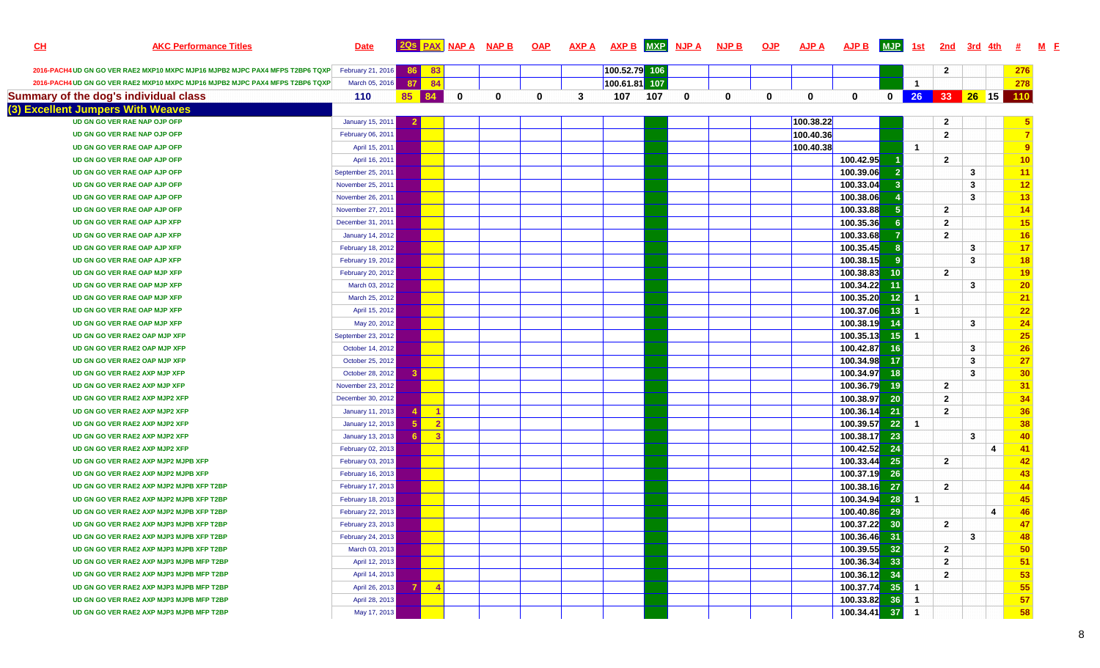| <u>CH</u> | <b>AKC Performance Titles</b>                                                 | <b>Date</b>             |           |                |   | <b>2QS PAX NAP A NAP B</b> | <u>OAP</u> | <b>AXP A</b> | AXP B MXP NJP A |     |   | <b>NJP B</b> | <b>OJP</b> | <b>AJP A</b> | AJP B MJP           |                 | <u>1st</u>     | 2nd            | <u>3rd 4th</u> |   | #               |
|-----------|-------------------------------------------------------------------------------|-------------------------|-----------|----------------|---|----------------------------|------------|--------------|-----------------|-----|---|--------------|------------|--------------|---------------------|-----------------|----------------|----------------|----------------|---|-----------------|
|           | 2016-PACH4 UD GN GO VER RAE2 MXP10 MXPC MJP16 MJPB2 MJPC PAX4 MFPS T2BP6 TQXP | February 21, 2016       | <b>86</b> | 83             |   |                            |            |              | 100.52.79 106   |     |   |              |            |              |                     |                 |                | $\mathbf{2}$   |                |   | 276             |
|           | 2016-PACH4 UD GN GO VER RAE2 MXP10 MXPC MJP16 MJPB2 MJPC PAX4 MFPS T2BP6 TQXP | March 05, 2016          | 87        | 84             |   |                            |            |              | 100.61.81 107   |     |   |              |            |              |                     |                 | $\overline{1}$ |                |                |   | 278             |
|           | Summary of the dog's individual class                                         | 110                     | 85        | 84             | 0 | 0                          | 0          | 3            | 107             | 107 | 0 | 0            | $\bf{0}$   | $\mathbf 0$  | $\mathbf{0}$        |                 | 0 26 33 26 15  |                |                |   | 110             |
|           | (3) Excellent Jumpers With Weaves                                             |                         |           |                |   |                            |            |              |                 |     |   |              |            |              |                     |                 |                |                |                |   |                 |
|           | UD GN GO VER RAE NAP OJP OFP                                                  | January 15, 2011        |           |                |   |                            |            |              |                 |     |   |              |            | 100.38.22    |                     |                 |                | $\mathbf{2}$   |                |   |                 |
|           | UD GN GO VER RAE NAP OJP OFP                                                  | February 06, 2011       |           |                |   |                            |            |              |                 |     |   |              |            | 100.40.36    |                     |                 |                | $\overline{2}$ |                |   | $\overline{7}$  |
|           | UD GN GO VER RAE OAP AJP OFP                                                  | April 15, 2011          |           |                |   |                            |            |              |                 |     |   |              |            | 100.40.38    |                     |                 | $\blacksquare$ |                |                |   | $\overline{9}$  |
|           | UD GN GO VER RAE OAP AJP OFP                                                  | April 16, 2011          |           |                |   |                            |            |              |                 |     |   |              |            |              | 100.42.95           |                 |                | $\mathbf{2}$   |                |   | 10              |
|           | UD GN GO VER RAE OAP AJP OFP                                                  | September 25, 2011      |           |                |   |                            |            |              |                 |     |   |              |            |              | 100.39.06           |                 |                |                | $\mathbf{3}$   |   | 11              |
|           | UD GN GO VER RAE OAP AJP OFP                                                  | November 25, 2011       |           |                |   |                            |            |              |                 |     |   |              |            |              | 100.33.04           |                 |                |                | $\mathbf{3}$   |   | 12              |
|           | UD GN GO VER RAE OAP AJP OFP                                                  | November 26, 2011       |           |                |   |                            |            |              |                 |     |   |              |            |              | 100.38.06           |                 |                |                | $\mathbf{3}$   |   | 13              |
|           | UD GN GO VER RAE OAP AJP OFP                                                  | November 27, 2011       |           |                |   |                            |            |              |                 |     |   |              |            |              | 100.33.88           |                 |                | $\mathbf{2}$   |                |   | 14              |
|           | UD GN GO VER RAE OAP AJP XFP                                                  | December 31, 2011       |           |                |   |                            |            |              |                 |     |   |              |            |              | 100.35.36           |                 |                | $\overline{2}$ |                |   | 15              |
|           | UD GN GO VER RAE OAP AJP XFP                                                  | <b>January 14, 2012</b> |           |                |   |                            |            |              |                 |     |   |              |            |              | 100.33.68           |                 |                | $\overline{2}$ |                |   | 16              |
|           | UD GN GO VER RAE OAP AJP XFP                                                  | February 18, 2012       |           |                |   |                            |            |              |                 |     |   |              |            |              | 100.35.45           |                 |                |                | $\mathbf{3}$   |   | 17              |
|           | UD GN GO VER RAE OAP AJP XFP                                                  | February 19, 2012       |           |                |   |                            |            |              |                 |     |   |              |            |              | 100.38.15           |                 |                |                | $\mathbf{3}$   |   | 18              |
|           | UD GN GO VER RAE OAP MJP XFP                                                  | February 20, 2012       |           |                |   |                            |            |              |                 |     |   |              |            |              | 100.38.83           | 10              |                | $\overline{2}$ |                |   | 19              |
|           | UD GN GO VER RAE OAP MJP XFP                                                  | March 03, 2012          |           |                |   |                            |            |              |                 |     |   |              |            |              | 100.34.22           |                 |                |                | 3              |   | 20              |
|           | UD GN GO VER RAE OAP MJP XFP                                                  | March 25, 2012          |           |                |   |                            |            |              |                 |     |   |              |            |              | 100.35.20           | 12 <sub>2</sub> | $\blacksquare$ |                |                |   | 21              |
|           | UD GN GO VER RAE OAP MJP XFP                                                  | April 15, 2012          |           |                |   |                            |            |              |                 |     |   |              |            |              | 100.37.06           | 13              | $\overline{1}$ |                |                |   | 22              |
|           | UD GN GO VER RAE OAP MJP XFP                                                  | May 20, 2012            |           |                |   |                            |            |              |                 |     |   |              |            |              | 100.38.19           |                 |                |                | 3              |   | 24              |
|           | UD GN GO VER RAE2 OAP MJP XFP                                                 | September 23, 2012      |           |                |   |                            |            |              |                 |     |   |              |            |              | 100.35.13           | 15 <sub>1</sub> | $\overline{1}$ |                |                |   | <b>25</b>       |
|           | UD GN GO VER RAE2 OAP MJP XFP                                                 | October 14, 2012        |           |                |   |                            |            |              |                 |     |   |              |            |              | 100.42.87           | 16              |                |                | 3              |   | <b>26</b>       |
|           | UD GN GO VER RAE2 OAP MJP XFP                                                 | October 25, 2012        |           |                |   |                            |            |              |                 |     |   |              |            |              | 100.34.98           |                 |                |                | $\mathbf{3}$   |   | 27              |
|           | UD GN GO VER RAE2 AXP MJP XFP                                                 | October 28, 2012        |           |                |   |                            |            |              |                 |     |   |              |            |              | 100.34.97           | 18              |                |                | $\mathbf{3}$   |   | 30 <sub>o</sub> |
|           | UD GN GO VER RAE2 AXP MJP XFP                                                 | November 23, 2012       |           |                |   |                            |            |              |                 |     |   |              |            |              | 100.36.79           | 19              |                | $\mathbf{2}$   |                |   | 31              |
|           | UD GN GO VER RAE2 AXP MJP2 XFP                                                | December 30, 2012       |           |                |   |                            |            |              |                 |     |   |              |            |              | 100.38.97           | 20              |                | $\mathbf{2}$   |                |   | 34              |
|           | UD GN GO VER RAE2 AXP MJP2 XFP                                                | January 11, 2013        |           |                |   |                            |            |              |                 |     |   |              |            |              | 100.36.14           | 21              |                | $\mathbf{2}$   |                |   | 36              |
|           | UD GN GO VER RAE2 AXP MJP2 XFP                                                | January 12, 2013        |           | $\overline{2}$ |   |                            |            |              |                 |     |   |              |            |              | 100.39.57           | 22              | $\blacksquare$ |                |                |   | 38              |
|           | UD GN GO VER RAE2 AXP MJP2 XFP                                                | January 13, 2013        |           | $\mathbf{3}$   |   |                            |            |              |                 |     |   |              |            |              | 100.38.17           | -23             |                |                | $\mathbf{3}$   |   | 40              |
|           | UD GN GO VER RAE2 AXP MJP2 XFP                                                | February 02, 2013       |           |                |   |                            |            |              |                 |     |   |              |            |              | 100.42.52           | 24              |                |                |                | 4 | 41              |
|           | UD GN GO VER RAE2 AXP MJP2 MJPB XFP                                           | February 03, 2013       |           |                |   |                            |            |              |                 |     |   |              |            |              | 100.33.44           | 25              |                | $\mathbf{2}$   |                |   | 42              |
|           | UD GN GO VER RAE2 AXP MJP2 MJPB XFP                                           | February 16, 2013       |           |                |   |                            |            |              |                 |     |   |              |            |              | 100.37.19           | 26              |                |                |                |   | 43              |
|           | UD GN GO VER RAE2 AXP MJP2 MJPB XFP T2BP                                      | February 17, 2013       |           |                |   |                            |            |              |                 |     |   |              |            |              | 100.38.16           | 27              |                | $\overline{2}$ |                |   | 44              |
|           | UD GN GO VER RAE2 AXP MJP2 MJPB XFP T2BP                                      | February 18, 2013       |           |                |   |                            |            |              |                 |     |   |              |            |              | 100.34.94           | 28              | $\blacksquare$ |                |                |   | 45              |
|           | UD GN GO VER RAE2 AXP MJP2 MJPB XFP T2BP                                      | February 22, 2013       |           |                |   |                            |            |              |                 |     |   |              |            |              | 100.40.86           | 29              |                |                |                | 4 | 46              |
|           | UD GN GO VER RAE2 AXP MJP3 MJPB XFP T2BP                                      | February 23, 2013       |           |                |   |                            |            |              |                 |     |   |              |            |              | 100.37.22 30        |                 |                | $\mathbf{2}$   |                |   | 47              |
|           | UD GN GO VER RAE2 AXP MJP3 MJPB XFP T2BP                                      | February 24, 2013       |           |                |   |                            |            |              |                 |     |   |              |            |              | 100.36.46 <b>31</b> |                 |                |                | $\mathbf{3}$   |   | 48              |
|           | UD GN GO VER RAE2 AXP MJP3 MJPB XFP T2BP                                      | March 03, 2013          |           |                |   |                            |            |              |                 |     |   |              |            |              | 100.39.55 <b>32</b> |                 |                | $\overline{2}$ |                |   | 50              |
|           | UD GN GO VER RAE2 AXP MJP3 MJPB MFP T2BP                                      | April 12, 2013          |           |                |   |                            |            |              |                 |     |   |              |            |              | 100.36.34           | 33              |                | $\overline{2}$ |                |   | 51              |
|           | UD GN GO VER RAE2 AXP MJP3 MJPB MFP T2BP                                      | April 14, 2013          |           |                |   |                            |            |              |                 |     |   |              |            |              | 100.36.12           | 34              |                | $\overline{2}$ |                |   | 53              |
|           | UD GN GO VER RAE2 AXP MJP3 MJPB MFP T2BP                                      | April 26, 2013          |           | $\overline{4}$ |   |                            |            |              |                 |     |   |              |            |              | 100.37.74 35        |                 | $\blacksquare$ |                |                |   | 55              |
|           | UD GN GO VER RAE2 AXP MJP3 MJPB MFP T2BP                                      | April 28, 2013          |           |                |   |                            |            |              |                 |     |   |              |            |              | 100.33.82 36        |                 | $\overline{1}$ |                |                |   | 57              |
|           | UD GN GO VER RAE2 AXP MJP3 MJPB MFP T2BP                                      | May 17, 2013            |           |                |   |                            |            |              |                 |     |   |              |            |              | 100.34.41 37        |                 | $\overline{1}$ |                |                |   | 58              |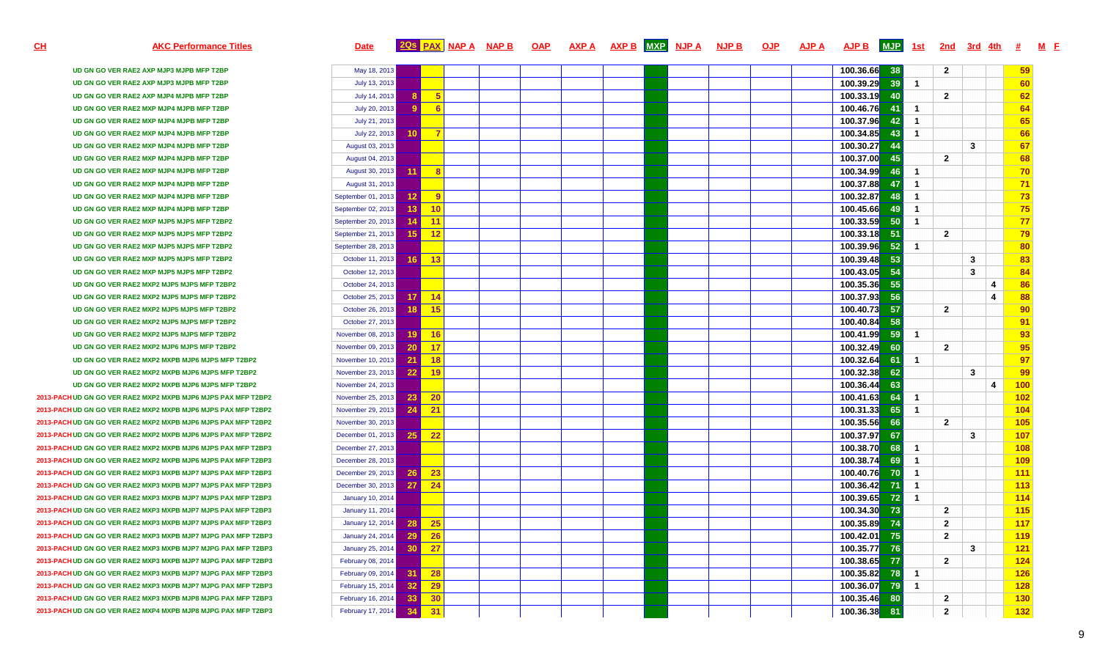# <u>H</u> home and a set of the set of the same are a set of the set of the set of the set of the set of the set of the set of the set of the set of the set of the set of the set of the set of the set of the set of the set of th

**UD GN GO VER RAE2 AXP MJP3 MJPB MFP T2BPUD GN GO VER RAE2 AXP MJP3 MJPB MFP T2BPUD GN GO VER RAE2 AXP MJP4 MJPB MFP T2BPUD GN GO VER RAE2 MXP MJP4 MJPB MFP T2BPUD GN GO VER RAE2 MXP MJP4 MJPB MFP T2BPUD GN GO VER RAE2 MXP MJP4 MJPB MFP T2BPUD GN GO VER RAE2 MXP MJP4 MJPB MFP T2BPUD GN GO VER RAE2 MXP MJP4 MJPB MFP T2BPUD GN GO VER RAE2 MXP MJP4 MJPB MFP T2BPUD GN GO VER RAE2 MXP MJP4 MJPB MFP T2BPUD GN GO VER RAE2 MXP MJP4 MJPB MFP T2BPUD GN GO VER RAE2 MXP MJP4 MJPB MFP T2BPUD GN GO VER RAE2 MXP MJP5 MJPS MFP T2BP2UD GN GO VER RAE2 MXP MJP5 MJPS MFP T2BP2UD GN GO VER RAE2 MXP MJP5 MJPS MFP T2BP2UD GN GO VER RAE2 MXP MJP5 MJPS MFP T2BP2UD GN GO VER RAE2 MXP MJP5 MJPS MFP T2BP2UD GN GO VER RAE2 MXP2 MJP5 MJPS MFP T2BP2UD GN GO VER RAE2 MXP2 MJP5 MJPS MFP T2BP2UD GN GO VER RAE2 MXP2 MJP5 MJPS MFP T2BP2UD GN GO VER RAE2 MXP2 MJP5 MJPS MFP T2BP2UD GN GO VER RAE2 MXP2 MJP5 MJPS MFP T2BP2UD GN GO VER RAE2 MXP2 MJP6 MJPS MFP T2BP2UD GN GO VER RAE2 MXP2 MXPB MJP6 MJPS MFP T2BP2UD GN GO VER RAE2 MXP2 MXPB MJP6 MJPS MFP T2BP2UD GN GO VER RAE2 MXP2 MXPB MJP6 MJPS MFP T2BP2**

**2013-PACHUD GN GO VER RAE2 MXP2 MXPB MJP6 MJPS PAX MFP T2BP22013-PACHUD GN GO VER RAE2 MXP2 MXPB MJP6 MJPS PAX MFP T2BP22013-PACHUD GN GO VER RAE2 MXP2 MXPB MJP6 MJPS PAX MFP T2BP22013-PACHUD GN GO VER RAE2 MXP2 MXPB MJP6 MJPS PAX MFP T2BP22013-PACHUD GN GO VER RAE2 MXP2 MXPB MJP6 MJPS PAX MFP T2BP32013-PACHUD GN GO VER RAE2 MXP2 MXPB MJP6 MJPS PAX MFP T2BP32013-PACHUD GN GO VER RAE2 MXP3 MXPB MJP7 MJPS PAX MFP T2BP32013-PACHUD GN GO VER RAE2 MXP3 MXPB MJP7 MJPS PAX MFP T2BP32013-PACHUD GN GO VER RAE2 MXP3 MXPB MJP7 MJPS PAX MFP T2BP32013-PACHUD GN GO VER RAE2 MXP3 MXPB MJP7 MJPS PAX MFP T2BP32013-PACHUD GN GO VER RAE2 MXP3 MXPB MJP7 MJPS PAX MFP T2BP32013-PACHUD GN GO VER RAE2 MXP3 MXPB MJP7 MJPG PAX MFP T2BP32013-PACHUD GN GO VER RAE2 MXP3 MXPB MJP7 MJPG PAX MFP T2BP32013-PACHUD GN GO VER RAE2 MXP3 MXPB MJP7 MJPG PAX MFP T2BP32013-PACHUD GN GO VER RAE2 MXP3 MXPB MJP7 MJPG PAX MFP T2BP32013-PACHUD GN GO VER RAE2 MXP3 MXPB MJP7 MJPG PAX MFP T2BP32013-PACHUD GN GO VER RAE2 MXP3 MXPB MJP8 MJPG PAX MFP T2BP32013-PACHUD GN GO VER RAE2 MXP4 MXPB MJP8 MJPG PAX MFP T2BP3**

|                  | May 18, 2013            |    |                |  |  |  |  | 100.36.66 | 38  |                      | $\overline{2}$ |              |                         | 59         |
|------------------|-------------------------|----|----------------|--|--|--|--|-----------|-----|----------------------|----------------|--------------|-------------------------|------------|
|                  | July 13, 2013           |    |                |  |  |  |  | 100.39.29 | 39  | $\blacktriangleleft$ |                |              |                         | 60         |
|                  | July 14, 2013           | 8. | 5              |  |  |  |  | 100.33.19 | 40  |                      | $\overline{2}$ |              |                         | 62         |
| P)               | July 20, 2013           | 9  | 6              |  |  |  |  | 100.46.76 | -41 | $\mathbf{1}$         |                |              |                         | 64         |
|                  | July 21, 2013           |    |                |  |  |  |  | 100.37.96 | 42  | $\overline{1}$       |                |              |                         | 65         |
| ١P               | July 22, 2013           | 10 | $\overline{7}$ |  |  |  |  | 100.34.85 | 43  | $\mathbf{1}$         |                |              |                         | 66         |
| P)               | August 03, 2013         |    |                |  |  |  |  | 100.30.27 | 44  |                      |                | 3            |                         | 67         |
| ۱P               | August 04, 2013         |    |                |  |  |  |  | 100.37.00 | 45  |                      | $\overline{2}$ |              |                         | 68         |
| ۱P               | August 30, 2013         | 11 | 8              |  |  |  |  | 100.34.99 | 46  | $\mathbf{1}$         |                |              |                         | 70         |
| P)               | August 31, 2013         |    |                |  |  |  |  | 100.37.88 | 47  | $\overline{1}$       |                |              |                         | 71         |
| P)               | September 01, 2013      | 12 | $\overline{9}$ |  |  |  |  | 100.32.87 | 48  | $\overline{1}$       |                |              |                         | 73         |
| ۱P               | September 02, 2013      | 13 | 10             |  |  |  |  | 100.45.66 | 49  | $\mathbf{1}$         |                |              |                         | 75         |
| P <sub>2</sub>   | September 20, 2013      | 14 | 11             |  |  |  |  | 100.33.59 | 50  | $\overline{1}$       |                |              |                         | 77         |
| P2               | September 21, 2013      | 15 | 12             |  |  |  |  | 100.33.18 | 51  |                      | $\overline{2}$ |              |                         | 79         |
| P2               | September 28, 2013      |    |                |  |  |  |  | 100.39.96 | 52  | $\mathbf{1}$         |                |              |                         | 80         |
| P2               | October 11, 2013        | 16 | 13             |  |  |  |  | 100.39.48 | 53  |                      |                | 3            |                         | 83         |
| P <sub>2</sub>   | October 12, 2013        |    |                |  |  |  |  | 100.43.05 | 54  |                      |                | 3            |                         | 84         |
| BP2              | October 24, 2013        |    |                |  |  |  |  | 100.35.36 | 55  |                      |                |              | 4                       | 86         |
| BP <sub>2</sub>  | October 25, 2013        | 17 | 14             |  |  |  |  | 100.37.93 | 56  |                      |                |              | 4                       | 88         |
| BP <sub>2</sub>  | October 26, 2013        | 18 | 15             |  |  |  |  | 100.40.73 | 57  |                      | $\overline{2}$ |              |                         | 90         |
| BP2              | October 27, 2013        |    |                |  |  |  |  | 100.40.84 | 58  |                      |                |              |                         | 91         |
| BP <sub>2</sub>  | November 08, 2013       | 19 | 16             |  |  |  |  | 100.41.99 | 59  | $\mathbf{1}$         |                |              |                         | 93         |
| BP2              | November 09, 2013       | 20 | 17             |  |  |  |  | 100.32.49 | 60  |                      | $\overline{2}$ |              |                         | 95         |
| <b>IFP T2BP2</b> | November 10, 2013       | 21 | 18             |  |  |  |  | 100.32.64 | 61  | -1                   |                |              |                         | 97         |
| <b>IFP T2BP2</b> | November 23, 2013       | 22 | 19             |  |  |  |  | 100.32.38 | 62  |                      |                | $\mathbf{3}$ |                         | 99         |
| <b>IFP T2BP2</b> | November 24, 2013       |    |                |  |  |  |  | 100.36.44 | 63  |                      |                |              | $\overline{\mathbf{4}}$ | 100        |
| AX MFP T2BP2     | November 25, 2013       | 23 | 20             |  |  |  |  | 100.41.63 | 64  | $\overline{1}$       |                |              |                         | 102        |
| AX MFP T2BP2     | November 29, 2013       | 24 | 21             |  |  |  |  | 100.31.33 | 65  | $\mathbf{1}$         |                |              |                         | 104        |
| AX MFP T2BP2     | November 30, 2013       |    |                |  |  |  |  | 100.35.56 | 66  |                      | $\overline{2}$ |              |                         | 105        |
| AX MFP T2BP2     | December 01, 2013       | 25 | 22             |  |  |  |  | 100.37.97 | 67  |                      |                | 3            |                         | 107        |
| AX MFP T2BP3     | December 27, 2013       |    |                |  |  |  |  | 100.38.70 | 68  | $\mathbf{1}$         |                |              |                         | 108        |
| AX MFP T2BP3     | December 28, 2013       |    |                |  |  |  |  | 100.38.74 | 69  | $\overline{1}$       |                |              |                         | 109        |
| AX MFP T2BP3     | December 29, 2013       | 26 | 23             |  |  |  |  | 100.40.76 | 70  | $\overline{1}$       |                |              |                         | 111        |
| AX MFP T2BP3     | December 30, 2013       | 27 | 24             |  |  |  |  | 100.36.42 | 71  | $\mathbf{1}$         |                |              |                         | 113        |
| AX MFP T2BP3     | <b>January 10, 2014</b> |    |                |  |  |  |  | 100.39.65 | 72  | $\overline{1}$       |                |              |                         | 114        |
| AX MFP T2BP3     | <b>January 11, 2014</b> |    |                |  |  |  |  | 100.34.30 | 73  |                      | $\overline{2}$ |              |                         | 115        |
| AX MFP T2BP3     | January 12, 2014        | 28 | 25             |  |  |  |  | 100.35.89 | 74  |                      | $\overline{2}$ |              |                         | 117        |
| AX MFP T2BP3     | <b>January 24, 2014</b> | 29 | 26             |  |  |  |  | 100.42.01 | 75  |                      | $\overline{2}$ |              |                         | 119        |
| AX MFP T2BP3     | January 25, 2014        | 30 | 27             |  |  |  |  | 100.35.77 | 76  |                      |                | 3            |                         | 121        |
| AX MFP T2BP3     | February 08, 2014       |    |                |  |  |  |  | 100.38.65 | 77  |                      | $\overline{2}$ |              |                         | 124        |
| AX MFP T2BP3     | February 09, 2014       | 31 | 28             |  |  |  |  | 100.35.82 | 78  | $\mathbf{1}$         |                |              |                         | <b>126</b> |
| AX MFP T2BP3     | February 15, 2014       | 32 | 29             |  |  |  |  | 100.36.07 | 79  | $\mathbf{1}$         |                |              |                         | <b>128</b> |
| AX MFP T2BP3     | February 16, 2014       | 33 | 30             |  |  |  |  | 100.35.46 | 80  |                      | $\overline{2}$ |              |                         | 130        |
| AX MFP T2BP3     | February 17, 2014       | 34 | 31             |  |  |  |  | 100.36.38 | 81  |                      | $\overline{2}$ |              |                         | 132        |
|                  |                         |    |                |  |  |  |  |           |     |                      |                |              |                         |            |

**CH**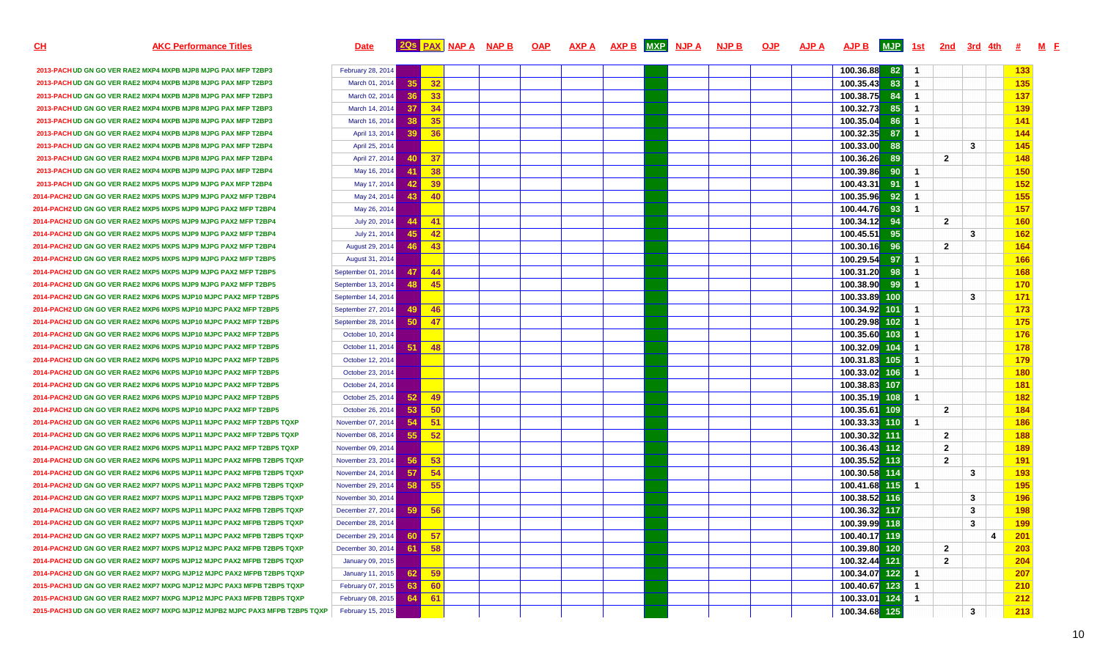**CH**

## AKC Performance Titles **Example 2018 AVALUATE AVALUATE STATE AVALUATE AVALUATE AVALUATE AVALUATE AVALUATE AVALU**  $\overline{A}$ **JPB**  $\overline{M}$ **JP**  $\overline{1}$  3t  $\overline{2}$  2nd  $\overline{3}$ rd  $\overline{4}$ th  $\overline{4}$   $\overline{M}$  F

| 2013-PACH UD GN GO VER RAE2 MXP4 MXPB MJP8 MJPG PAX MFP T2BP3                | February 28, 2014  |                 |       |  |  |  | 100.36.88 | 82  |                         |                |   | 133        |
|------------------------------------------------------------------------------|--------------------|-----------------|-------|--|--|--|-----------|-----|-------------------------|----------------|---|------------|
| 2013-PACH UD GN GO VER RAE2 MXP4 MXPB MJP8 MJPG PAX MFP T2BP3                | March 01, 2014     | 35              | 32    |  |  |  | 100.35.43 | 83  | $\blacksquare$          |                |   | 135        |
| 2013-PACH UD GN GO VER RAE2 MXP4 MXPB MJP8 MJPG PAX MFP T2BP3                | March 02, 2014     | 36              | 33    |  |  |  | 100.38.75 | 84  | $\overline{1}$          |                |   | 137        |
| 2013-PACH UD GN GO VER RAE2 MXP4 MXPB MJP8 MJPG PAX MFP T2BP3                | March 14, 2014     | 37 <sup>1</sup> | 34    |  |  |  | 100.32.73 | 85  | $\overline{1}$          |                |   | 139        |
| 2013-PACH UD GN GO VER RAE2 MXP4 MXPB MJP8 MJPG PAX MFP T2BP3                | March 16, 2014     | 38 <sup>1</sup> | 35    |  |  |  | 100.35.04 | 86  | $\overline{1}$          |                |   | 141        |
| 2013-PACH UD GN GO VER RAE2 MXP4 MXPB MJP8 MJPG PAX MFP T2BP4                | April 13, 2014     | 39              | 36    |  |  |  | 100.32.35 | 87  | $\overline{1}$          |                |   | <b>144</b> |
| 2013-PACH UD GN GO VER RAE2 MXP4 MXPB MJP8 MJPG PAX MFP T2BP4                | April 25, 2014     |                 |       |  |  |  | 100.33.00 | 88  |                         | 3              |   | 145        |
| 2013-PACH UD GN GO VER RAE2 MXP4 MXPB MJP8 MJPG PAX MFP T2BP4                | April 27, 2014     | 40 <sup>1</sup> | 37    |  |  |  | 100.36.26 | 89  |                         | $\overline{2}$ |   | 148        |
| 2013-PACH UD GN GO VER RAE2 MXP4 MXPB MJP9 MJPG PAX MFP T2BP4                | May 16, 2014       | 41              | 38    |  |  |  | 100.39.86 | 90  | $\overline{1}$          |                |   | 150        |
| 2013-PACH UD GN GO VER RAE2 MXP5 MXPS MJP9 MJPG PAX MFP T2BP4                | May 17, 2014       | 42 <sub>1</sub> | 39    |  |  |  | 100.43.31 | 91  | $\overline{1}$          |                |   | 152        |
| 2014-PACH2 UD GN GO VER RAE2 MXP5 MXPS MJP9 MJPG PAX2 MFP T2BP4              | May 24, 2014       | 43              | 40    |  |  |  | 100.35.96 | 92  | $\overline{1}$          |                |   | 155        |
| 2014-PACH2 UD GN GO VER RAE2 MXP5 MXPS MJP9 MJPG PAX2 MFP T2BP4              | May 26, 2014       |                 |       |  |  |  | 100.44.76 | 93  | $\overline{1}$          |                |   | 157        |
| 2014-PACH2 UD GN GO VER RAE2 MXP5 MXPS MJP9 MJPG PAX2 MFP T2BP4              | July 20, 2014      | 44              | $-41$ |  |  |  | 100.34.12 | 94  |                         | $\mathbf{2}$   |   | <b>160</b> |
| 2014-PACH2 UD GN GO VER RAE2 MXP5 MXPS MJP9 MJPG PAX2 MFP T2BP4              | July 21, 2014      | 45              | 42    |  |  |  | 100.45.51 | 95  |                         | 3              |   | 162        |
| 2014-PACH2 UD GN GO VER RAE2 MXP5 MXPS MJP9 MJPG PAX2 MFP T2BP4              | August 29, 2014    | 46              | 43    |  |  |  | 100.30.16 | 96  |                         | $\overline{2}$ |   | <b>164</b> |
| 2014-PACH2 UD GN GO VER RAE2 MXP5 MXPS MJP9 MJPG PAX2 MFP T2BP5              | August 31, 2014    |                 |       |  |  |  | 100.29.54 | 97  | $\overline{1}$          |                |   | 166        |
| 2014-PACH2 UD GN GO VER RAE2 MXP5 MXPS MJP9 MJPG PAX2 MFP T2BP5              | September 01, 2014 | 47              | -44   |  |  |  | 100.31.20 | 98  | $\overline{1}$          |                |   | 168        |
| 2014-PACH2 UD GN GO VER RAE2 MXP6 MXPS MJP9 MJPG PAX2 MFP T2BP5              | September 13, 2014 | 48              | 45    |  |  |  | 100.38.90 | 99  | $\overline{1}$          |                |   | 170        |
| 2014-PACH2 UD GN GO VER RAE2 MXP6 MXPS MJP10 MJPC PAX2 MFP T2BP5             | September 14, 2014 |                 |       |  |  |  | 100.33.89 | 100 |                         | 3              |   | 171        |
| 2014-PACH2 UD GN GO VER RAE2 MXP6 MXPS MJP10 MJPC PAX2 MFP T2BP5             | September 27, 2014 | 49              | 46    |  |  |  | 100.34.92 | 101 | $\overline{1}$          |                |   | 173        |
| 2014-PACH2 UD GN GO VER RAE2 MXP6 MXPS MJP10 MJPC PAX2 MFP T2BP5             | September 28, 2014 | 50 <sub>1</sub> | 47    |  |  |  | 100.29.98 | 102 | $\overline{1}$          |                |   | 175        |
| 2014-PACH2 UD GN GO VER RAE2 MXP6 MXPS MJP10 MJPC PAX2 MFP T2BP5             | October 10, 2014   |                 |       |  |  |  | 100.35.60 | 103 | $\overline{\mathbf{1}}$ |                |   | 176        |
| 2014-PACH2 UD GN GO VER RAE2 MXP6 MXPS MJP10 MJPC PAX2 MFP T2BP5             | October 11, 2014   | 51              | 48    |  |  |  | 100.32.09 | 104 | $\overline{1}$          |                |   | 178        |
| 2014-PACH2 UD GN GO VER RAE2 MXP6 MXPS MJP10 MJPC PAX2 MFP T2BP5             | October 12, 2014   |                 |       |  |  |  | 100.31.83 | 105 | $\overline{1}$          |                |   | 179        |
| 2014-PACH2 UD GN GO VER RAE2 MXP6 MXPS MJP10 MJPC PAX2 MFP T2BP5             | October 23, 2014   |                 |       |  |  |  | 100.33.02 | 106 | $\mathbf{1}$            |                |   | 180        |
| 2014-PACH2 UD GN GO VER RAE2 MXP6 MXPS MJP10 MJPC PAX2 MFP T2BP5             | October 24, 2014   |                 |       |  |  |  | 100.38.83 | 107 |                         |                |   | 181        |
| 2014-PACH2 UD GN GO VER RAE2 MXP6 MXPS MJP10 MJPC PAX2 MFP T2BP5             | October 25, 2014   | 52              | 49    |  |  |  | 100.35.19 | 108 | $\overline{1}$          |                |   | 182        |
| 2014-PACH2 UD GN GO VER RAE2 MXP6 MXPS MJP10 MJPC PAX2 MFP T2BP5             | October 26, 2014   | 53              | -50   |  |  |  | 100.35.61 | 109 |                         | $\mathbf{2}$   |   | 184        |
| 2014-PACH2 UD GN GO VER RAE2 MXP6 MXPS MJP11 MJPC PAX2 MFP T2BP5 TQXP        | November 07, 2014  | 54              | $-51$ |  |  |  | 100.33.33 | 110 | $\mathbf{1}$            |                |   | 186        |
| 2014-PACH2 UD GN GO VER RAE2 MXP6 MXPS MJP11 MJPC PAX2 MFP T2BP5 TQXP        | November 08, 2014  | 55              | 52    |  |  |  | 100.30.32 | 111 |                         | $\mathbf{2}$   |   | 188        |
| 2014-PACH2 UD GN GO VER RAE2 MXP6 MXPS MJP11 MJPC PAX2 MFP T2BP5 TQXP        | November 09, 2014  |                 |       |  |  |  | 100.36.43 | 112 |                         | $\mathbf{2}$   |   | <b>189</b> |
| 2014-PACH2 UD GN GO VER RAE2 MXP6 MXPS MJP11 MJPC PAX2 MFPB T2BP5 TQXP       | November 23, 2014  | 56              | 53    |  |  |  | 100.35.52 | 113 |                         | $\overline{2}$ |   | 191        |
| 2014-PACH2 UD GN GO VER RAE2 MXP6 MXPS MJP11 MJPC PAX2 MFPB T2BP5 TQXP       | November 24, 2014  | 57              | 54    |  |  |  | 100.30.58 | 114 |                         | 3              |   | 193        |
| 2014-PACH2 UD GN GO VER RAE2 MXP7 MXPS MJP11 MJPC PAX2 MFPB T2BP5 TQXP       | November 29, 2014  | 58              | 55    |  |  |  | 100.41.68 | 115 | $\overline{1}$          |                |   | 195        |
| 2014-PACH2 UD GN GO VER RAE2 MXP7 MXPS MJP11 MJPC PAX2 MFPB T2BP5 TQXP       | November 30, 2014  |                 |       |  |  |  | 100.38.52 | 116 |                         | $\mathbf{3}$   |   | 196        |
| 2014-PACH2 UD GN GO VER RAE2 MXP7 MXPS MJP11 MJPC PAX2 MFPB T2BP5 TQXP       | December 27, 2014  | 59 <sub>1</sub> | 56    |  |  |  | 100.36.32 |     |                         | $\mathbf{3}$   |   | 198        |
| 2014-PACH2 UD GN GO VER RAE2 MXP7 MXPS MJP11 MJPC PAX2 MFPB T2BP5 TQXP       | December 28, 2014  |                 |       |  |  |  | 100.39.99 | 118 |                         | $\mathbf{3}$   |   | 199        |
| 2014-PACH2 UD GN GO VER RAE2 MXP7 MXPS MJP11 MJPC PAX2 MFPB T2BP5 TQXP       | December 29, 2014  | 60 L            | -57   |  |  |  | 100.40.17 | 119 |                         |                | 4 | <b>201</b> |
| 2014-PACH2UD GN GO VER RAE2 MXP7 MXPS MJP12 MJPC PAX2 MFPB T2BP5 TQXP        | December 30, 2014  | 61              | 58    |  |  |  | 100.39.80 | 120 |                         | $\overline{2}$ |   | <b>203</b> |
| 2014-PACH2 UD GN GO VER RAE2 MXP7 MXPS MJP12 MJPC PAX2 MFPB T2BP5 TQXP       | January 09, 2015   |                 |       |  |  |  | 100.32.44 | 121 |                         | $\overline{2}$ |   | 204        |
| 2014-PACH2 UD GN GO VER RAE2 MXP7 MXPG MJP12 MJPC PAX2 MFPB T2BP5 TQXP       | January 11, 2015   | 62              | -59   |  |  |  | 100.34.07 | 122 | -1                      |                |   | 207        |
| 2015-PACH3 UD GN GO VER RAE2 MXP7 MXPG MJP12 MJPC PAX3 MFPB T2BP5 TQXP       | February 07, 2015  | 63              | 60    |  |  |  | 100.40.67 | 123 | $\mathbf{1}$            |                |   | 210        |
| 2015-PACH3 UD GN GO VER RAE2 MXP7 MXPG MJP12 MJPC PAX3 MFPB T2BP5 TQXP       | February 08, 2015  | 64              | -61   |  |  |  | 100.33.01 | 124 | $\overline{1}$          |                |   | 212        |
| 2015-PACH3 UD GN GO VER RAE2 MXP7 MXPG MJP12 MJPB2 MJPC PAX3 MFPB T2BP5 TQXP | February 15, 2015  |                 |       |  |  |  | 100.34.68 | 125 |                         | 3              |   | 213        |
|                                                                              |                    |                 |       |  |  |  |           |     |                         |                |   |            |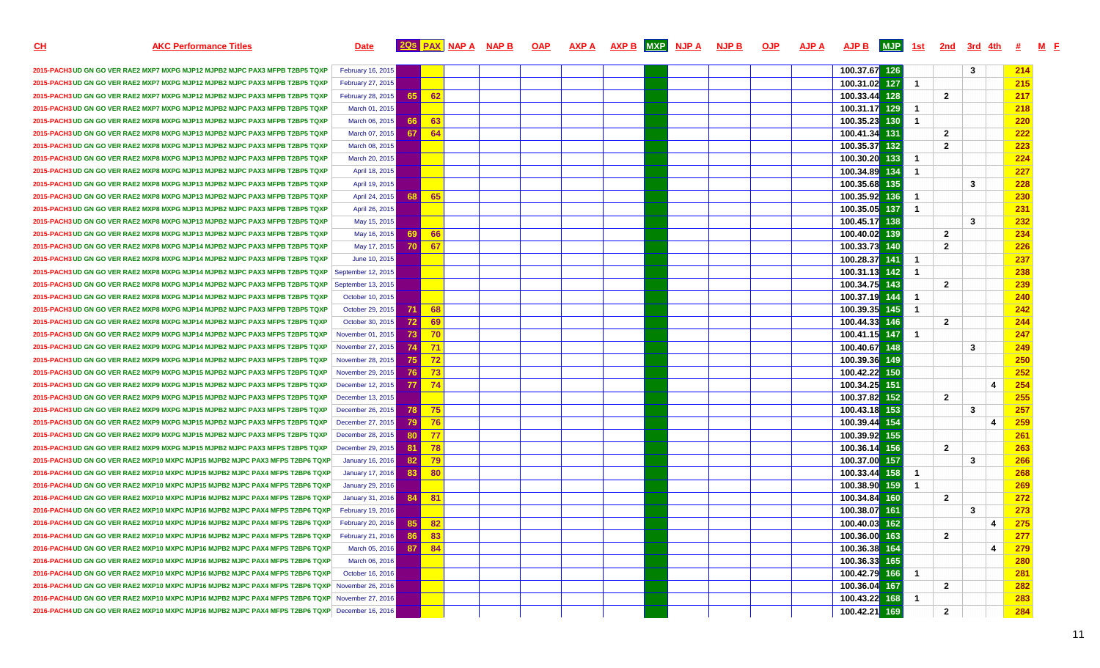| <u>СН</u> | <b>AKC Performance Titles</b>                                                                     | <b>Date</b>       |                 |       | <u>205 PAX NAPA NAPB</u> | <b>OAP</b> | AXP A | <b>AXP B MXP</b> | <u>NJP A</u> | <b>NJP B</b> | <b>OJP</b> | AJP A | <b>AJP B</b>  | <b>MJP</b> | <u>1st</u>           | <u>2nd</u>     | <u>3rd 4th</u> |    | M F<br><b>#</b> |
|-----------|---------------------------------------------------------------------------------------------------|-------------------|-----------------|-------|--------------------------|------------|-------|------------------|--------------|--------------|------------|-------|---------------|------------|----------------------|----------------|----------------|----|-----------------|
|           |                                                                                                   |                   |                 |       |                          |            |       |                  |              |              |            |       |               |            |                      |                |                |    |                 |
|           | 2015-PACH3 UD GN GO VER RAE2 MXP7 MXPG MJP12 MJPB2 MJPC PAX3 MFPB T2BP5 TQXP                      | February 16, 2015 |                 |       |                          |            |       |                  |              |              |            |       | 100.37.67     | 126        |                      |                | 3              |    | 214             |
|           | 2015-PACH3 UD GN GO VER RAE2 MXP7 MXPG MJP12 MJPB2 MJPC PAX3 MFPB T2BP5 TQXP                      | February 27, 2015 |                 |       |                          |            |       |                  |              |              |            |       | 100.31.02     | 127        | $\mathbf 1$          |                |                |    | 215             |
|           | 2015-PACH3 UD GN GO VER RAE2 MXP7 MXPG MJP12 MJPB2 MJPC PAX3 MFPB T2BP5 TQXP                      | February 28, 2015 | 65              | -62   |                          |            |       |                  |              |              |            |       | 100.33.44     | 128        |                      | $\mathbf{2}$   |                |    | 217             |
|           | 2015-PACH3 UD GN GO VER RAE2 MXP7 MXPG MJP12 MJPB2 MJPC PAX3 MFPB T2BP5 TQXP                      | March 01, 2015    |                 |       |                          |            |       |                  |              |              |            |       | 100.31.17     | 129        | -1                   |                |                |    | 218             |
|           | 2015-PACH3 UD GN GO VER RAE2 MXP8 MXPG MJP13 MJPB2 MJPC PAX3 MFPB T2BP5 TQXP                      | March 06, 2015    | 66              | 63    |                          |            |       |                  |              |              |            |       | 100.35.23     | 130        | -1                   |                |                |    | 220             |
|           | 2015-PACH3 UD GN GO VER RAE2 MXP8 MXPG MJP13 MJPB2 MJPC PAX3 MFPB T2BP5 TQXP                      | March 07, 2015    | 67              | 64    |                          |            |       |                  |              |              |            |       | 100.41.34     | 131        |                      | $\mathbf{2}$   |                |    | 222             |
|           | 2015-PACH3 UD GN GO VER RAE2 MXP8 MXPG MJP13 MJPB2 MJPC PAX3 MFPB T2BP5 TQXP                      | March 08, 2015    |                 |       |                          |            |       |                  |              |              |            |       | 100.35.37     | 132        |                      | $\mathbf{2}$   |                |    | 223             |
|           | 2015-PACH3 UD GN GO VER RAE2 MXP8 MXPG MJP13 MJPB2 MJPC PAX3 MFPB T2BP5 TQXP                      | March 20, 2015    |                 |       |                          |            |       |                  |              |              |            |       | 100.30.20     | 133        | -1                   |                |                |    | 224             |
|           | 2015-PACH3 UD GN GO VER RAE2 MXP8 MXPG MJP13 MJPB2 MJPC PAX3 MFPB T2BP5 TQXP                      | April 18, 2015    |                 |       |                          |            |       |                  |              |              |            |       | 100.34.89     | 134        | -1                   |                |                |    | 227             |
|           | 2015-PACH3 UD GN GO VER RAE2 MXP8 MXPG MJP13 MJPB2 MJPC PAX3 MFPB T2BP5 TQXP                      | April 19, 2015    |                 |       |                          |            |       |                  |              |              |            |       | 100.35.68     | 135        |                      |                | 3              |    | 228             |
|           | 2015-PACH3 UD GN GO VER RAE2 MXP8 MXPG MJP13 MJPB2 MJPC PAX3 MFPB T2BP5 TQXP                      | April 24, 2015    | 68.             | 65    |                          |            |       |                  |              |              |            |       | 100.35.92     | 136        | -1                   |                |                |    | 230             |
|           | 2015-PACH3 UD GN GO VER RAE2 MXP8 MXPG MJP13 MJPB2 MJPC PAX3 MFPB T2BP5 TQXP                      | April 26, 2015    |                 |       |                          |            |       |                  |              |              |            |       | 100.35.05     | 137        | $\mathbf{1}$         |                |                |    | 231             |
|           | 2015-PACH3 UD GN GO VER RAE2 MXP8 MXPG MJP13 MJPB2 MJPC PAX3 MFPB T2BP5 TQXP                      | May 15, 2015      |                 |       |                          |            |       |                  |              |              |            |       | 100.45.17     | 138        |                      |                | $\mathbf{3}$   |    | 232             |
|           | 2015-PACH3 UD GN GO VER RAE2 MXP8 MXPG MJP13 MJPB2 MJPC PAX3 MFPB T2BP5 TQXP                      | May 16, 2015      | <b>69</b>       | 66    |                          |            |       |                  |              |              |            |       | 100.40.02     | 139        |                      | $\mathbf{2}$   |                |    | 234             |
|           | 2015-PACH3 UD GN GO VER RAE2 MXP8 MXPG MJP14 MJPB2 MJPC PAX3 MFPB T2BP5 TQXP                      | May 17, 2015      | <b>70</b>       | 67    |                          |            |       |                  |              |              |            |       | 100.33.73     | 140        |                      | $\mathbf{2}$   |                |    | 226             |
|           | 2015-PACH3 UD GN GO VER RAE2 MXP8 MXPG MJP14 MJPB2 MJPC PAX3 MFPB T2BP5 TQXP                      | June 10, 2015     |                 |       |                          |            |       |                  |              |              |            |       | 100.28.37     | 141        | -1.                  |                |                |    | 237             |
|           | 2015-PACH3 UD GN GO VER RAE2 MXP8 MXPG MJP14 MJPB2 MJPC PAX3 MFPB T2BP5 TQXP   September 12, 2015 |                   |                 |       |                          |            |       |                  |              |              |            |       | 100.31.13     | 142        | $\mathbf{1}$         |                |                |    | 238             |
|           | 2015-PACH3 UD GN GO VER RAE2 MXP8 MXPG MJP14 MJPB2 MJPC PAX3 MFPB T2BP5 TQXP September 13, 2015   |                   |                 |       |                          |            |       |                  |              |              |            |       | 100.34.75     | 143        |                      | $\mathbf{2}$   |                |    | 239             |
|           | 2015-PACH3 UD GN GO VER RAE2 MXP8 MXPG MJP14 MJPB2 MJPC PAX3 MFPB T2BP5 TQXP                      | October 10, 2015  |                 |       |                          |            |       |                  |              |              |            |       | 100.37.19     | 144        | $\mathbf{1}$         |                |                |    | 240             |
|           | 2015-PACH3 UD GN GO VER RAE2 MXP8 MXPG MJP14 MJPB2 MJPC PAX3 MFPB T2BP5 TQXP                      | October 29, 2015  | <b>71</b>       | 68    |                          |            |       |                  |              |              |            |       | 100.39.35     | 145        | $\mathbf{1}$         |                |                |    | 242             |
|           | 2015-PACH3 UD GN GO VER RAE2 MXP8 MXPG MJP14 MJPB2 MJPC PAX3 MFPS T2BP5 TQXP                      | October 30, 2015  | 72              | 69    |                          |            |       |                  |              |              |            |       | 100.44.33     | 146        |                      | $\overline{2}$ |                |    | 244             |
|           | 2015-PACH3 UD GN GO VER RAE2 MXP9 MXPG MJP14 MJPB2 MJPC PAX3 MFPS T2BP5 TQXP                      | November 01, 2015 | 73              | $-70$ |                          |            |       |                  |              |              |            |       | 100.41.15     | 147        | $\blacktriangleleft$ |                |                |    | 247             |
|           | 2015-PACH3 UD GN GO VER RAE2 MXP9 MXPG MJP14 MJPB2 MJPC PAX3 MFPS T2BP5 TQXP   November 27, 2015  |                   | 74 I            | $-71$ |                          |            |       |                  |              |              |            |       | 100.40.67     | 148        |                      |                | 3              |    | 249             |
|           | 2015-PACH3 UD GN GO VER RAE2 MXP9 MXPG MJP14 MJPB2 MJPC PAX3 MFPS T2BP5 TQXP                      | November 28, 2015 | 75              | $-72$ |                          |            |       |                  |              |              |            |       | 100.39.36     | 149        |                      |                |                |    | 250             |
|           | 2015-PACH3 UD GN GO VER RAE2 MXP9 MXPG MJP15 MJPB2 MJPC PAX3 MFPS T2BP5 TQXP   November 29, 2015  |                   | -76             | - 73  |                          |            |       |                  |              |              |            |       | 100.42.22     | 150        |                      |                |                |    | 252             |
|           | 2015-PACH3 UD GN GO VER RAE2 MXP9 MXPG MJP15 MJPB2 MJPC PAX3 MFPS T2BP5 TQXP   December 12, 2015  |                   | -77             | $-74$ |                          |            |       |                  |              |              |            |       | 100.34.25     | 151        |                      |                |                | -4 | 254             |
|           | 2015-PACH3 UD GN GO VER RAE2 MXP9 MXPG MJP15 MJPB2 MJPC PAX3 MFPS T2BP5 TQXP                      | December 13, 2015 |                 |       |                          |            |       |                  |              |              |            |       | 100.37.82     | 152        |                      | $\overline{2}$ |                |    | 255             |
|           | 2015-PACH3 UD GN GO VER RAE2 MXP9 MXPG MJP15 MJPB2 MJPC PAX3 MFPS T2BP5 TQXP                      | December 26, 2015 | 78              | - 75  |                          |            |       |                  |              |              |            |       | 100.43.18     | 153        |                      |                | 3              |    | 257             |
|           | 2015-PACH3 UD GN GO VER RAE2 MXP9 MXPG MJP15 MJPB2 MJPC PAX3 MFPS T2BP5 TQXP                      | December 27, 2015 | 79              | 76    |                          |            |       |                  |              |              |            |       | 100.39.44     | 154        |                      |                |                | 4  | 259             |
|           | 2015-PACH3 UD GN GO VER RAE2 MXP9 MXPG MJP15 MJPB2 MJPC PAX3 MFPS T2BP5 TQXP                      | December 28, 2015 | <b>80</b>       | -77   |                          |            |       |                  |              |              |            |       | 100.39.92     | 155        |                      |                |                |    | 261             |
|           | 2015-PACH3 UD GN GO VER RAE2 MXP9 MXPG MJP15 MJPB2 MJPC PAX3 MFPS T2BP5 TQXP                      | December 29, 2015 | -81             | - 78  |                          |            |       |                  |              |              |            |       | 100.36.14     | 156        |                      | $\overline{2}$ |                |    | 263             |
|           | 2015-PACH3 UD GN GO VER RAE2 MXP10 MXPC MJP15 MJPB2 MJPC PAX3 MFPS T2BP6 TQXP                     | January 16, 2016  | 82              | - 79  |                          |            |       |                  |              |              |            |       | 100.37.00 157 |            |                      |                | 3              |    | 266             |
|           | 2016-PACH4 UD GN GO VER RAE2 MXP10 MXPC MJP15 MJPB2 MJPC PAX4 MFPS T2BP6 TQXP                     | January 17, 2016  | 83              | 80    |                          |            |       |                  |              |              |            |       | 100.33.44     | 158        | -1                   |                |                |    | 268             |
|           | 2016-PACH4 UD GN GO VER RAE2 MXP10 MXPC MJP15 MJPB2 MJPC PAX4 MFPS T2BP6 TQXP                     | January 29, 2016  |                 |       |                          |            |       |                  |              |              |            |       | 100.38.90     | 159        | -1                   |                |                |    | 269             |
|           | 2016-PACH4 UD GN GO VER RAE2 MXP10 MXPC MJP16 MJPB2 MJPC PAX4 MFPS T2BP6 TQXP                     | January 31, 2016  | <b>84</b>       | 81    |                          |            |       |                  |              |              |            |       | 100.34.84     | 160        |                      | $\mathbf{2}$   |                |    | 272             |
|           | 2016-PACH4 UD GN GO VER RAE2 MXP10 MXPC MJP16 MJPB2 MJPC PAX4 MFPS T2BP6 TQXP                     | February 19, 2016 |                 |       |                          |            |       |                  |              |              |            |       | 100.38.07     | 161        |                      |                | $\mathbf{3}$   |    | 273             |
|           | 2016-PACH4 UD GN GO VER RAE2 MXP10 MXPC MJP16 MJPB2 MJPC PAX4 MFPS T2BP6 TQXP                     | February 20, 2016 | 85              | 82    |                          |            |       |                  |              |              |            |       | 100.40.03 162 |            |                      |                |                |    | 275             |
|           | 2016-PACH4 UD GN GO VER RAE2 MXP10 MXPC MJP16 MJPB2 MJPC PAX4 MFPS T2BP6 TQXP                     | February 21, 2016 |                 | 83    |                          |            |       |                  |              |              |            |       | 100.36.00 163 |            |                      | $\mathbf{2}$   |                |    | <b>277</b>      |
|           | 2016-PACH4 UD GN GO VER RAE2 MXP10 MXPC MJP16 MJPB2 MJPC PAX4 MFPS T2BP6 TQXP                     | March 05, 2016    | 87 <sup>1</sup> | $-84$ |                          |            |       |                  |              |              |            |       | 100.36.38 164 |            |                      |                |                | -4 | 279             |
|           | 2016-PACH4 UD GN GO VER RAE2 MXP10 MXPC MJP16 MJPB2 MJPC PAX4 MFPS T2BP6 TQXP                     | March 06, 2016    |                 |       |                          |            |       |                  |              |              |            |       | 100.36.33 165 |            |                      |                |                |    | 280             |
|           | 2016-PACH4 UD GN GO VER RAE2 MXP10 MXPC MJP16 MJPB2 MJPC PAX4 MFPS T2BP6 TQXP                     | October 16, 2016  |                 |       |                          |            |       |                  |              |              |            |       | 100.42.79 166 |            | $\mathbf{1}$         |                |                |    | 281             |
|           | 2016-PACH4 UD GN GO VER RAE2 MXP10 MXPC MJP16 MJPB2 MJPC PAX4 MFPS T2BP6 TQXP November 26, 2016   |                   |                 |       |                          |            |       |                  |              |              |            |       | 100.36.04 167 |            |                      | $\mathbf{2}$   |                |    | 282             |
|           | 2016-PACH4 UD GN GO VER RAE2 MXP10 MXPC MJP16 MJPB2 MJPC PAX4 MFPS T2BP6 TQXP November 27, 2016   |                   |                 |       |                          |            |       |                  |              |              |            |       | 100.43.22 168 |            | $\mathbf{1}$         |                |                |    | 283             |
|           | 2016-PACH4 UD GN GO VER RAE2 MXP10 MXPC MJP16 MJPB2 MJPC PAX4 MFPS T2BP6 TQXP December 16, 2016   |                   |                 |       |                          |            |       |                  |              |              |            |       | 100.42.21 169 |            |                      | $\mathbf{2}$   |                |    | 284             |
|           |                                                                                                   |                   |                 |       |                          |            |       |                  |              |              |            |       |               |            |                      |                |                |    |                 |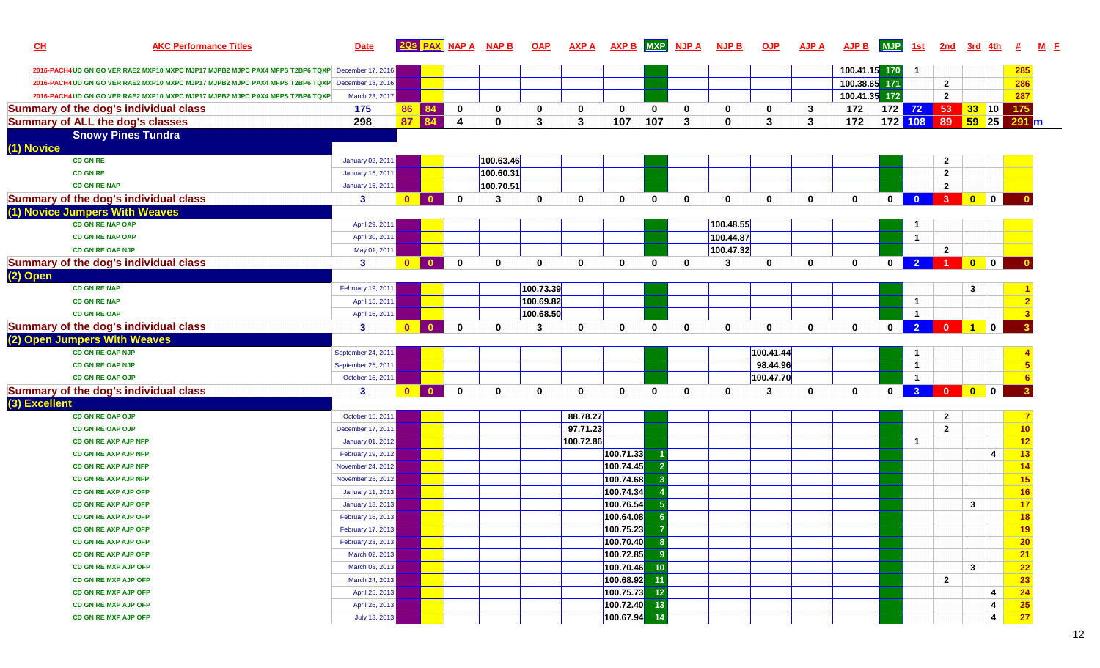| CL            | <b>AKC Performance Titles</b>                                                                   | <b>Date</b>                                  |                |              | 20s PAX NAP A          | <b>NAP B</b> | <b>OAP</b>   | <b>AXP A</b> | <b>AXP B</b>           |              | MXP NJP A    | <b>NJP B</b> | QJP            | <b>AJP A</b> | <b>AJP B</b>  | <b>MJP</b>   | 1st                     | 2 <sub>nd</sub>                                                                                           | 3rd                                                                             |                |                                                       |  |
|---------------|-------------------------------------------------------------------------------------------------|----------------------------------------------|----------------|--------------|------------------------|--------------|--------------|--------------|------------------------|--------------|--------------|--------------|----------------|--------------|---------------|--------------|-------------------------|-----------------------------------------------------------------------------------------------------------|---------------------------------------------------------------------------------|----------------|-------------------------------------------------------|--|
|               | 2016-PACH4 UD GN GO VER RAE2 MXP10 MXPC MJP17 MJPB2 MJPC PAX4 MFPS T2BP6 TQXP December 17, 2016 |                                              |                |              |                        |              |              |              |                        |              |              |              |                |              | 100.41.15     | 170          | $\mathbf{1}$            |                                                                                                           |                                                                                 |                | 285                                                   |  |
|               | 2016-PACH4 UD GN GO VER RAE2 MXP10 MXPC MJP17 MJPB2 MJPC PAX4 MFPS T2BP6 TQXP December 18, 2016 |                                              |                |              |                        |              |              |              |                        |              |              |              |                |              | 100.38.65 171 |              |                         | $\mathbf{2}$                                                                                              |                                                                                 |                | 286                                                   |  |
|               | 2016-PACH4 UD GN GO VER RAE2 MXP10 MXPC MJP17 MJPB2 MJPC PAX4 MFPS T2BP6 TQXP                   | March 23, 2017                               |                |              |                        |              |              |              |                        |              |              |              |                |              | 100.41.35 172 |              |                         | $\mathbf{2}$                                                                                              |                                                                                 |                | 287                                                   |  |
|               | <b>Summary of the dog's individual class</b>                                                    | 175                                          | 86             | 84           | $\mathbf 0$            | 0            | 0            | 0            | $\mathbf 0$            | $\mathbf{0}$ | 0            | 0            | $\mathbf 0$    | 3            | 172           |              |                         | 172 72 53 33 10                                                                                           |                                                                                 |                | 175                                                   |  |
|               | <b>Summary of ALL the dog's classes</b>                                                         | 298                                          | 87             | 84           | $\boldsymbol{\Lambda}$ | $\bf{0}$     | 3            | 3            | 107                    | 107          | 3            | $\mathbf{0}$ | $\overline{3}$ | 3            | 172           | 172 108 89   |                         |                                                                                                           | <b>59 25</b>                                                                    |                | 291 m                                                 |  |
|               | <b>Snowy Pines Tundra</b>                                                                       |                                              |                |              |                        |              |              |              |                        |              |              |              |                |              |               |              |                         |                                                                                                           |                                                                                 |                |                                                       |  |
| (1) Novice    |                                                                                                 |                                              |                |              |                        |              |              |              |                        |              |              |              |                |              |               |              |                         |                                                                                                           |                                                                                 |                |                                                       |  |
|               | <b>CD GN RE</b>                                                                                 | January 02, 201                              |                |              |                        | 100.63.46    |              |              |                        |              |              |              |                |              |               |              |                         | $\mathbf{2}$                                                                                              |                                                                                 |                |                                                       |  |
|               | <b>CD GN RE</b>                                                                                 | <b>January 15, 2011</b>                      |                |              |                        | 100.60.31    |              |              |                        |              |              |              |                |              |               |              |                         | $\mathbf{2}$                                                                                              |                                                                                 |                |                                                       |  |
|               | <b>CD GN RE NAP</b>                                                                             | <b>January 16, 2011</b>                      |                |              |                        | 100.70.51    |              |              |                        |              |              |              |                |              |               |              |                         | $\mathbf{2}$                                                                                              |                                                                                 |                |                                                       |  |
|               | <b>Summary of the dog's individual class</b>                                                    | 3                                            | $\mathbf{0}$   | $\Omega$     | $\mathbf{0}$           | 3            | $\mathbf{0}$ | $\mathbf{0}$ | $\mathbf{0}$           | $\mathbf{0}$ | $\mathbf{0}$ | $\mathbf{0}$ | $\mathbf 0$    | $\mathbf{0}$ | $\mathbf{0}$  | $\mathbf{0}$ | $\bullet$               | 3 <sup>1</sup>                                                                                            | $\begin{array}{ c c c c c }\hline \textbf{0} & \textbf{0} & \hline \end{array}$ |                |                                                       |  |
|               | (1) Novice Jumpers With Weaves                                                                  |                                              |                |              |                        |              |              |              |                        |              |              |              |                |              |               |              |                         |                                                                                                           |                                                                                 |                |                                                       |  |
|               | <b>CD GN RE NAP OAP</b>                                                                         | April 29, 2011                               |                |              |                        |              |              |              |                        |              |              | 100.48.55    |                |              |               |              | $\mathbf{1}$            |                                                                                                           |                                                                                 |                |                                                       |  |
|               | <b>CD GN RE NAP OAP</b>                                                                         | April 30, 2011                               |                |              |                        |              |              |              |                        |              |              | 100.44.87    |                |              |               |              | $\mathbf{1}$            |                                                                                                           |                                                                                 |                |                                                       |  |
|               | CD GN RE OAP NJP                                                                                | May 01, 2011                                 |                |              |                        |              |              |              |                        |              |              | 100.47.32    |                |              |               |              |                         | $\mathbf{2}$                                                                                              |                                                                                 |                |                                                       |  |
|               | <b>Summary of the dog's individual class</b>                                                    | $\mathbf{3}$                                 | $\overline{0}$ | $\mathbf{0}$ | $\mathbf{0}$           | $\mathbf{0}$ | 0            | $\mathbf 0$  | $\mathbf{0}$           | $\bf{0}$     | $\mathbf 0$  | 3            | $\mathbf 0$    | $\mathbf{0}$ | 0             | $\mathbf{0}$ | $\vert$ 2 $\vert$       | <b>100</b>                                                                                                |                                                                                 |                |                                                       |  |
| (2) Open      |                                                                                                 |                                              |                |              |                        |              |              |              |                        |              |              |              |                |              |               |              |                         |                                                                                                           |                                                                                 |                |                                                       |  |
|               | <b>CD GN RE NAP</b>                                                                             | February 19, 2011                            |                |              |                        |              | 100.73.39    |              |                        |              |              |              |                |              |               |              |                         |                                                                                                           | 3                                                                               |                |                                                       |  |
|               | <b>CD GN RE NAP</b>                                                                             | April 15, 2011                               |                |              |                        |              | 100.69.82    |              |                        |              |              |              |                |              |               |              | $\mathbf{1}$            |                                                                                                           |                                                                                 |                |                                                       |  |
|               | <b>CD GN RE OAP</b>                                                                             | April 16, 2011                               |                |              |                        |              | 100.68.50    |              |                        |              |              |              |                |              |               |              | $\overline{1}$          |                                                                                                           |                                                                                 |                |                                                       |  |
|               | <b>Summary of the dog's individual class</b>                                                    | 3                                            | $\mathbf{0}$   | $\mathbf{0}$ | $\mathbf 0$            | $\mathbf{0}$ | 3            | $\mathbf 0$  | $\mathbf 0$            | $\mathbf{0}$ | 0            | 0            | $\mathbf 0$    | $\mathbf 0$  | 0             | $\mathbf{0}$ | $\overline{2}$          | $\begin{array}{ c c c c c c c c c } \hline \multicolumn{1}{ c }{0} & \multicolumn{1}{ c }{1} \end{array}$ |                                                                                 | $\mathbf 0$    |                                                       |  |
|               | (2) Open Jumpers With Weaves                                                                    |                                              |                |              |                        |              |              |              |                        |              |              |              |                |              |               |              |                         |                                                                                                           |                                                                                 |                |                                                       |  |
|               | <b>CD GN RE OAP NJP</b>                                                                         | September 24, 2011                           |                |              |                        |              |              |              |                        |              |              |              | 100.41.44      |              |               |              | $\mathbf{1}$            |                                                                                                           |                                                                                 |                |                                                       |  |
|               | <b>CD GN RE OAP NJP</b>                                                                         | September 25, 2011                           |                |              |                        |              |              |              |                        |              |              |              | 98.44.96       |              |               |              | $\mathbf{1}$            |                                                                                                           |                                                                                 |                |                                                       |  |
|               | <b>CD GN RE OAP OJP</b>                                                                         | October 15, 2011                             |                |              |                        |              |              |              |                        |              |              |              | 100.47.70      |              |               |              | $\overline{1}$          |                                                                                                           |                                                                                 |                |                                                       |  |
|               | <b>Summary of the dog's individual class</b>                                                    | $\mathbf{3}$                                 | $\mathbf{0}$   | $\mathbf{0}$ | $\mathbf 0$            | $\mathbf{0}$ | 0            | $\mathbf 0$  | $\mathbf{0}$           | $\mathbf{0}$ | $\mathbf 0$  | $\mathbf{0}$ | 3              | $\mathbf 0$  | $\mathbf{0}$  | 0            | $\overline{\mathbf{3}}$ | $\overline{\mathbf{0}}$                                                                                   |                                                                                 |                |                                                       |  |
| (3) Excellent |                                                                                                 |                                              |                |              |                        |              |              |              |                        |              |              |              |                |              |               |              |                         |                                                                                                           |                                                                                 |                |                                                       |  |
|               | <b>CD GN RE OAP OJP</b>                                                                         | October 15, 2011                             |                |              |                        |              |              | 88.78.27     |                        |              |              |              |                |              |               |              |                         | $\mathbf{2}$                                                                                              |                                                                                 |                |                                                       |  |
|               | <b>CD GN RE OAP OJP</b>                                                                         | December 17, 2011                            |                |              |                        |              |              | 97.71.23     |                        |              |              |              |                |              |               |              |                         | $\overline{2}$                                                                                            |                                                                                 |                | 10                                                    |  |
|               | <b>CD GN RE AXP AJP NFP</b>                                                                     | January 01, 2012                             |                |              |                        |              |              | 100.72.86    |                        |              |              |              |                |              |               |              | $\mathbf{1}$            |                                                                                                           |                                                                                 |                | 12                                                    |  |
|               | <b>CD GN RE AXP AJP NFP</b>                                                                     | February 19, 2012                            |                |              |                        |              |              |              | 100.71.33              |              |              |              |                |              |               |              |                         |                                                                                                           |                                                                                 | $\overline{4}$ | 13                                                    |  |
|               | <b>CD GN RE AXP AJP NFP</b>                                                                     | November 24, 2012                            |                |              |                        |              |              |              | 100.74.45              |              |              |              |                |              |               |              |                         |                                                                                                           |                                                                                 |                | 14                                                    |  |
|               | <b>CD GN RE AXP AJP NFP</b>                                                                     | November 25, 2012                            |                |              |                        |              |              |              | 100.74.68              |              |              |              |                |              |               |              |                         |                                                                                                           |                                                                                 |                | 15                                                    |  |
|               | CD GN RE AXP AJP OFP                                                                            | <b>January 11, 2013</b>                      |                |              |                        |              |              |              | 100.74.34              |              |              |              |                |              |               |              |                         |                                                                                                           |                                                                                 |                | 16                                                    |  |
|               | <b>CD GN RE AXP AJP OFP</b><br><b>CD GN RE AXP AJP OFP</b>                                      | <b>January 13, 2013</b><br>February 16, 2013 |                |              |                        |              |              |              | 100.76.54<br>100.64.08 |              |              |              |                |              |               |              |                         |                                                                                                           | $\mathbf{3}$                                                                    |                | 17<br>18                                              |  |
|               | CD GN RE AXP AJP OFP                                                                            |                                              |                |              |                        |              |              |              | 100.75.23              |              |              |              |                |              |               |              |                         |                                                                                                           |                                                                                 |                |                                                       |  |
|               | <b>CD GN RE AXP AJP OFP</b>                                                                     | February 17, 2013<br>February 23, 2013       |                |              |                        |              |              |              | 100.70.40              | -8           |              |              |                |              |               |              |                         |                                                                                                           |                                                                                 |                | <u>19</u><br>20                                       |  |
|               | <b>CD GN RE AXP AJP OFP</b>                                                                     | March 02, 2013                               |                |              |                        |              |              |              | 100.72.85              | -9           |              |              |                |              |               |              |                         |                                                                                                           |                                                                                 |                | 21                                                    |  |
|               | CD GN RE MXP AJP OFP                                                                            | March 03, 2013                               |                |              |                        |              |              |              | 100.70.46 10           |              |              |              |                |              |               |              |                         |                                                                                                           | $\mathbf{3}$                                                                    |                | 22                                                    |  |
|               | CD GN RE MXP AJP OFP                                                                            | March 24, 2013                               |                |              |                        |              |              |              | 100.68.92              | 11           |              |              |                |              |               |              |                         | $\mathbf{2}$                                                                                              |                                                                                 |                | 23                                                    |  |
|               | CD GN RE MXP AJP OFP                                                                            | April 25, 2013                               |                |              |                        |              |              |              | 100.75.73              | $-12$        |              |              |                |              |               |              |                         |                                                                                                           |                                                                                 | 4              | 24                                                    |  |
|               | CD GN RE MXP AJP OFP                                                                            | April 26, 2013                               |                |              |                        |              |              |              | 100.72.40              | $-13$        |              |              |                |              |               |              |                         |                                                                                                           |                                                                                 | $\overline{4}$ |                                                       |  |
|               | CD GN RE MXP AJP OFP                                                                            | July 13, 2013                                |                |              |                        |              |              |              | 100.67.94 14           |              |              |              |                |              |               |              |                         |                                                                                                           |                                                                                 | $\overline{4}$ | $\begin{array}{c} \hline 25 \\ \hline 27 \end{array}$ |  |
|               |                                                                                                 |                                              |                |              |                        |              |              |              |                        |              |              |              |                |              |               |              |                         |                                                                                                           |                                                                                 |                |                                                       |  |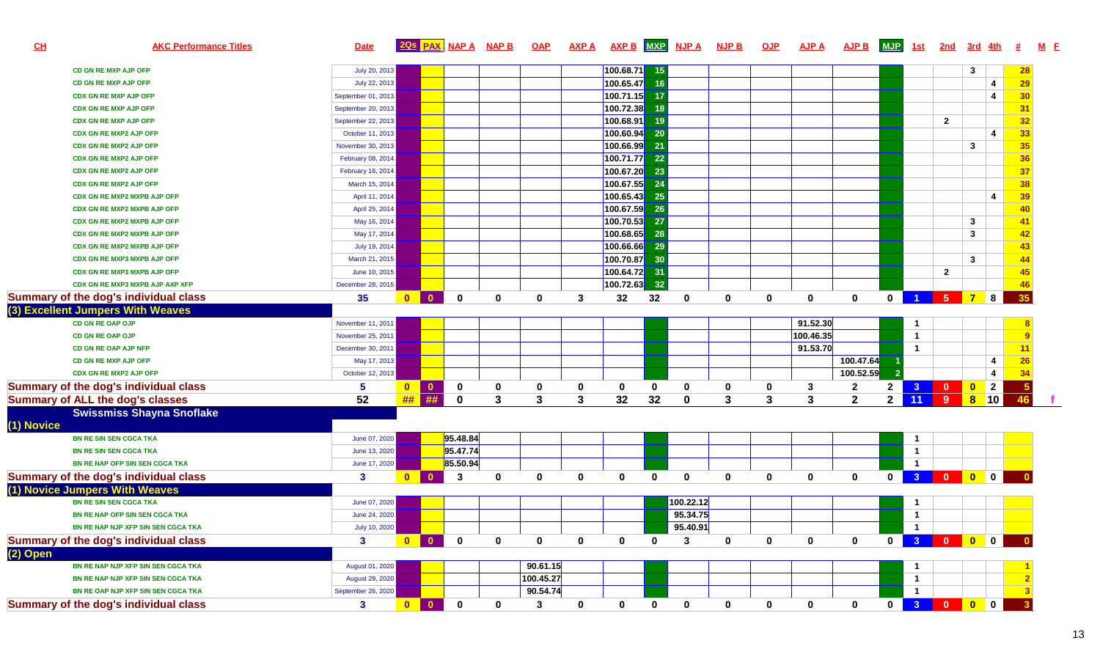| CL         | <b>AKC Performance Titles</b>                | <b>Date</b>        | 2Qs                                     | <b>PAX</b> NAP A | <b>NAP B</b> | <b>OAP</b> | <b>AXP A</b> | <b>AXP B</b> | <b>MXP</b>  | <b>NJP A</b> | <b>NJP B</b> | <b>OJP</b> | <u>AJP A</u> | AJP B          | <b>MJP</b>   | 1st                     | <u>2nd</u>     | 3rd             |                         |              |  |
|------------|----------------------------------------------|--------------------|-----------------------------------------|------------------|--------------|------------|--------------|--------------|-------------|--------------|--------------|------------|--------------|----------------|--------------|-------------------------|----------------|-----------------|-------------------------|--------------|--|
|            | CD GN RE MXP AJP OFP                         | July 20, 2013      |                                         |                  |              |            |              | 100.68.71    | -15         |              |              |            |              |                |              |                         |                | 3               |                         | 28           |  |
|            | <b>CD GN RE MXP AJP OFP</b>                  | July 22, 2013      |                                         |                  |              |            |              | 100.65.47    | 16          |              |              |            |              |                |              |                         |                |                 | $\overline{4}$          | <b>29</b>    |  |
|            | <b>CDX GN RE MXP AJP OFP</b>                 | September 01, 2013 |                                         |                  |              |            |              | 100.71.15    | 17          |              |              |            |              |                |              |                         |                |                 | 4                       | 30           |  |
|            | <b>CDX GN RE MXP AJP OFP</b>                 | September 20, 2013 |                                         |                  |              |            |              | 100.72.38    | 18          |              |              |            |              |                |              |                         |                |                 |                         | 31           |  |
|            | <b>CDX GN RE MXP AJP OFP</b>                 | September 22, 2013 |                                         |                  |              |            |              | 100.68.91    | 19          |              |              |            |              |                |              |                         | $\overline{2}$ |                 |                         | 32           |  |
|            | <b>CDX GN RE MXP2 AJP OFP</b>                | October 11, 2013   |                                         |                  |              |            |              | 100.60.94    | 20          |              |              |            |              |                |              |                         |                |                 | 4                       | 33           |  |
|            | <b>CDX GN RE MXP2 AJP OFP</b>                | November 30, 2013  |                                         |                  |              |            |              | 100.66.99    | 21          |              |              |            |              |                |              |                         |                | 3               |                         | 35           |  |
|            | <b>CDX GN RE MXP2 AJP OFP</b>                | February 08, 2014  |                                         |                  |              |            |              | 100.71.77    | 22          |              |              |            |              |                |              |                         |                |                 |                         | 36           |  |
|            | <b>CDX GN RE MXP2 AJP OFP</b>                | February 16, 2014  |                                         |                  |              |            |              | 700.67.20    | 23          |              |              |            |              |                |              |                         |                |                 |                         | 37           |  |
|            | <b>CDX GN RE MXP2 AJP OFP</b>                | March 15, 2014     |                                         |                  |              |            |              | 100.67.55    | 24          |              |              |            |              |                |              |                         |                |                 |                         | 38           |  |
|            | CDX GN RE MXP2 MXPB AJP OFP                  | April 11, 2014     |                                         |                  |              |            |              | 100.65.43    | 25          |              |              |            |              |                |              |                         |                |                 | $\overline{\mathbf{4}}$ | 39           |  |
|            | CDX GN RE MXP2 MXPB AJP OFP                  | April 25, 2014     |                                         |                  |              |            |              | 100.67.59    | 26          |              |              |            |              |                |              |                         |                |                 |                         | 40           |  |
|            | CDX GN RE MXP2 MXPB AJP OFP                  | May 16, 2014       |                                         |                  |              |            |              | 100.70.53    | 27          |              |              |            |              |                |              |                         |                | $\mathbf{3}$    |                         | 41           |  |
|            | <b>CDX GN RE MXP2 MXPB AJP OFP</b>           | May 17, 2014       |                                         |                  |              |            |              | 100.68.65    | 28          |              |              |            |              |                |              |                         |                | $\mathbf{3}$    |                         | 42           |  |
|            | <b>CDX GN RE MXP2 MXPB AJP OFP</b>           | July 19, 2014      |                                         |                  |              |            |              | 100.66.66    | 29          |              |              |            |              |                |              |                         |                |                 |                         | 43           |  |
|            | CDX GN RE MXP3 MXPB AJP OFP                  | March 21, 2015     |                                         |                  |              |            |              | 100.70.87    | 30          |              |              |            |              |                |              |                         |                | $\mathbf{3}$    |                         | 44           |  |
|            | CDX GN RE MXP3 MXPB AJP OFP                  | June 10, 2015      |                                         |                  |              |            |              | 100.64.72    | 31          |              |              |            |              |                |              |                         | $\overline{2}$ |                 |                         | 45           |  |
|            | CDX GN RE MXP3 MXPB AJP AXP XFP              | December 28, 2015  |                                         |                  |              |            |              | 100.72.63    | 32          |              |              |            |              |                |              |                         |                |                 |                         | 46           |  |
|            | Summary of the dog's individual class        | 35                 | $\mathbf{0}$<br>$\mathbf{0}$            | $\mathbf{0}$     | 0            | 0          | 3            | 32           | 32          | $\mathbf 0$  | $\mathbf 0$  | 0          | $\mathbf{0}$ | $\mathbf 0$    | $\mathbf{0}$ | $\clubsuit$             |                | $5 \mid 7 \mid$ | 8                       | 35           |  |
|            | (3) Excellent Jumpers With Weaves            |                    |                                         |                  |              |            |              |              |             |              |              |            |              |                |              |                         |                |                 |                         |              |  |
|            | CD GN RE OAP OJP                             | November 11, 2011  |                                         |                  |              |            |              |              |             |              |              |            | 91.52.30     |                |              | $\overline{\mathbf{1}}$ |                |                 |                         |              |  |
|            | <b>CD GN RE OAP OJP</b>                      | November 25, 2011  |                                         |                  |              |            |              |              |             |              |              |            | 100.46.35    |                |              | $\overline{1}$          |                |                 |                         | -9           |  |
|            | CD GN RE OAP AJP NFP                         | December 30, 2011  |                                         |                  |              |            |              |              |             |              |              |            | 91.53.70     |                |              | $\overline{\mathbf{1}}$ |                |                 |                         | 11           |  |
|            | CD GN RE MXP AJP OFP                         | May 17, 2013       |                                         |                  |              |            |              |              |             |              |              |            |              | 100.47.64      |              |                         |                |                 |                         | 26           |  |
|            | CDX GN RE MXP2 AJP OFP                       | October 12, 2013   |                                         |                  |              |            |              |              |             |              |              |            |              | 100.52.59      |              |                         |                |                 | $\overline{4}$          | 34           |  |
|            | <b>Summary of the dog's individual class</b> | 5                  | $\bullet$<br>$\bullet$                  | 0                | 0            | 0          | 0            | 0            | $\mathbf 0$ | $\bf{0}$     | 0            | 0          | 3            | $\overline{2}$ | $2 \mid$     | 3 <sup>°</sup>          | $\bullet$      | $\bullet$       | $\overline{2}$          | $-5$         |  |
|            | <b>Summary of ALL the dog's classes</b>      | 52                 | ##<br>##                                | $\mathbf{0}$     | 3            | 3          | 3            | 32           | 32          | $\bf{0}$     | 3            | 3          | $\mathbf{3}$ | $\overline{2}$ | $2 \mid$     | 11                      | $\overline{9}$ | 8               | $ 10\rangle$            | 46           |  |
| (1) Novice | <b>Swissmiss Shayna Snoflake</b>             |                    |                                         |                  |              |            |              |              |             |              |              |            |              |                |              |                         |                |                 |                         |              |  |
|            | <b>BN RE SIN SEN CGCA TKA</b>                | June 07, 2020      |                                         | 95.48.84         |              |            |              |              |             |              |              |            |              |                |              | -1                      |                |                 |                         |              |  |
|            | <b>BN RE SIN SEN CGCA TKA</b>                | June 13, 2020      |                                         | 95.47.74         |              |            |              |              |             |              |              |            |              |                |              | $\overline{1}$          |                |                 |                         |              |  |
|            | BN RE NAP OFP SIN SEN CGCA TKA               | June 17, 2020      |                                         | 85.50.94         |              |            |              |              |             |              |              |            |              |                |              | $\overline{\mathbf{1}}$ |                |                 |                         |              |  |
|            | Summary of the dog's individual class        | 3                  | $\overline{\mathbf{0}}$<br>$\mathbf{0}$ | 3                | 0            | 0          | $\bf{0}$     | 0            | $\bf{0}$    | $\mathbf{0}$ | 0            | 0          | 0            | 0              | $\mathbf 0$  | 3 <sup>°</sup>          |                |                 | $\mathbf 0$             |              |  |
|            | (1) Novice Jumpers With Weaves               |                    |                                         |                  |              |            |              |              |             |              |              |            |              |                |              |                         |                |                 |                         |              |  |
|            | <b>BN RE SIN SEN CGCA TKA</b>                | June 07, 2020      |                                         |                  |              |            |              |              |             | 100.22.12    |              |            |              |                |              | -1                      |                |                 |                         |              |  |
|            | BN RE NAP OFP SIN SEN CGCA TKA               | June 24, 2020      |                                         |                  |              |            |              |              |             | 95.34.75     |              |            |              |                |              | $\overline{1}$          |                |                 |                         |              |  |
|            | BN RE NAP NJP XFP SIN SEN CGCA TKA           | July 10, 2020      |                                         |                  |              |            |              |              |             | 95.40.91     |              |            |              |                |              | $\blacksquare$          |                |                 |                         |              |  |
|            | Summary of the dog's individual class        | 3                  | $\bullet$<br>$\bullet$                  | $\mathbf 0$      | 0            | 0          | 0            | 0            | $\bf{0}$    | 3            | $\mathbf 0$  | 0          | 0            | $\mathbf 0$    | $\mathbf{0}$ |                         | <b>3</b> 0 0 0 |                 |                         |              |  |
| $(2)$ Open |                                              |                    |                                         |                  |              |            |              |              |             |              |              |            |              |                |              |                         |                |                 |                         |              |  |
|            | BN RE NAP NJP XFP SIN SEN CGCA TKA           | August 01, 2020    |                                         |                  |              | 90.61.15   |              |              |             |              |              |            |              |                |              | $\overline{\mathbf{1}}$ |                |                 |                         |              |  |
|            | BN RE NAP NJP XFP SIN SEN CGCA TKA           | August 29, 2020    |                                         |                  |              | 100.45.27  |              |              |             |              |              |            |              |                |              | $\mathbf{1}$            |                |                 |                         |              |  |
|            | BN RE OAP NJP XFP SIN SEN CGCA TKA           | September 26, 2020 |                                         |                  |              | 90.54.74   |              |              |             |              |              |            |              |                |              | $\overline{1}$          |                |                 |                         |              |  |
|            | Summary of the dog's individual class        | 3 <sup>2</sup>     | $\bullet$<br>$\mathbf{0}$               | $\mathbf 0$      | 0            | 3          | 0            | 0            | 0           | $\mathbf 0$  | $\mathbf 0$  | 0          | 0            | $\mathbf 0$    |              |                         | 0 3 0 0 0      |                 |                         | $\mathbf{3}$ |  |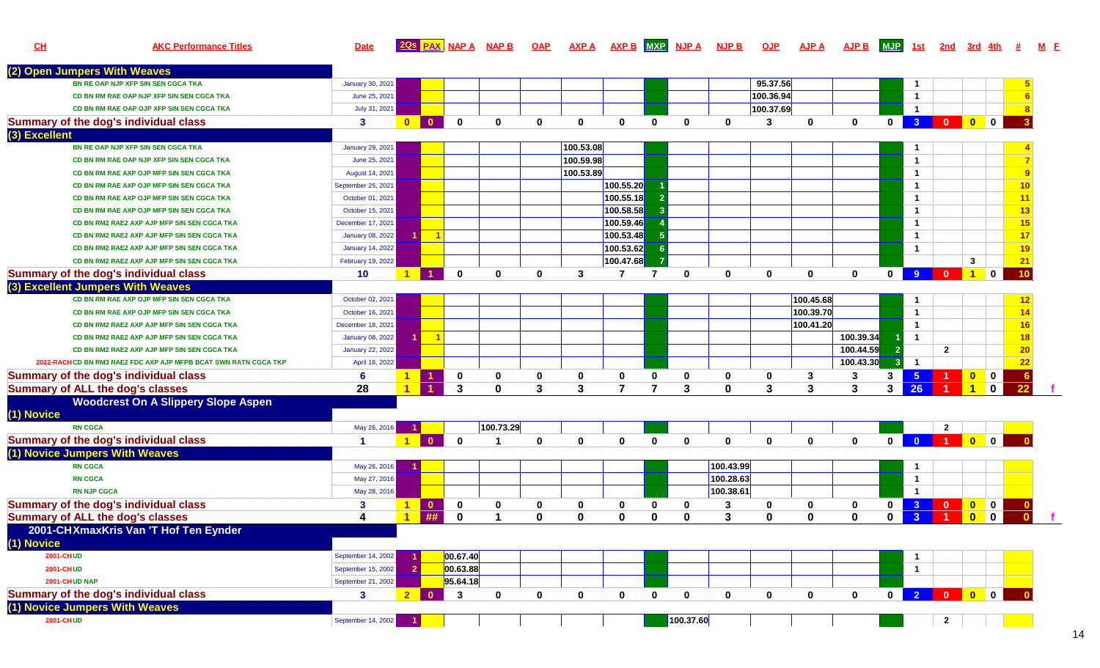| CL            | <b>AKC Performance Titles</b>                                   | <b>Date</b>             |                      | 20s PAX NAP A NAP B                     |              | <b>OAP</b>   | <b>AXP A</b> | AXP B MXP NJP A |                |              | <b>NJP B</b> | <b>OJP</b>   | <b>AJP A</b> | <b>AJP B</b> | <b>MJP</b>   | 1st                  | 2nd                     | 3rd 4th                                                            |                |    |  |
|---------------|-----------------------------------------------------------------|-------------------------|----------------------|-----------------------------------------|--------------|--------------|--------------|-----------------|----------------|--------------|--------------|--------------|--------------|--------------|--------------|----------------------|-------------------------|--------------------------------------------------------------------|----------------|----|--|
|               | (2) Open Jumpers With Weaves                                    |                         |                      |                                         |              |              |              |                 |                |              |              |              |              |              |              |                      |                         |                                                                    |                |    |  |
|               | BN RE OAP NJP XFP SIN SEN CGCA TKA                              | January 30, 2021        |                      |                                         |              |              |              |                 |                |              |              | 95.37.56     |              |              |              | $\mathbf{1}$         |                         |                                                                    |                |    |  |
|               | CD BN RM RAE OAP NJP XFP SIN SEN CGCA TKA                       | June 25, 2021           |                      |                                         |              |              |              |                 |                |              |              | 100.36.94    |              |              |              | $\overline{1}$       |                         |                                                                    |                |    |  |
|               | CD BN RM RAE OAP OJP XFP SIN SEN CGCA TKA                       | July 31, 2021           |                      |                                         |              |              |              |                 |                |              |              | 100.37.69    |              |              |              | $\overline{1}$       |                         |                                                                    |                |    |  |
|               | <b>Summary of the dog's individual class</b>                    | 3                       | $\bullet$            | $\bullet$<br>$\Omega$                   | $\bf{0}$     | $\mathbf{0}$ | $\bf{0}$     | $\mathbf{0}$    | $\bf{0}$       | $\bf{0}$     | $\mathbf{0}$ | 3            | $\mathbf{0}$ | $\mathbf{0}$ | $\mathbf{0}$ |                      | $3$ 0                   | $\begin{array}{ c c c c c }\n\hline\n0 & 0 \\ \hline\n\end{array}$ |                |    |  |
| (3) Excellent |                                                                 |                         |                      |                                         |              |              |              |                 |                |              |              |              |              |              |              |                      |                         |                                                                    |                |    |  |
|               | BN RE OAP NJP XFP SIN SEN CGCA TKA                              | <b>January 29, 2021</b> |                      |                                         |              |              | 100.53.08    |                 |                |              |              |              |              |              |              | -1                   |                         |                                                                    |                |    |  |
|               | CD BN RM RAE OAP NJP XFP SIN SEN CGCA TKA                       | June 25, 2021           |                      |                                         |              |              | 100.59.98    |                 |                |              |              |              |              |              |              | $\mathbf{1}$         |                         |                                                                    |                |    |  |
|               | CD BN RM RAE AXP OJP MFP SIN SEN CGCA TKA                       | August 14, 2021         |                      |                                         |              |              | 100.53.89    |                 |                |              |              |              |              |              |              | $\mathbf{1}$         |                         |                                                                    |                | 9  |  |
|               | CD BN RM RAE AXP OJP MFP SIN SEN CGCA TKA                       | September 25, 2021      |                      |                                         |              |              |              | 100.55.20       |                |              |              |              |              |              |              | $\mathbf{1}$         |                         |                                                                    |                | 10 |  |
|               | CD BN RM RAE AXP OJP MFP SIN SEN CGCA TKA                       | October 01, 2021        |                      |                                         |              |              |              | 100.55.18       |                |              |              |              |              |              |              | $\mathbf{1}$         |                         |                                                                    |                | 11 |  |
|               | CD BN RM RAE AXP OJP MFP SIN SEN CGCA TKA                       | October 15, 2021        |                      |                                         |              |              |              | 100.58.58       |                |              |              |              |              |              |              | $\mathbf{1}$         |                         |                                                                    |                | 13 |  |
|               | CD BN RM2 RAE2 AXP AJP MFP SIN SEN CGCA TKA                     | December 17, 2021       |                      |                                         |              |              |              | 100.59.46       |                |              |              |              |              |              |              | $\mathbf{1}$         |                         |                                                                    |                | 15 |  |
|               | CD BN RM2 RAE2 AXP AJP MFP SIN SEN CGCA TKA                     | January 08, 2022        |                      | $-1$                                    |              |              |              | 100.53.48       | -5             |              |              |              |              |              |              | $\mathbf{1}$         |                         |                                                                    |                | 17 |  |
|               | CD BN RM2 RAE2 AXP AJP MFP SIN SEN CGCA TKA                     | <b>January 14, 2022</b> |                      |                                         |              |              |              | 100.53.62       | - 6            |              |              |              |              |              |              | $\mathbf{1}$         |                         |                                                                    |                | 19 |  |
|               | CD BN RM2 RAE2 AXP AJP MFP SIN SEN CGCA TKA                     | February 19, 2022       |                      |                                         |              |              |              | 100.47.68       | $\overline{7}$ |              |              |              |              |              |              |                      |                         | $\mathbf{3}$                                                       |                | 21 |  |
|               | <b>Summary of the dog's individual class</b>                    | 10                      |                      | $\mathbf{0}$                            | $\bf{0}$     | $\bf{0}$     | 3            | 7               | 7              | $\mathbf{0}$ | $\mathbf{0}$ | $\mathbf{0}$ | $\mathbf{0}$ | $\mathbf{0}$ | $\mathbf{0}$ | 9 <sup>°</sup>       | $\overline{\mathbf{0}}$ | $1 \ 0$                                                            |                | 10 |  |
|               | (3) Excellent Jumpers With Weaves                               |                         |                      |                                         |              |              |              |                 |                |              |              |              |              |              |              |                      |                         |                                                                    |                |    |  |
|               | CD BN RM RAE AXP OJP MFP SIN SEN CGCA TKA                       | October 02, 2021        |                      |                                         |              |              |              |                 |                |              |              |              | 100.45.68    |              |              | -1                   |                         |                                                                    |                | 12 |  |
|               | CD BN RM RAE AXP OJP MFP SIN SEN CGCA TKA                       | October 16, 2021        |                      |                                         |              |              |              |                 |                |              |              |              | 100.39.70    |              |              | $\overline{1}$       |                         |                                                                    |                | 14 |  |
|               | CD BN RM2 RAE2 AXP AJP MFP SIN SEN CGCA TKA                     | December 18, 2021       |                      |                                         |              |              |              |                 |                |              |              |              | 100.41.20    |              |              | $\mathbf{1}$         |                         |                                                                    |                | 16 |  |
|               | CD BN RM2 RAE2 AXP AJP MFP SIN SEN CGCA TKA                     | January 08, 2022        |                      | $-1$                                    |              |              |              |                 |                |              |              |              |              | 100.39.34    |              | $\blacktriangleleft$ |                         |                                                                    |                | 18 |  |
|               | CD BN RM2 RAE2 AXP AJP MFP SIN SEN CGCA TKA                     | <b>January 22, 2022</b> |                      |                                         |              |              |              |                 |                |              |              |              |              | 100.44.59    |              |                      | $\mathbf{2}$            |                                                                    |                | 20 |  |
|               | 2022-RACHCD BN RM3 RAE2 FDC AXP AJP MFPB BCAT SWN RATN CGCA TKP | April 16, 2022          |                      |                                         |              |              |              |                 |                |              |              |              |              | 100.43.30    | ß            | -1                   |                         |                                                                    |                | 22 |  |
|               | Summary of the dog's individual class                           | 6                       |                      | 0                                       | 0            | 0            | 0            | 0               | ŋ              | $\bf{0}$     | 0            | 0            | 3            | 3            | 3            | 5 <sub>5</sub>       |                         | $\mathbf{0}$                                                       | $\mathbf 0$    | 6  |  |
|               | <b>Summary of ALL the dog's classes</b>                         | 28                      |                      | 3<br>$\blacktriangleleft$               | $\mathbf{0}$ | 3            | 3            | $\overline{ }$  |                | 3            | $\bf{0}$     | 3            | 3            | 3            | 3            | 26                   |                         | 1                                                                  | $\mathbf 0$    | 22 |  |
|               | <b>Woodcrest On A Slippery Slope Aspen</b>                      |                         |                      |                                         |              |              |              |                 |                |              |              |              |              |              |              |                      |                         |                                                                    |                |    |  |
| (1) Novice    |                                                                 |                         |                      |                                         |              |              |              |                 |                |              |              |              |              |              |              |                      |                         |                                                                    |                |    |  |
|               | <b>RN CGCA</b>                                                  | May 26, 2016            |                      |                                         | 100.73.29    |              |              |                 |                |              |              |              |              |              |              |                      | $\overline{2}$          |                                                                    |                |    |  |
|               | <b>Summary of the dog's individual class</b>                    |                         | $\blacktriangleleft$ | $\Omega$<br>$\mathbf{0}$                |              | $\mathbf{0}$ | $\bf{0}$     | $\mathbf{0}$    | $\bf{0}$       | $\mathbf{0}$ | $\mathbf{0}$ | $\bf{0}$     | $\mathbf{0}$ | $\mathbf{0}$ | $\mathbf{0}$ | $\overline{0}$       | $-1$                    | $\bullet$                                                          | $\mathbf 0$    |    |  |
|               | (1) Novice Jumpers With Weaves                                  |                         |                      |                                         |              |              |              |                 |                |              |              |              |              |              |              |                      |                         |                                                                    |                |    |  |
|               | <b>RN CGCA</b>                                                  | May 26, 2016            |                      |                                         |              |              |              |                 |                |              | 100.43.99    |              |              |              |              | $\mathbf{1}$         |                         |                                                                    |                |    |  |
|               | <b>RN CGCA</b>                                                  | May 27, 2016            |                      |                                         |              |              |              |                 |                |              | 100.28.63    |              |              |              |              | $\overline{1}$       |                         |                                                                    |                |    |  |
|               | <b>RN NJP CGCA</b>                                              | May 28, 2016            |                      |                                         |              |              |              |                 |                |              | 100.38.61    |              |              |              |              | $\overline{1}$       |                         |                                                                    |                |    |  |
|               | Summary of the dog's individual class                           | 3                       | $\blacktriangleleft$ | $\mathbf{0}$<br>0                       | 0            | 0            | 0            | 0               | 0              | 0            | 3            | 0            | 0            | 0            | 0            | 3                    | $\mathbf{0}$            | $\mathbf{0}$                                                       | $\blacksquare$ |    |  |
|               | <b>Summary of ALL the dog's classes</b>                         |                         |                      | ##<br>$\Omega$                          |              | $\bf{0}$     | 0            | $\bf{0}$        | U              | 0            | 3            | $\bf{0}$     | $\bf{0}$     | $\bf{0}$     | $\bf{0}$     | $\overline{3}$       |                         | $\bf{0}$                                                           | $\mathbf 0$    |    |  |
|               | 2001-CHXmaxKris Van 'T Hof Ten Eynder                           |                         |                      |                                         |              |              |              |                 |                |              |              |              |              |              |              |                      |                         |                                                                    |                |    |  |
| (1) Novice    |                                                                 |                         |                      |                                         |              |              |              |                 |                |              |              |              |              |              |              |                      |                         |                                                                    |                |    |  |
|               | 2001-CHUD                                                       | September 14, 2002      |                      | 00.67.40                                |              |              |              |                 |                |              |              |              |              |              |              | -1                   |                         |                                                                    |                |    |  |
|               | 2001-CHUD                                                       | September 15, 2002      |                      | 00.63.88                                |              |              |              |                 |                |              |              |              |              |              |              | $\overline{1}$       |                         |                                                                    |                |    |  |
|               | 2001-CHUD NAP                                                   | September 21, 2002      |                      | 95.64.18                                |              |              |              |                 |                |              |              |              |              |              |              |                      |                         |                                                                    |                |    |  |
|               | Summary of the dog's individual class                           | $\mathbf{3}$            | 2 <sup>2</sup>       | $\overline{\mathbf{3}}$<br>$\mathbf{0}$ | $\mathbf 0$  | 0            | $\mathbf 0$  | 0               | $\mathbf 0$    | $\mathbf{0}$ | $\mathbf 0$  | $\mathbf 0$  | $\mathbf 0$  | $\mathbf 0$  |              |                      | 0 2 0 0 0               |                                                                    |                |    |  |
|               | (1) Novice Jumpers With Weaves                                  |                         |                      |                                         |              |              |              |                 |                |              |              |              |              |              |              |                      |                         |                                                                    |                |    |  |
|               | <b>2001-CHUD</b>                                                | September 14, 2002      |                      |                                         |              |              |              |                 |                | 100.37.60    |              |              |              |              |              |                      | $\mathbf{2}$            |                                                                    |                |    |  |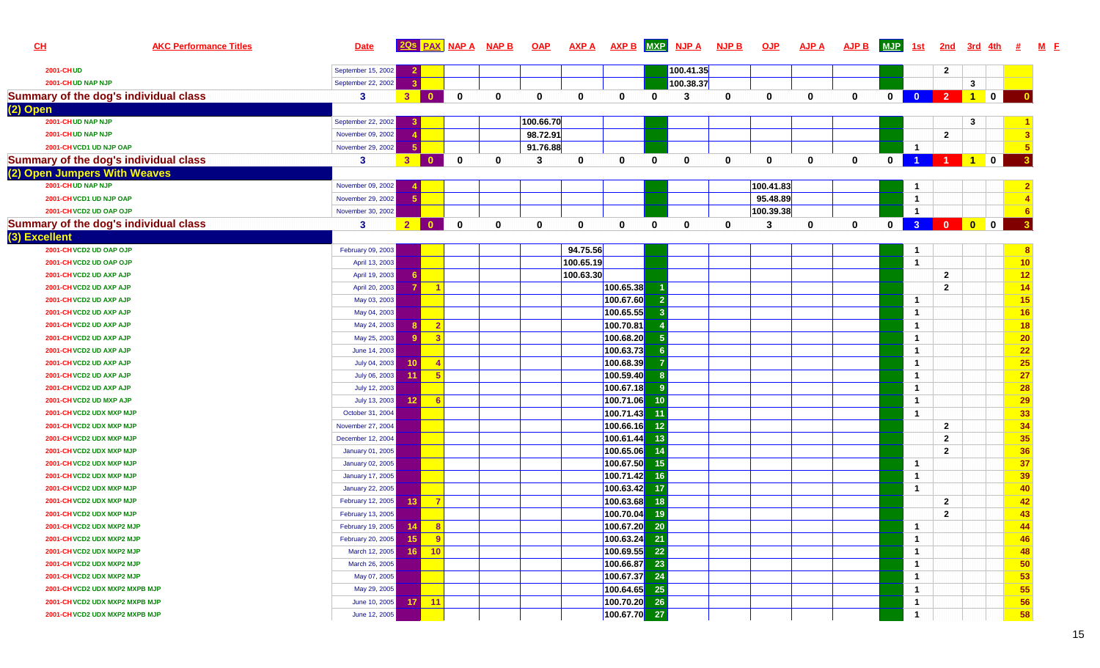| CL            |                                       | <b>AKC Performance Titles</b> | <b>Date</b>        |                 |                         | 20s PAX NAP A | <b>NAP B</b> | <b>OAP</b> | <b>AXP A</b> | <b>AXP B</b>   |              | MXP NJP A | <b>NJP B</b> | <b>OJP</b>   | <b>AJP A</b> | <b>AJP B</b> | <b>MJP</b>  | <u>1st</u>           | 2nd                                                        | <u>3rd</u>     | <u>4th</u>                                                                    | 坓              |
|---------------|---------------------------------------|-------------------------------|--------------------|-----------------|-------------------------|---------------|--------------|------------|--------------|----------------|--------------|-----------|--------------|--------------|--------------|--------------|-------------|----------------------|------------------------------------------------------------|----------------|-------------------------------------------------------------------------------|----------------|
|               | <b>2001-CHUD</b>                      |                               | September 15, 2002 |                 |                         |               |              |            |              |                |              | 100.41.35 |              |              |              |              |             |                      | $\mathbf{2}$                                               |                |                                                                               |                |
|               | 2001-CHUD NAP NJP                     |                               | September 22, 2002 |                 |                         |               |              |            |              |                |              | 100.38.37 |              |              |              |              |             |                      |                                                            | $\mathbf{3}$   |                                                                               |                |
|               | Summary of the dog's individual class |                               | 3                  | 3 <sup>1</sup>  | $\mathbf{0}$            | $\mathbf 0$   | 0            | 0          | $\mathbf{0}$ | $\mathbf 0$    | $\mathbf{0}$ | 3         | $\mathbf 0$  | $\bf{0}$     | $\mathbf 0$  | $\mathbf{0}$ | $\mathbf 0$ |                      | $\begin{array}{ c c c c c c }\n\hline\n0&2&1\n\end{array}$ |                | $\begin{array}{ c c } \hline \ \hline \ \hline \ \hline \ \hline \end{array}$ |                |
| (2) Open      |                                       |                               |                    |                 |                         |               |              |            |              |                |              |           |              |              |              |              |             |                      |                                                            |                |                                                                               |                |
|               | 2001-CHUD NAP NJP                     |                               | September 22, 2002 |                 |                         |               |              | 100.66.70  |              |                |              |           |              |              |              |              |             |                      |                                                            | 3              |                                                                               |                |
|               | 2001-CHUD NAP NJP                     |                               | November 09, 2002  |                 |                         |               |              | 98.72.91   |              |                |              |           |              |              |              |              |             |                      | $\mathbf{2}$                                               |                |                                                                               |                |
|               | 2001-CHVCD1 UD NJP OAP                |                               | November 29, 2002  |                 |                         |               |              | 91.76.88   |              |                |              |           |              |              |              |              |             | $\overline{1}$       |                                                            |                |                                                                               |                |
|               | Summary of the dog's individual class |                               | 3                  | 3 <sup>7</sup>  | $\mathbf{0}$            | $\mathbf 0$   | 0            | 3          | 0            | 0              | 0            | $\bf{0}$  | $\mathbf{0}$ | $\mathbf{0}$ | $\mathbf{0}$ | $\mathbf{0}$ | 0           | $\blacktriangleleft$ |                                                            | $\overline{1}$ | $\mathbf 0$                                                                   |                |
|               | (2) Open Jumpers With Weaves          |                               |                    |                 |                         |               |              |            |              |                |              |           |              |              |              |              |             |                      |                                                            |                |                                                                               |                |
|               | 2001-CHUD NAP NJP                     |                               | November 09, 2002  |                 |                         |               |              |            |              |                |              |           |              | 100.41.83    |              |              |             | -1                   |                                                            |                |                                                                               |                |
|               | 2001-CHVCD1 UD NJP OAP                |                               | November 29, 2002  |                 |                         |               |              |            |              |                |              |           |              | 95.48.89     |              |              |             | $\overline{1}$       |                                                            |                |                                                                               |                |
|               | 2001-CH VCD2 UD OAP OJP               |                               | November 30, 2002  |                 |                         |               |              |            |              |                |              |           |              | 100.39.38    |              |              |             | $\overline{1}$       |                                                            |                |                                                                               |                |
|               | Summary of the dog's individual class |                               | 3                  |                 | $2$ 0                   | $\mathbf 0$   | $\mathbf 0$  | 0          | 0            | 0              | 0            | 0         | $\bf{0}$     | 3            | 0            | $\mathbf{0}$ | 0           |                      |                                                            | <b>3</b> 0 0 0 |                                                                               | -3             |
| (3) Excellent |                                       |                               |                    |                 |                         |               |              |            |              |                |              |           |              |              |              |              |             |                      |                                                            |                |                                                                               |                |
|               | 2001-CHVCD2 UD OAP OJP                |                               | February 09, 2003  |                 |                         |               |              |            | 94.75.56     |                |              |           |              |              |              |              |             | -1                   |                                                            |                |                                                                               |                |
|               | 2001-CH VCD2 UD OAP OJP               |                               | April 13, 2003     |                 |                         |               |              |            | 100.65.19    |                |              |           |              |              |              |              |             | $\overline{1}$       |                                                            |                |                                                                               | 10             |
|               | 2001-CH VCD2 UD AXP AJP               |                               | April 19, 2003     |                 |                         |               |              |            | 100.63.30    |                |              |           |              |              |              |              |             |                      | $\mathbf{2}$                                               |                |                                                                               | 12             |
|               | 2001-CH VCD2 UD AXP AJP               |                               | April 20, 2003     |                 |                         |               |              |            |              | 100.65.38      |              |           |              |              |              |              |             |                      | $\overline{2}$                                             |                |                                                                               | 14             |
|               | 2001-CH VCD2 UD AXP AJP               |                               | May 03, 2003       |                 |                         |               |              |            |              | 100.67.60      |              |           |              |              |              |              |             | $\overline{1}$       |                                                            |                |                                                                               | 15             |
|               | 2001-CHVCD2 UD AXP AJP                |                               | May 04, 2003       |                 |                         |               |              |            |              | 100.65.55      |              |           |              |              |              |              |             | $\overline{1}$       |                                                            |                |                                                                               | 16             |
|               | 2001-CH VCD2 UD AXP AJP               |                               | May 24, 2003       |                 | $\sqrt{2}$              |               |              |            |              | 100.70.81      |              |           |              |              |              |              |             | $\overline{1}$       |                                                            |                |                                                                               | 18             |
|               | 2001-CH VCD2 UD AXP AJP               |                               | May 25, 2003       |                 | $^{\circ}$ 3            |               |              |            |              | 100.68.20      |              |           |              |              |              |              |             | $\overline{1}$       |                                                            |                |                                                                               | 20             |
|               | 2001-CH VCD2 UD AXP AJP               |                               | June 14, 2003      |                 |                         |               |              |            |              | 100.63.73      |              |           |              |              |              |              |             | $\overline{1}$       |                                                            |                |                                                                               | 22             |
|               | 2001-CH VCD2 UD AXP AJP               |                               | July 04, 2003      | 10 <sup>°</sup> | $\overline{\mathbf{A}}$ |               |              |            |              | 100.68.39      |              |           |              |              |              |              |             | $\overline{1}$       |                                                            |                |                                                                               | 25             |
|               | 2001-CH VCD2 UD AXP AJP               |                               | July 06, 2003      | 11              | $5\phantom{.0}$         |               |              |            |              | 100.59.40      |              |           |              |              |              |              |             | $\overline{1}$       |                                                            |                |                                                                               | 27             |
|               | 2001-CHVCD2 UD AXP AJP                |                               | July 12, 2003      |                 |                         |               |              |            |              | 100.67.18      |              |           |              |              |              |              |             | $\overline{1}$       |                                                            |                |                                                                               | 28             |
|               | 2001-CH VCD2 UD MXP AJP               |                               | July 13, 2003      | 12              | $\sqrt{6}$              |               |              |            |              | 100.71.06      | 10           |           |              |              |              |              |             | $\overline{1}$       |                                                            |                |                                                                               | 29             |
|               | 2001-CH VCD2 UDX MXP MJP              |                               | October 31, 2004   |                 |                         |               |              |            |              | 100.71.43      | 11           |           |              |              |              |              |             | $\overline{1}$       |                                                            |                |                                                                               | 33             |
|               | 2001-CHVCD2 UDX MXP MJP               |                               | November 27, 2004  |                 |                         |               |              |            |              | 100.66.16      | 12           |           |              |              |              |              |             |                      | $\mathbf{2}$                                               |                |                                                                               | 34             |
|               | 2001-CH VCD2 UDX MXP MJP              |                               | December 12, 2004  |                 |                         |               |              |            |              | 100.61.44      | 13           |           |              |              |              |              |             |                      | $\mathbf{2}$                                               |                |                                                                               | 35             |
|               | 2001-CH VCD2 UDX MXP MJP              |                               | January 01, 2005   |                 |                         |               |              |            |              | 100.65.06      | 14           |           |              |              |              |              |             |                      | $\overline{2}$                                             |                |                                                                               | 36             |
|               | 2001-CH VCD2 UDX MXP MJP              |                               | January 02, 2005   |                 |                         |               |              |            |              | 100.67.50      | 15           |           |              |              |              |              |             | $\overline{1}$       |                                                            |                |                                                                               | 37             |
|               | 2001-CH VCD2 UDX MXP MJP              |                               | January 17, 2005   |                 |                         |               |              |            |              | 100.71.42      | 16           |           |              |              |              |              |             | $\overline{1}$       |                                                            |                |                                                                               | 39             |
|               | 2001-CH VCD2 UDX MXP MJP              |                               | January 22, 2005   |                 |                         |               |              |            |              | 100.63.42      | 17           |           |              |              |              |              |             | $\overline{1}$       |                                                            |                |                                                                               | 40             |
|               | 2001-CH VCD2 UDX MXP MJP              |                               | February 12, 2005  | 13 <sup>1</sup> | $\overline{7}$          |               |              |            |              | 100.63.68      | 18           |           |              |              |              |              |             |                      | $\mathbf{2}$                                               |                |                                                                               | 42             |
|               | 2001-CH VCD2 UDX MXP MJP              |                               | February 13, 2005  |                 |                         |               |              |            |              | 100.70.04      | 19           |           |              |              |              |              |             |                      | $\overline{2}$                                             |                |                                                                               | 43             |
|               | 2001-CH VCD2 UDX MXP2 MJP             |                               | February 19, 2005  | 14              | $^{\circ}$ 8            |               |              |            |              | 100.67.20      | 20           |           |              |              |              |              |             | $\overline{1}$       |                                                            |                |                                                                               | $\overline{A}$ |
|               | 2001-CH VCD2 UDX MXP2 MJP             |                               | February 20, 2005  | 15              | - 9                     |               |              |            |              | $100.63.24$ 21 |              |           |              |              |              |              |             | $\mathbf{1}$         |                                                            |                |                                                                               | 46             |
|               | 2001-CH VCD2 UDX MXP2 MJP             |                               | March 12, 2005     | $16$            | 10                      |               |              |            |              | 100.69.55 22   |              |           |              |              |              |              |             | $\overline{1}$       |                                                            |                |                                                                               | 48             |
|               | 2001-CH VCD2 UDX MXP2 MJP             |                               | March 26, 2005     |                 |                         |               |              |            |              | 100.66.87      | 23           |           |              |              |              |              |             | $\overline{1}$       |                                                            |                |                                                                               | 50             |
|               | 2001-CH VCD2 UDX MXP2 MJP             |                               | May 07, 2005       |                 |                         |               |              |            |              | 100.67.37      | 24           |           |              |              |              |              |             | $\overline{1}$       |                                                            |                |                                                                               | 53             |
|               | 2001-CH VCD2 UDX MXP2 MXPB MJP        |                               | May 29, 2005       |                 |                         |               |              |            |              | 100.64.65 25   |              |           |              |              |              |              |             | $\mathbf{1}$         |                                                            |                |                                                                               | 55             |
|               | 2001-CH VCD2 UDX MXP2 MXPB MJP        |                               | June 10, 2005      | 17 <sup>1</sup> | $-11$                   |               |              |            |              | 100.70.20 26   |              |           |              |              |              |              |             | $\overline{1}$       |                                                            |                |                                                                               | 56             |
|               | 2001-CHVCD2 UDX MXP2 MXPB MJP         |                               | June 12, 2005      |                 |                         |               |              |            |              | 100.67.70 27   |              |           |              |              |              |              |             | $\overline{1}$       |                                                            |                |                                                                               | 58             |

**<sup>F</sup>**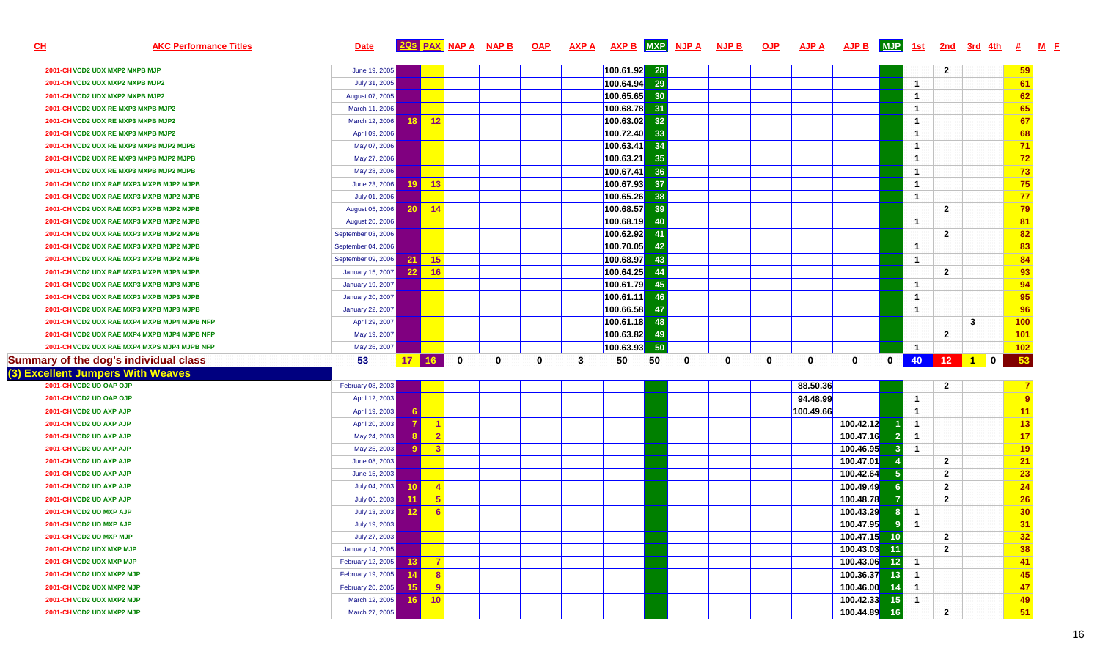| <u>СН</u> | <b>AKC Performance Titles</b>                | <b>Date</b>             |                 |                            | <b>2QS PAX NAP A</b> | <b>NAP B</b> |             |   | OAP AXPA AXPB MXP NJPA NJPB |       |             |             | <u>OJP</u>  | <b>AJP A</b> | <b>AJP B</b> | <b>MJP</b>      | <u>1st</u>              | <u>2nd</u>     | <u>3rd</u> |                 |  |
|-----------|----------------------------------------------|-------------------------|-----------------|----------------------------|----------------------|--------------|-------------|---|-----------------------------|-------|-------------|-------------|-------------|--------------|--------------|-----------------|-------------------------|----------------|------------|-----------------|--|
|           | 2001-CH VCD2 UDX MXP2 MXPB MJP               | June 19, 2005           |                 |                            |                      |              |             |   | 100.61.92                   | 28    |             |             |             |              |              |                 |                         | $\mathbf{2}$   |            | 59              |  |
|           | 2001-CH VCD2 UDX MXP2 MXPB MJP2              | July 31, 2005           |                 |                            |                      |              |             |   | 100.64.94                   | 29    |             |             |             |              |              |                 | - 1                     |                |            | 61              |  |
|           | 2001-CH VCD2 UDX MXP2 MXPB MJP2              | August 07, 2005         |                 |                            |                      |              |             |   | 100.65.65                   | 30    |             |             |             |              |              |                 | $\overline{\mathbf{1}}$ |                |            | 62              |  |
|           | 2001-CH VCD2 UDX RE MXP3 MXPB MJP2           | March 11, 2006          |                 |                            |                      |              |             |   | 100.68.78                   | 31    |             |             |             |              |              |                 | $\overline{1}$          |                |            | 65              |  |
|           | 2001-CH VCD2 UDX RE MXP3 MXPB MJP2           | March 12, 2006          | 18              | 12                         |                      |              |             |   | 100.63.02                   | 32    |             |             |             |              |              |                 | $\overline{1}$          |                |            | 67              |  |
|           | 2001-CH VCD2 UDX RE MXP3 MXPB MJP2           | April 09, 2006          |                 |                            |                      |              |             |   | 100.72.40                   | 33    |             |             |             |              |              |                 | - 1                     |                |            | 68              |  |
|           | 2001-CH VCD2 UDX RE MXP3 MXPB MJP2 MJPB      | May 07, 2006            |                 |                            |                      |              |             |   | 100.63.41 34                |       |             |             |             |              |              |                 | - 1                     |                |            | 71              |  |
|           | 2001-CH VCD2 UDX RE MXP3 MXPB MJP2 MJPB      | May 27, 2006            |                 |                            |                      |              |             |   | 100.63.21                   | 35    |             |             |             |              |              |                 | - 1                     |                |            | 72              |  |
|           | 2001-CH VCD2 UDX RE MXP3 MXPB MJP2 MJPB      | May 28, 2006            |                 |                            |                      |              |             |   | 100.67.41                   | 36    |             |             |             |              |              |                 | - 1                     |                |            | 73              |  |
|           | 2001-CH VCD2 UDX RAE MXP3 MXPB MJP2 MJPB     | June 23, 2006           | 19 <sup>1</sup> | $-13$                      |                      |              |             |   | 100.67.93                   | 37    |             |             |             |              |              |                 | $\overline{1}$          |                |            | 75              |  |
|           | 2001-CH VCD2 UDX RAE MXP3 MXPB MJP2 MJPB     | July 01, 2006           |                 |                            |                      |              |             |   | 100.65.26                   | 38    |             |             |             |              |              |                 | $\overline{1}$          |                |            | 77              |  |
|           | 2001-CH VCD2 UDX RAE MXP3 MXPB MJP2 MJPB     | August 05, 2006         | 20 <sub>1</sub> | $-14$                      |                      |              |             |   | 100.68.57                   | 39    |             |             |             |              |              |                 |                         | $\mathbf{2}$   |            | 79              |  |
|           | 2001-CH VCD2 UDX RAE MXP3 MXPB MJP2 MJPB     | August 20, 2006         |                 |                            |                      |              |             |   | 100.68.19                   | 40    |             |             |             |              |              |                 | - 1                     |                |            | 81              |  |
|           | 2001-CH VCD2 UDX RAE MXP3 MXPB MJP2 MJPB     | September 03, 2006      |                 |                            |                      |              |             |   | 100.62.92                   |       |             |             |             |              |              |                 |                         | $\overline{2}$ |            | 82              |  |
|           | 2001-CH VCD2 UDX RAE MXP3 MXPB MJP2 MJPB     | September 04, 2006      |                 |                            |                      |              |             |   | 100.70.05                   | 42    |             |             |             |              |              |                 | $\overline{1}$          |                |            | 83              |  |
|           | 2001-CH VCD2 UDX RAE MXP3 MXPB MJP2 MJPB     | September 09, 2006      | 21              | 15                         |                      |              |             |   | 100.68.97                   | 43    |             |             |             |              |              |                 | $\overline{1}$          |                |            | 84              |  |
|           | 2001-CH VCD2 UDX RAE MXP3 MXPB MJP3 MJPB     | January 15, 2007        | 22              | 16                         |                      |              |             |   | 100.64.25                   | 44    |             |             |             |              |              |                 |                         | $\overline{2}$ |            | 93              |  |
|           | 2001-CH VCD2 UDX RAE MXP3 MXPB MJP3 MJPB     | January 19, 2007        |                 |                            |                      |              |             |   | 100.61.79                   | 45    |             |             |             |              |              |                 | $\mathbf{1}$            |                |            | 94              |  |
|           | 2001-CH VCD2 UDX RAE MXP3 MXPB MJP3 MJPB     | January 20, 2007        |                 |                            |                      |              |             |   | 100.61.11                   | 46    |             |             |             |              |              |                 | - 1                     |                |            | 95              |  |
|           | 2001-CH VCD2 UDX RAE MXP3 MXPB MJP3 MJPB     | <b>January 22, 2007</b> |                 |                            |                      |              |             |   | 100.66.58                   | -47   |             |             |             |              |              |                 | - 1                     |                |            | 96              |  |
|           | 2001-CH VCD2 UDX RAE MXP4 MXPB MJP4 MJPB NFP | April 29, 2007          |                 |                            |                      |              |             |   | 100.61.18                   | -48   |             |             |             |              |              |                 |                         |                | 3          | 100             |  |
|           | 2001-CH VCD2 UDX RAE MXP4 MXPB MJP4 MJPB NFP | May 19, 2007            |                 |                            |                      |              |             |   | 100.63.82                   | 49    |             |             |             |              |              |                 |                         | $\overline{2}$ |            | 101             |  |
|           | 2001-CH VCD2 UDX RAE MXP4 MXPS MJP4 MJPB NFP | May 26, 2007            |                 |                            |                      |              |             |   | 100.63.93                   | $-50$ |             |             |             |              |              |                 | $\overline{1}$          |                |            | 102             |  |
|           | Summary of the dog's individual class        | 53                      |                 | $17$ 16                    | $\mathbf 0$          | $\mathbf{0}$ | $\mathbf 0$ | 3 | 50                          | 50    | $\mathbf 0$ | $\mathbf 0$ | $\mathbf 0$ | 0            | $\mathbf{0}$ | $\mathbf{0}$    | 40                      |                |            | 53              |  |
|           | (3) Excellent Jumpers With Weaves            |                         |                 |                            |                      |              |             |   |                             |       |             |             |             |              |              |                 |                         |                |            |                 |  |
|           | 2001-CH VCD2 UD OAP OJP                      | February 08, 2003       |                 |                            |                      |              |             |   |                             |       |             |             |             | 88.50.36     |              |                 |                         | $\mathbf{2}$   |            |                 |  |
|           | 2001-CH VCD2 UD OAP OJP                      | April 12, 2003          |                 |                            |                      |              |             |   |                             |       |             |             |             | 94.48.99     |              |                 | - 1                     |                |            | -9              |  |
|           | 2001-CHVCD2 UD AXP AJP                       | April 19, 2003          |                 |                            |                      |              |             |   |                             |       |             |             |             | 100.49.66    |              |                 | - 1                     |                |            |                 |  |
|           | 2001-CHVCD2 UD AXP AJP                       | April 20, 2003          |                 |                            |                      |              |             |   |                             |       |             |             |             |              | 100.42.12    |                 | - 1                     |                |            | 13              |  |
|           | 2001-CH VCD2 UD AXP AJP                      | May 24, 2003            |                 | $\mathbf{2}$               |                      |              |             |   |                             |       |             |             |             |              | 100.47.16    | $\mathbf{2}$    | $\overline{1}$          |                |            | 17              |  |
|           | 2001-CHVCD2 UD AXP AJP                       | May 25, 2003            |                 |                            |                      |              |             |   |                             |       |             |             |             |              | 100.46.95    | 3               | $\overline{1}$          |                |            | 19              |  |
|           | 2001-CH VCD2 UD AXP AJP                      | June 08, 2003           |                 |                            |                      |              |             |   |                             |       |             |             |             |              | 100.47.01    |                 |                         | $\overline{2}$ |            | 21              |  |
|           | 2001-CHVCD2 UD AXP AJP                       | June 15, 2003           |                 |                            |                      |              |             |   |                             |       |             |             |             |              | 100.42.64    |                 |                         | $\overline{2}$ |            | 23              |  |
|           | 2001-CH VCD2 UD AXP AJP                      | July 04, 2003           | 10 <sup>°</sup> |                            |                      |              |             |   |                             |       |             |             |             |              | 100.49.49    |                 |                         | $\overline{2}$ |            | 24              |  |
|           | 2001-CHVCD2 UD AXP AJP                       | July 06, 2003           | -11             | 5                          |                      |              |             |   |                             |       |             |             |             |              | 100.48.78    |                 |                         | $\overline{2}$ |            | 26              |  |
|           | 2001-CH VCD2 UD MXP AJP                      | July 13, 2003           | 12 <sup>°</sup> | 6                          |                      |              |             |   |                             |       |             |             |             |              | 100.43.29    | 8               | $\blacksquare$          |                |            | 30 <sub>2</sub> |  |
|           | 2001-CH VCD2 UD MXP AJP                      | July 19, 2003           |                 |                            |                      |              |             |   |                             |       |             |             |             |              | 100.47.95    | <b>Q</b>        | $\overline{1}$          |                |            | 31              |  |
|           | 2001-CH VCD2 UD MXP MJP                      | July 27, 2003           |                 |                            |                      |              |             |   |                             |       |             |             |             |              | 100.47.15    | 10              |                         | $\overline{2}$ |            | 32              |  |
|           | 2001-CH VCD2 UDX MXP MJP                     | January 14, 2005        |                 |                            |                      |              |             |   |                             |       |             |             |             |              | 100.43.03    | -11             |                         | $\mathbf{2}$   |            | 38 <sup>2</sup> |  |
|           | 2001-CH VCD2 UDX MXP MJP                     | February 12, 2005       | 13              | $\overline{\phantom{0}}$ 7 |                      |              |             |   |                             |       |             |             |             |              | 100.43.06    | 12              | $\blacksquare$          |                |            | 41              |  |
|           | 2001-CH VCD2 UDX MXP2 MJP                    | February 19, 2005       | 14 <sup>1</sup> | $^{\circ}$ 8               |                      |              |             |   |                             |       |             |             |             |              | 100.36.37    | 13 <sup>°</sup> | $\blacksquare$          |                |            | 45              |  |
|           | 2001-CH VCD2 UDX MXP2 MJP                    | February 20, 2005       | 15 <sup>1</sup> | $\overline{9}$             |                      |              |             |   |                             |       |             |             |             |              | 100.46.00    | 14              | $\blacksquare$          |                |            | 47              |  |
|           | 2001-CH VCD2 UDX MXP2 MJP                    | March 12, 2005          | 16              | 10                         |                      |              |             |   |                             |       |             |             |             |              | 100.42.33    | 15              | $\blacksquare$          |                |            | 49              |  |
|           | 2001-CH VCD2 UDX MXP2 MJP                    | March 27, 2005          |                 |                            |                      |              |             |   |                             |       |             |             |             |              | 100.44.89    | 16              |                         | $\overline{2}$ |            | 51              |  |

**<sup>F</sup>**